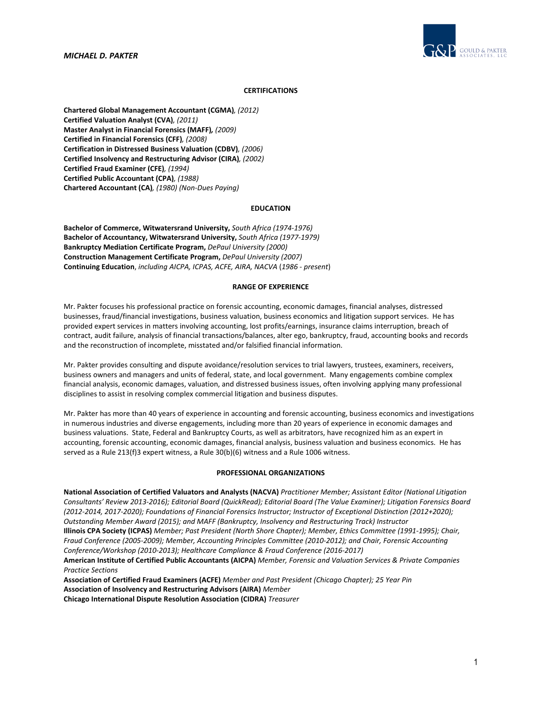*MICHAEL D. PAKTER* 



# **CERTIFICATIONS**

**Chartered Global Management Accountant (CGMA)***, (2012)* **Certified Valuation Analyst (CVA)***, (2011)* **Master Analyst in Financial Forensics (MAFF)***, (2009)* **Certified in Financial Forensics (CFF)***, (2008)* **Certification in Distressed Business Valuation (CDBV)***, (2006)* **Certified Insolvency and Restructuring Advisor (CIRA)***, (2002)* **Certified Fraud Examiner (CFE)***, (1994)* **Certified Public Accountant (CPA)***, (1988)* **Chartered Accountant (CA)***, (1980) (Non‐Dues Paying)*

### **EDUCATION**

**Bachelor of Commerce, Witwatersrand University,** *South Africa (1974‐1976)* **Bachelor of Accountancy, Witwatersrand University,** *South Africa (1977‐1979)* **Bankruptcy Mediation Certificate Program,** *DePaul University (2000)* **Construction Management Certificate Program,** *DePaul University (2007)* **Continuing Education**, *including AICPA, ICPAS, ACFE, AIRA, NACVA* (*1986 ‐ present*)

#### **RANGE OF EXPERIENCE**

Mr. Pakter focuses his professional practice on forensic accounting, economic damages, financial analyses, distressed businesses, fraud/financial investigations, business valuation, business economics and litigation support services. He has provided expert services in matters involving accounting, lost profits/earnings, insurance claims interruption, breach of contract, audit failure, analysis of financial transactions/balances, alter ego, bankruptcy, fraud, accounting books and records and the reconstruction of incomplete, misstated and/or falsified financial information.

Mr. Pakter provides consulting and dispute avoidance/resolution services to trial lawyers, trustees, examiners, receivers, business owners and managers and units of federal, state, and local government. Many engagements combine complex financial analysis, economic damages, valuation, and distressed business issues, often involving applying many professional disciplines to assist in resolving complex commercial litigation and business disputes.

Mr. Pakter has more than 40 years of experience in accounting and forensic accounting, business economics and investigations in numerous industries and diverse engagements, including more than 20 years of experience in economic damages and business valuations. State, Federal and Bankruptcy Courts, as well as arbitrators, have recognized him as an expert in accounting, forensic accounting, economic damages, financial analysis, business valuation and business economics. He has served as a Rule 213(f)3 expert witness, a Rule 30(b)(6) witness and a Rule 1006 witness.

# **PROFESSIONAL ORGANIZATIONS**

**National Association of Certified Valuators and Analysts (NACVA)** *Practitioner Member; Assistant Editor (National Litigation* Consultants' Review 2013-2016); Editorial Board (QuickRead); Editorial Board (The Value Examiner); Litigation Forensics Board (2012-2014, 2017-2020); Foundations of Financial Forensics Instructor; Instructor of Exceptional Distinction (2012+2020); *Outstanding Member Award (2015); and MAFF (Bankruptcy, Insolvency and Restructuring Track) Instructor* Illinois CPA Society (ICPAS) Member; Past President (North Shore Chapter); Member, Ethics Committee (1991-1995); Chair, Fraud Conference (2005-2009); Member, Accounting Principles Committee (2010-2012); and Chair, Forensic Accounting *Conference/Workshop (2010‐2013); Healthcare Compliance & Fraud Conference (2016‐2017)*  **American Institute of Certified Public Accountants (AICPA)** *Member, Forensic and Valuation Services & Private Companies Practice Sections*

**Association of Certified Fraud Examiners (ACFE)** *Member and Past President (Chicago Chapter); 25 Year Pin* **Association of Insolvency and Restructuring Advisors (AIRA)** *Member*

**Chicago International Dispute Resolution Association (CIDRA)** *Treasurer*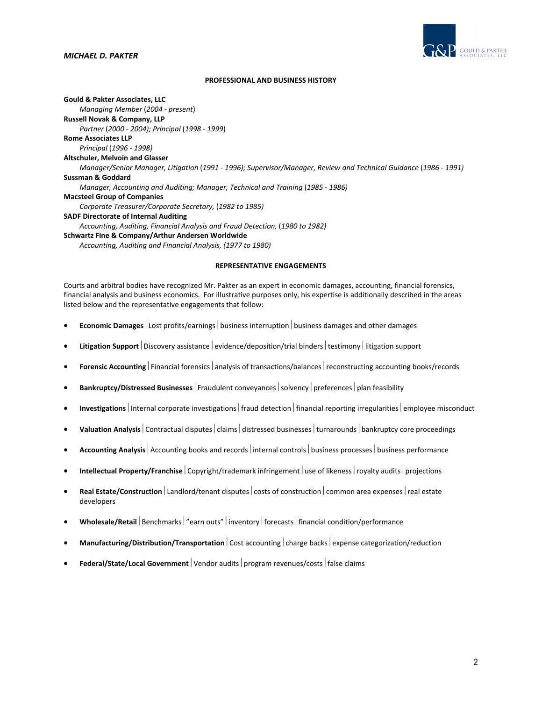

### **PROFESSIONAL AND BUSINESS HISTORY**

**Gould & Pakter Associates, LLC** *Managing Member* (*2004 ‐ present*) **Russell Novak & Company, LLP** *Partner* (*2000 ‐ 2004); Principal* (*1998 ‐ 1999*) **Rome Associates LLP** *Principal* (*1996 ‐ 1998)* **Altschuler, Melvoin and Glasser** *Manager/Senior Manager, Litigation* (*1991 ‐ 1996); Supervisor/Manager, Review and Technical Guidance* (*1986 ‐ 1991)* **Sussman & Goddard** *Manager, Accounting and Auditing; Manager, Technical and Training* (*1985 ‐ 1986)* **Macsteel Group of Companies** *Corporate Treasurer/Corporate Secretary,* (*1982 to 1985)* **SADF Directorate of Internal Auditing** *Accounting, Auditing, Financial Analysis and Fraud Detection,* (*1980 to 1982)* **Schwartz Fine & Company/Arthur Andersen Worldwide** *Accounting, Auditing and Financial Analysis, (1977 to 1980)*

#### **REPRESENTATIVE ENGAGEMENTS**

Courts and arbitral bodies have recognized Mr. Pakter as an expert in economic damages, accounting, financial forensics, financial analysis and business economics. For illustrative purposes only, his expertise is additionally described in the areas listed below and the representative engagements that follow:

- **Economic Damages** Lost profits/earnings business interruption business damages and other damages
- Litigation **Support** Discovery assistance evidence/deposition/trial binders testimony litigation support
- **Forensic Accounting** Financial forensics analysis of transactions/balances reconstructing accounting books/records
- **Bankruptcy/Distressed Businesses** Fraudulent conveyances solvency preferences plan feasibility
- Investigations | Internal corporate investigations | fraud detection | financial reporting irregularities | employee misconduct
- **Valuation Analysis** Contractual disputes claims distressed businesses turnarounds bankruptcy core proceedings
- Accounting Analysis Accounting books and records internal controls business processes business performance
- **Intellectual Property/Franchise** Copyright/trademark infringement use of likeness royalty audits projections
- **Real Estate/Construction** Landlord/tenant disputes  $|$  costs of construction  $|$  common area expenses  $|$  real estate developers
- Wholesale/Retail | Benchmarks | "earn outs" | inventory | forecasts | financial condition/performance
- **Manufacturing/Distribution/Transportation** Cost accounting charge backs expense categorization/reduction
- **Federal/State/Local Government** | Vendor audits | program revenues/costs | false claims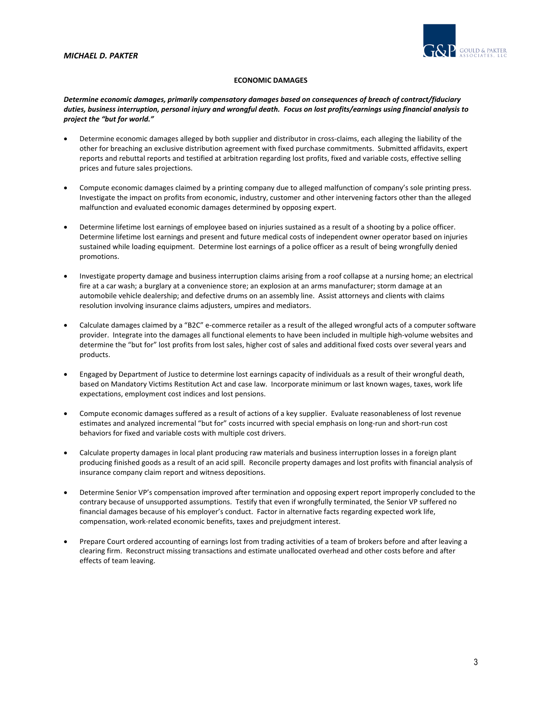

# **ECONOMIC DAMAGES**

*Determine economic damages, primarily compensatory damages based on consequences of breach of contract/fiduciary* duties, business interruption, personal injury and wrongful death. Focus on lost profits/earnings using financial analysis to *project the "but for world."*

- Determine economic damages alleged by both supplier and distributor in cross‐claims, each alleging the liability of the other for breaching an exclusive distribution agreement with fixed purchase commitments. Submitted affidavits, expert reports and rebuttal reports and testified at arbitration regarding lost profits, fixed and variable costs, effective selling prices and future sales projections.
- Compute economic damages claimed by a printing company due to alleged malfunction of company's sole printing press. Investigate the impact on profits from economic, industry, customer and other intervening factors other than the alleged malfunction and evaluated economic damages determined by opposing expert.
- Determine lifetime lost earnings of employee based on injuries sustained as a result of a shooting by a police officer. Determine lifetime lost earnings and present and future medical costs of independent owner operator based on injuries sustained while loading equipment. Determine lost earnings of a police officer as a result of being wrongfully denied promotions.
- Investigate property damage and business interruption claims arising from a roof collapse at a nursing home; an electrical fire at a car wash; a burglary at a convenience store; an explosion at an arms manufacturer; storm damage at an automobile vehicle dealership; and defective drums on an assembly line. Assist attorneys and clients with claims resolution involving insurance claims adjusters, umpires and mediators.
- Calculate damages claimed by a "B2C" e‐commerce retailer as a result of the alleged wrongful acts of a computer software provider. Integrate into the damages all functional elements to have been included in multiple high‐volume websites and determine the "but for" lost profits from lost sales, higher cost of sales and additional fixed costs over several years and products.
- Engaged by Department of Justice to determine lost earnings capacity of individuals as a result of their wrongful death, based on Mandatory Victims Restitution Act and case law. Incorporate minimum or last known wages, taxes, work life expectations, employment cost indices and lost pensions.
- Compute economic damages suffered as a result of actions of a key supplier. Evaluate reasonableness of lost revenue estimates and analyzed incremental "but for" costs incurred with special emphasis on long-run and short-run cost behaviors for fixed and variable costs with multiple cost drivers.
- Calculate property damages in local plant producing raw materials and business interruption losses in a foreign plant producing finished goods as a result of an acid spill. Reconcile property damages and lost profits with financial analysis of insurance company claim report and witness depositions.
- Determine Senior VP's compensation improved after termination and opposing expert report improperly concluded to the contrary because of unsupported assumptions. Testify that even if wrongfully terminated, the Senior VP suffered no financial damages because of his employer's conduct. Factor in alternative facts regarding expected work life, compensation, work‐related economic benefits, taxes and prejudgment interest.
- Prepare Court ordered accounting of earnings lost from trading activities of a team of brokers before and after leaving a clearing firm. Reconstruct missing transactions and estimate unallocated overhead and other costs before and after effects of team leaving.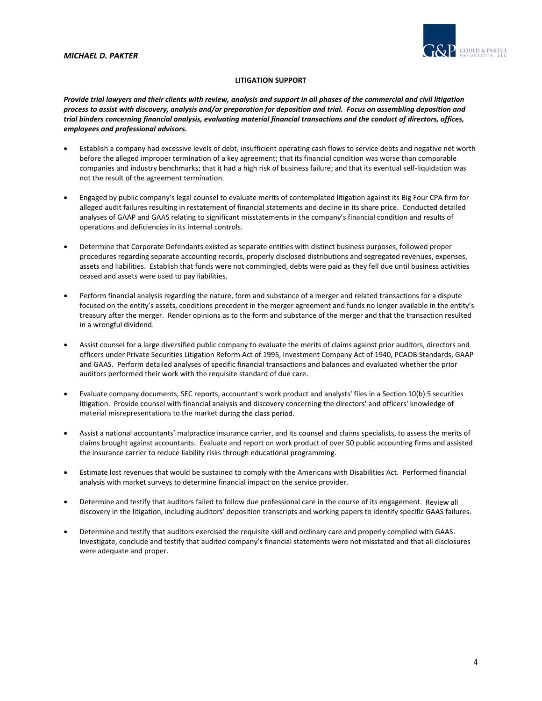

# **LITIGATION SUPPORT**

Provide trial lawyers and their clients with review, analysis and support in all phases of the commercial and civil litigation process to assist with discovery, analysis and/or preparation for deposition and trial. Focus on assembling deposition and trial binders concerning financial analysis, evaluating material financial transactions and the conduct of directors, offices, *employees and professional advisors.*

- Establish a company had excessive levels of debt, insufficient operating cash flows to service debts and negative net worth before the alleged improper termination of a key agreement; that its financial condition was worse than comparable companies and industry benchmarks; that it had a high risk of business failure; and that its eventual self‐liquidation was not the result of the agreement termination.
- Engaged by public company's legal counsel to evaluate merits of contemplated litigation against its Big Four CPA firm for alleged audit failures resulting in restatement of financial statements and decline in its share price. Conducted detailed analyses of GAAP and GAAS relating to significant misstatements in the company's financial condition and results of operations and deficiencies in its internal controls.
- Determine that Corporate Defendants existed as separate entities with distinct business purposes, followed proper procedures regarding separate accounting records, properly disclosed distributions and segregated revenues, expenses, assets and liabilities. Establish that funds were not commingled, debts were paid as they fell due until business activities ceased and assets were used to pay liabilities.
- Perform financial analysis regarding the nature, form and substance of a merger and related transactions for a dispute focused on the entity's assets, conditions precedent in the merger agreement and funds no longer available in the entity's treasury after the merger. Render opinions as to the form and substance of the merger and that the transaction resulted in a wrongful dividend.
- Assist counsel for a large diversified public company to evaluate the merits of claims against prior auditors, directors and officers under Private Securities Litigation Reform Act of 1995, Investment Company Act of 1940, PCAOB Standards, GAAP and GAAS. Perform detailed analyses of specific financial transactions and balances and evaluated whether the prior auditors performed their work with the requisite standard of due care.
- Evaluate company documents, SEC reports, accountant's work product and analysts' files in a Section 10(b) 5 securities litigation. Provide counsel with financial analysis and discovery concerning the directors' and officers' knowledge of material misrepresentations to the market during the class period.
- Assist a national accountants' malpractice insurance carrier, and its counsel and claims specialists, to assess the merits of claims brought against accountants. Evaluate and report on work product of over 50 public accounting firms and assisted the insurance carrier to reduce liability risks through educational programming.
- Estimate lost revenues that would be sustained to comply with the Americans with Disabilities Act. Performed financial analysis with market surveys to determine financial impact on the service provider.
- Determine and testify that auditors failed to follow due professional care in the course of its engagement. Review all discovery in the litigation, including auditors' deposition transcripts and working papers to identify specific GAAS failures.
- Determine and testify that auditors exercised the requisite skill and ordinary care and properly complied with GAAS. Investigate, conclude and testify that audited company's financial statements were not misstated and that all disclosures were adequate and proper.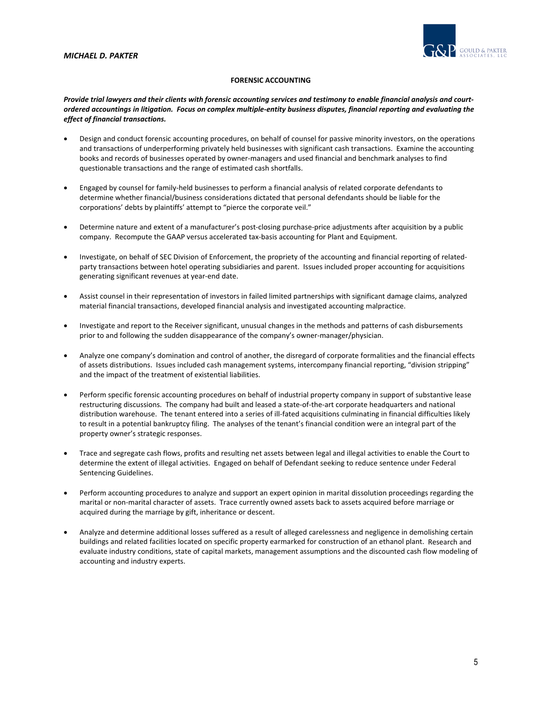

# **FORENSIC ACCOUNTING**

Provide trial lawyers and their clients with forensic accounting services and testimony to enable financial analysis and courtordered accountings in litigation. Focus on complex multiple-entity business disputes, financial reporting and evaluating the *effect of financial transactions.*

- Design and conduct forensic accounting procedures, on behalf of counsel for passive minority investors, on the operations and transactions of underperforming privately held businesses with significant cash transactions. Examine the accounting books and records of businesses operated by owner‐managers and used financial and benchmark analyses to find questionable transactions and the range of estimated cash shortfalls.
- Engaged by counsel for family‐held businesses to perform a financial analysis of related corporate defendants to determine whether financial/business considerations dictated that personal defendants should be liable for the corporations' debts by plaintiffs' attempt to "pierce the corporate veil."
- Determine nature and extent of a manufacturer's post-closing purchase-price adjustments after acquisition by a public company. Recompute the GAAP versus accelerated tax-basis accounting for Plant and Equipment.
- Investigate, on behalf of SEC Division of Enforcement, the propriety of the accounting and financial reporting of related‐ party transactions between hotel operating subsidiaries and parent. Issues included proper accounting for acquisitions generating significant revenues at year‐end date.
- Assist counsel in their representation of investors in failed limited partnerships with significant damage claims, analyzed material financial transactions, developed financial analysis and investigated accounting malpractice.
- Investigate and report to the Receiver significant, unusual changes in the methods and patterns of cash disbursements prior to and following the sudden disappearance of the company's owner-manager/physician.
- Analyze one company's domination and control of another, the disregard of corporate formalities and the financial effects of assets distributions. Issues included cash management systems, intercompany financial reporting, "division stripping" and the impact of the treatment of existential liabilities.
- Perform specific forensic accounting procedures on behalf of industrial property company in support of substantive lease restructuring discussions. The company had built and leased a state-of-the-art corporate headquarters and national distribution warehouse. The tenant entered into a series of ill-fated acquisitions culminating in financial difficulties likely to result in a potential bankruptcy filing. The analyses of the tenant's financial condition were an integral part of the property owner's strategic responses.
- Trace and segregate cash flows, profits and resulting net assets between legal and illegal activities to enable the Court to determine the extent of illegal activities. Engaged on behalf of Defendant seeking to reduce sentence under Federal Sentencing Guidelines.
- Perform accounting procedures to analyze and support an expert opinion in marital dissolution proceedings regarding the marital or non‐marital character of assets. Trace currently owned assets back to assets acquired before marriage or acquired during the marriage by gift, inheritance or descent.
- Analyze and determine additional losses suffered as a result of alleged carelessness and negligence in demolishing certain buildings and related facilities located on specific property earmarked for construction of an ethanol plant. Research and evaluate industry conditions, state of capital markets, management assumptions and the discounted cash flow modeling of accounting and industry experts.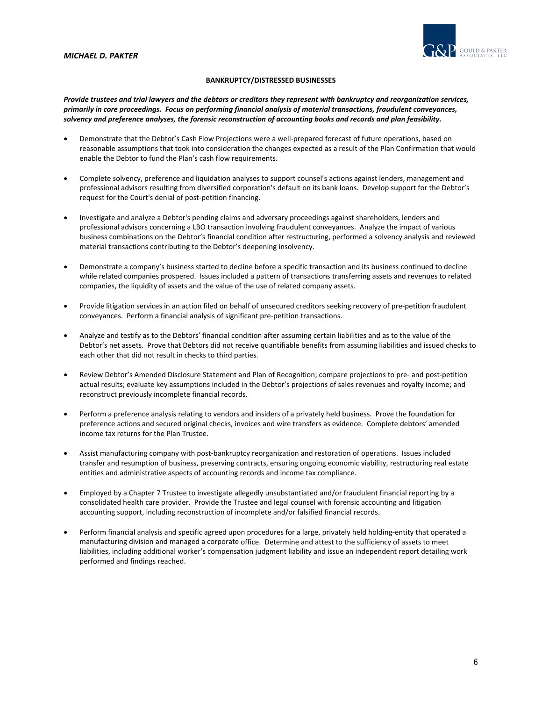

# **BANKRUPTCY/DISTRESSED BUSINESSES**

Provide trustees and trial lawyers and the debtors or creditors they represent with bankruptcy and reorganization services, primarily in core proceedings. Focus on performing financial analysis of material transactions, fraudulent conveyances, *solvency and preference analyses, the forensic reconstruction of accounting books and records and plan feasibility.*

- Demonstrate that the Debtor's Cash Flow Projections were a well‐prepared forecast of future operations, based on reasonable assumptions that took into consideration the changes expected as a result of the Plan Confirmation that would enable the Debtor to fund the Plan's cash flow requirements.
- Complete solvency, preference and liquidation analyses to support counsel's actions against lenders, management and professional advisors resulting from diversified corporation's default on its bank loans. Develop support for the Debtor's request for the Court's denial of post‐petition financing.
- Investigate and analyze a Debtor's pending claims and adversary proceedings against shareholders, lenders and professional advisors concerning a LBO transaction involving fraudulent conveyances. Analyze the impact of various business combinations on the Debtor's financial condition after restructuring, performed a solvency analysis and reviewed material transactions contributing to the Debtor's deepening insolvency.
- Demonstrate a company's business started to decline before a specific transaction and its business continued to decline while related companies prospered. Issues included a pattern of transactions transferring assets and revenues to related companies, the liquidity of assets and the value of the use of related company assets.
- Provide litigation services in an action filed on behalf of unsecured creditors seeking recovery of pre-petition fraudulent conveyances. Perform a financial analysis of significant pre‐petition transactions.
- Analyze and testify as to the Debtors' financial condition after assuming certain liabilities and as to the value of the Debtor's net assets. Prove that Debtors did not receive quantifiable benefits from assuming liabilities and issued checks to each other that did not result in checks to third parties.
- Review Debtor's Amended Disclosure Statement and Plan of Recognition; compare projections to pre- and post-petition actual results; evaluate key assumptions included in the Debtor's projections of sales revenues and royalty income; and reconstruct previously incomplete financial records.
- Perform a preference analysis relating to vendors and insiders of a privately held business. Prove the foundation for preference actions and secured original checks, invoices and wire transfers as evidence. Complete debtors' amended income tax returns for the Plan Trustee.
- Assist manufacturing company with post‐bankruptcy reorganization and restoration of operations. Issues included transfer and resumption of business, preserving contracts, ensuring ongoing economic viability, restructuring real estate entities and administrative aspects of accounting records and income tax compliance.
- Employed by a Chapter 7 Trustee to investigate allegedly unsubstantiated and/or fraudulent financial reporting by a consolidated health care provider. Provide the Trustee and legal counsel with forensic accounting and litigation accounting support, including reconstruction of incomplete and/or falsified financial records.
- Perform financial analysis and specific agreed upon procedures for a large, privately held holding‐entity that operated a manufacturing division and managed a corporate office. Determine and attest to the sufficiency of assets to meet liabilities, including additional worker's compensation judgment liability and issue an independent report detailing work performed and findings reached.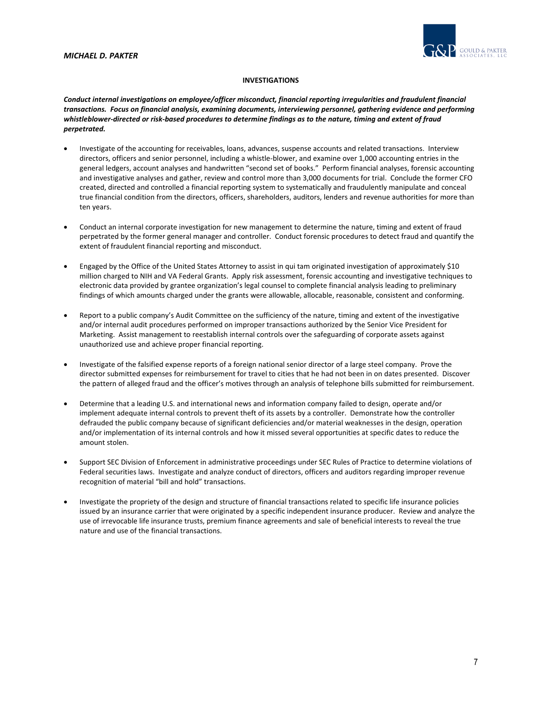

# **INVESTIGATIONS**

*Conduct internal investigations on employee/officer misconduct, financial reporting irregularities and fraudulent financial transactions. Focus on financial analysis, examining documents, interviewing personnel, gathering evidence and performing* whistleblower-directed or risk-based procedures to determine findings as to the nature, timing and extent of fraud *perpetrated.*

- Investigate of the accounting for receivables, loans, advances, suspense accounts and related transactions. Interview directors, officers and senior personnel, including a whistle‐blower, and examine over 1,000 accounting entries in the general ledgers, account analyses and handwritten "second set of books." Perform financial analyses, forensic accounting and investigative analyses and gather, review and control more than 3,000 documents for trial. Conclude the former CFO created, directed and controlled a financial reporting system to systematically and fraudulently manipulate and conceal true financial condition from the directors, officers, shareholders, auditors, lenders and revenue authorities for more than ten years.
- Conduct an internal corporate investigation for new management to determine the nature, timing and extent of fraud perpetrated by the former general manager and controller. Conduct forensic procedures to detect fraud and quantify the extent of fraudulent financial reporting and misconduct.
- Engaged by the Office of the United States Attorney to assist in qui tam originated investigation of approximately \$10 million charged to NIH and VA Federal Grants. Apply risk assessment, forensic accounting and investigative techniques to electronic data provided by grantee organization's legal counsel to complete financial analysis leading to preliminary findings of which amounts charged under the grants were allowable, allocable, reasonable, consistent and conforming.
- Report to a public company's Audit Committee on the sufficiency of the nature, timing and extent of the investigative and/or internal audit procedures performed on improper transactions authorized by the Senior Vice President for Marketing. Assist management to reestablish internal controls over the safeguarding of corporate assets against unauthorized use and achieve proper financial reporting.
- Investigate of the falsified expense reports of a foreign national senior director of a large steel company. Prove the director submitted expenses for reimbursement for travel to cities that he had not been in on dates presented. Discover the pattern of alleged fraud and the officer's motives through an analysis of telephone bills submitted for reimbursement.
- Determine that a leading U.S. and international news and information company failed to design, operate and/or implement adequate internal controls to prevent theft of its assets by a controller. Demonstrate how the controller defrauded the public company because of significant deficiencies and/or material weaknesses in the design, operation and/or implementation of its internal controls and how it missed several opportunities at specific dates to reduce the amount stolen.
- Support SEC Division of Enforcement in administrative proceedings under SEC Rules of Practice to determine violations of Federal securities laws. Investigate and analyze conduct of directors, officers and auditors regarding improper revenue recognition of material "bill and hold" transactions.
- Investigate the propriety of the design and structure of financial transactions related to specific life insurance policies issued by an insurance carrier that were originated by a specific independent insurance producer. Review and analyze the use of irrevocable life insurance trusts, premium finance agreements and sale of beneficial interests to reveal the true nature and use of the financial transactions.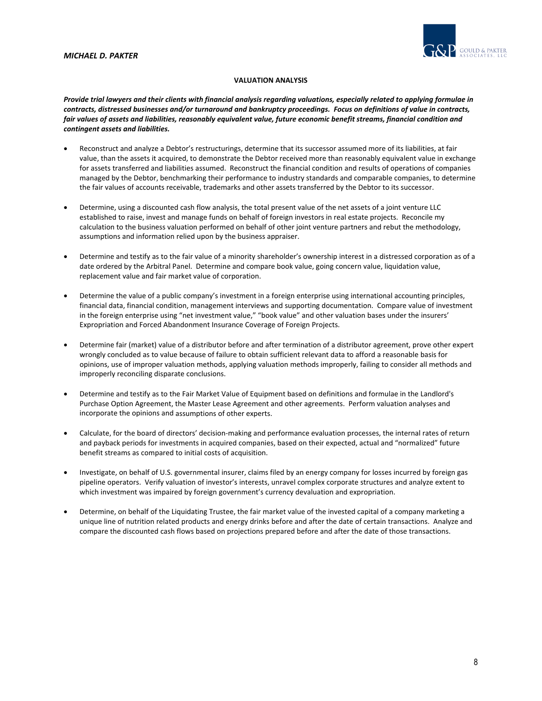

# **VALUATION ANALYSIS**

Provide trial lawyers and their clients with financial analysis regarding valuations, especially related to applying formulae in contracts, distressed businesses and/or turnaround and bankruptcy proceedings. Focus on definitions of value in contracts, fair values of assets and liabilities, reasonably equivalent value, future economic benefit streams, financial condition and *contingent assets and liabilities.*

- Reconstruct and analyze a Debtor's restructurings, determine that its successor assumed more of its liabilities, at fair value, than the assets it acquired, to demonstrate the Debtor received more than reasonably equivalent value in exchange for assets transferred and liabilities assumed. Reconstruct the financial condition and results of operations of companies managed by the Debtor, benchmarking their performance to industry standards and comparable companies, to determine the fair values of accounts receivable, trademarks and other assets transferred by the Debtor to its successor.
- Determine, using a discounted cash flow analysis, the total present value of the net assets of a joint venture LLC established to raise, invest and manage funds on behalf of foreign investors in real estate projects. Reconcile my calculation to the business valuation performed on behalf of other joint venture partners and rebut the methodology, assumptions and information relied upon by the business appraiser.
- Determine and testify as to the fair value of a minority shareholder's ownership interest in a distressed corporation as of a date ordered by the Arbitral Panel. Determine and compare book value, going concern value, liquidation value, replacement value and fair market value of corporation.
- Determine the value of a public company's investment in a foreign enterprise using international accounting principles, financial data, financial condition, management interviews and supporting documentation. Compare value of investment in the foreign enterprise using "net investment value," "book value" and other valuation bases under the insurers' Expropriation and Forced Abandonment Insurance Coverage of Foreign Projects.
- Determine fair (market) value of a distributor before and after termination of a distributor agreement, prove other expert wrongly concluded as to value because of failure to obtain sufficient relevant data to afford a reasonable basis for opinions, use of improper valuation methods, applying valuation methods improperly, failing to consider all methods and improperly reconciling disparate conclusions.
- Determine and testify as to the Fair Market Value of Equipment based on definitions and formulae in the Landlord's Purchase Option Agreement, the Master Lease Agreement and other agreements. Perform valuation analyses and incorporate the opinions and assumptions of other experts.
- Calculate, for the board of directors' decision‐making and performance evaluation processes, the internal rates of return and payback periods for investments in acquired companies, based on their expected, actual and "normalized" future benefit streams as compared to initial costs of acquisition.
- Investigate, on behalf of U.S. governmental insurer, claims filed by an energy company for losses incurred by foreign gas pipeline operators. Verify valuation of investor's interests, unravel complex corporate structures and analyze extent to which investment was impaired by foreign government's currency devaluation and expropriation.
- Determine, on behalf of the Liquidating Trustee, the fair market value of the invested capital of a company marketing a unique line of nutrition related products and energy drinks before and after the date of certain transactions. Analyze and compare the discounted cash flows based on projections prepared before and after the date of those transactions.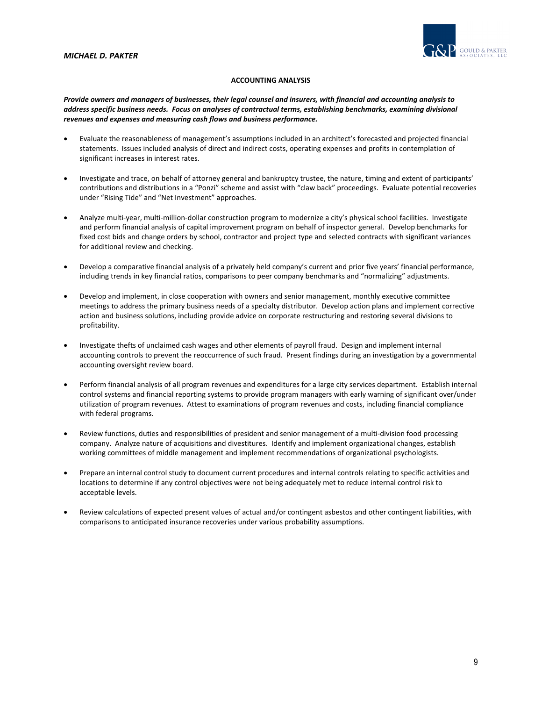

# **ACCOUNTING ANALYSIS**

Provide owners and managers of businesses, their legal counsel and insurers, with financial and accounting analysis to *address specific business needs. Focus on analyses of contractual terms, establishing benchmarks, examining divisional revenues and expenses and measuring cash flows and business performance.*

- Evaluate the reasonableness of management's assumptions included in an architect's forecasted and projected financial statements. Issues included analysis of direct and indirect costs, operating expenses and profits in contemplation of significant increases in interest rates.
- Investigate and trace, on behalf of attorney general and bankruptcy trustee, the nature, timing and extent of participants' contributions and distributions in a "Ponzi" scheme and assist with "claw back" proceedings. Evaluate potential recoveries under "Rising Tide" and "Net Investment" approaches.
- Analyze multi‐year, multi‐million‐dollar construction program to modernize a city's physical school facilities. Investigate and perform financial analysis of capital improvement program on behalf of inspector general. Develop benchmarks for fixed cost bids and change orders by school, contractor and project type and selected contracts with significant variances for additional review and checking.
- Develop a comparative financial analysis of a privately held company's current and prior five years' financial performance, including trends in key financial ratios, comparisons to peer company benchmarks and "normalizing" adjustments.
- Develop and implement, in close cooperation with owners and senior management, monthly executive committee meetings to address the primary business needs of a specialty distributor. Develop action plans and implement corrective action and business solutions, including provide advice on corporate restructuring and restoring several divisions to profitability.
- Investigate thefts of unclaimed cash wages and other elements of payroll fraud. Design and implement internal accounting controls to prevent the reoccurrence of such fraud. Present findings during an investigation by a governmental accounting oversight review board.
- Perform financial analysis of all program revenues and expenditures for a large city services department. Establish internal control systems and financial reporting systems to provide program managers with early warning of significant over/under utilization of program revenues. Attest to examinations of program revenues and costs, including financial compliance with federal programs.
- Review functions, duties and responsibilities of president and senior management of a multi‐division food processing company. Analyze nature of acquisitions and divestitures. Identify and implement organizational changes, establish working committees of middle management and implement recommendations of organizational psychologists.
- Prepare an internal control study to document current procedures and internal controls relating to specific activities and locations to determine if any control objectives were not being adequately met to reduce internal control risk to acceptable levels.
- Review calculations of expected present values of actual and/or contingent asbestos and other contingent liabilities, with comparisons to anticipated insurance recoveries under various probability assumptions.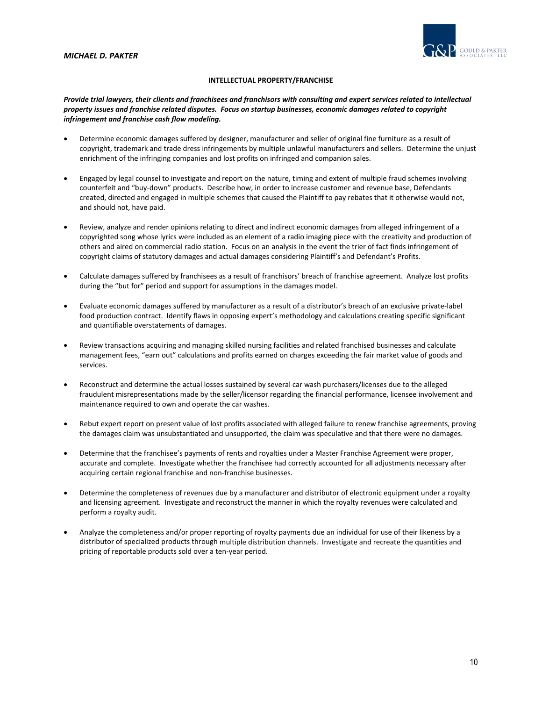

# **INTELLECTUAL PROPERTY/FRANCHISE**

# Provide trial lawyers, their clients and franchisees and franchisors with consulting and expert services related to intellectual property issues and franchise related disputes. Focus on startup businesses, economic damages related to copyright *infringement and franchise cash flow modeling.*

- Determine economic damages suffered by designer, manufacturer and seller of original fine furniture as a result of copyright, trademark and trade dress infringements by multiple unlawful manufacturers and sellers. Determine the unjust enrichment of the infringing companies and lost profits on infringed and companion sales.
- Engaged by legal counsel to investigate and report on the nature, timing and extent of multiple fraud schemes involving counterfeit and "buy‐down" products. Describe how, in order to increase customer and revenue base, Defendants created, directed and engaged in multiple schemes that caused the Plaintiff to pay rebates that it otherwise would not, and should not, have paid.
- Review, analyze and render opinions relating to direct and indirect economic damages from alleged infringement of a copyrighted song whose lyrics were included as an element of a radio imaging piece with the creativity and production of others and aired on commercial radio station. Focus on an analysis in the event the trier of fact finds infringement of copyright claims of statutory damages and actual damages considering Plaintiff's and Defendant's Profits.
- Calculate damages suffered by franchisees as a result of franchisors' breach of franchise agreement. Analyze lost profits during the "but for" period and support for assumptions in the damages model.
- Evaluate economic damages suffered by manufacturer as a result of a distributor's breach of an exclusive private‐label food production contract. Identify flaws in opposing expert's methodology and calculations creating specific significant and quantifiable overstatements of damages.
- Review transactions acquiring and managing skilled nursing facilities and related franchised businesses and calculate management fees, "earn out" calculations and profits earned on charges exceeding the fair market value of goods and services.
- Reconstruct and determine the actual losses sustained by several car wash purchasers/licenses due to the alleged fraudulent misrepresentations made by the seller/licensor regarding the financial performance, licensee involvement and maintenance required to own and operate the car washes.
- Rebut expert report on present value of lost profits associated with alleged failure to renew franchise agreements, proving the damages claim was unsubstantiated and unsupported, the claim was speculative and that there were no damages.
- Determine that the franchisee's payments of rents and royalties under a Master Franchise Agreement were proper, accurate and complete. Investigate whether the franchisee had correctly accounted for all adjustments necessary after acquiring certain regional franchise and non‐franchise businesses.
- Determine the completeness of revenues due by a manufacturer and distributor of electronic equipment under a royalty and licensing agreement. Investigate and reconstruct the manner in which the royalty revenues were calculated and perform a royalty audit.
- Analyze the completeness and/or proper reporting of royalty payments due an individual for use of their likeness by a distributor of specialized products through multiple distribution channels. Investigate and recreate the quantities and pricing of reportable products sold over a ten‐year period.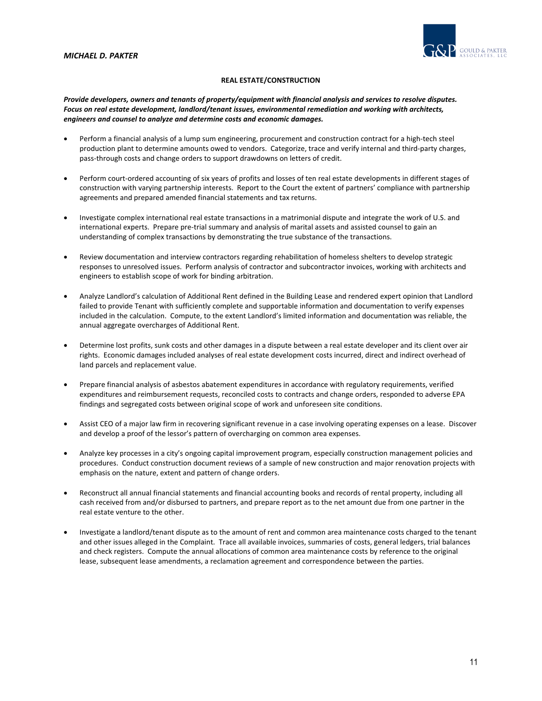

# **REAL ESTATE/CONSTRUCTION**

Provide developers, owners and tenants of property/equipment with financial analysis and services to resolve disputes. *Focus on real estate development, landlord/tenant issues, environmental remediation and working with architects, engineers and counsel to analyze and determine costs and economic damages.* 

- Perform a financial analysis of a lump sum engineering, procurement and construction contract for a high-tech steel production plant to determine amounts owed to vendors. Categorize, trace and verify internal and third-party charges, pass‐through costs and change orders to support drawdowns on letters of credit.
- Perform court-ordered accounting of six years of profits and losses of ten real estate developments in different stages of construction with varying partnership interests. Report to the Court the extent of partners' compliance with partnership agreements and prepared amended financial statements and tax returns.
- Investigate complex international real estate transactions in a matrimonial dispute and integrate the work of U.S. and international experts. Prepare pre‐trial summary and analysis of marital assets and assisted counsel to gain an understanding of complex transactions by demonstrating the true substance of the transactions.
- Review documentation and interview contractors regarding rehabilitation of homeless shelters to develop strategic responses to unresolved issues. Perform analysis of contractor and subcontractor invoices, working with architects and engineers to establish scope of work for binding arbitration.
- Analyze Landlord's calculation of Additional Rent defined in the Building Lease and rendered expert opinion that Landlord failed to provide Tenant with sufficiently complete and supportable information and documentation to verify expenses included in the calculation. Compute, to the extent Landlord's limited information and documentation was reliable, the annual aggregate overcharges of Additional Rent.
- Determine lost profits, sunk costs and other damages in a dispute between a real estate developer and its client over air rights. Economic damages included analyses of real estate development costs incurred, direct and indirect overhead of land parcels and replacement value.
- Prepare financial analysis of asbestos abatement expenditures in accordance with regulatory requirements, verified expenditures and reimbursement requests, reconciled costs to contracts and change orders, responded to adverse EPA findings and segregated costs between original scope of work and unforeseen site conditions.
- Assist CEO of a major law firm in recovering significant revenue in a case involving operating expenses on a lease. Discover and develop a proof of the lessor's pattern of overcharging on common area expenses.
- Analyze key processes in a city's ongoing capital improvement program, especially construction management policies and procedures. Conduct construction document reviews of a sample of new construction and major renovation projects with emphasis on the nature, extent and pattern of change orders.
- Reconstruct all annual financial statements and financial accounting books and records of rental property, including all cash received from and/or disbursed to partners, and prepare report as to the net amount due from one partner in the real estate venture to the other.
- Investigate a landlord/tenant dispute as to the amount of rent and common area maintenance costs charged to the tenant and other issues alleged in the Complaint. Trace all available invoices, summaries of costs, general ledgers, trial balances and check registers. Compute the annual allocations of common area maintenance costs by reference to the original lease, subsequent lease amendments, a reclamation agreement and correspondence between the parties.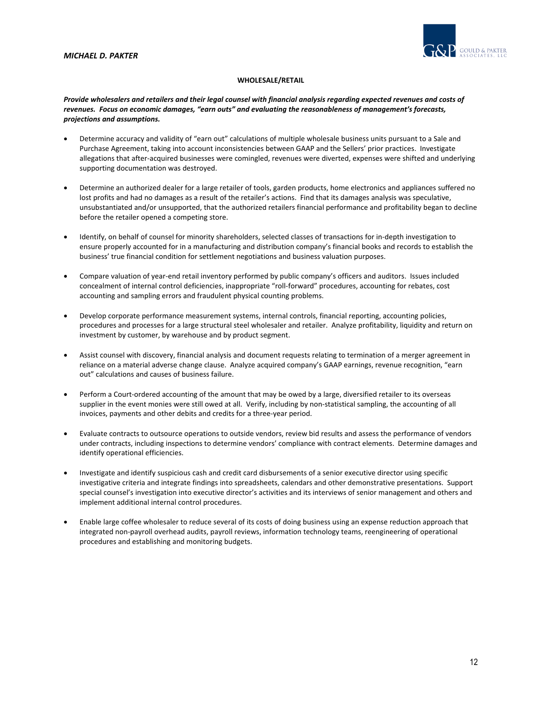

# **WHOLESALE/RETAIL**

Provide wholesalers and retailers and their legal counsel with financial analysis regarding expected revenues and costs of *revenues. Focus on economic damages, "earn outs" and evaluating the reasonableness of management's forecasts, projections and assumptions.*

- Determine accuracy and validity of "earn out" calculations of multiple wholesale business units pursuant to a Sale and Purchase Agreement, taking into account inconsistencies between GAAP and the Sellers' prior practices. Investigate allegations that after‐acquired businesses were comingled, revenues were diverted, expenses were shifted and underlying supporting documentation was destroyed.
- Determine an authorized dealer for a large retailer of tools, garden products, home electronics and appliances suffered no lost profits and had no damages as a result of the retailer's actions. Find that its damages analysis was speculative, unsubstantiated and/or unsupported, that the authorized retailers financial performance and profitability began to decline before the retailer opened a competing store.
- Identify, on behalf of counsel for minority shareholders, selected classes of transactions for in‐depth investigation to ensure properly accounted for in a manufacturing and distribution company's financial books and records to establish the business' true financial condition for settlement negotiations and business valuation purposes.
- Compare valuation of year‐end retail inventory performed by public company's officers and auditors. Issues included concealment of internal control deficiencies, inappropriate "roll‐forward" procedures, accounting for rebates, cost accounting and sampling errors and fraudulent physical counting problems.
- Develop corporate performance measurement systems, internal controls, financial reporting, accounting policies, procedures and processes for a large structural steel wholesaler and retailer. Analyze profitability, liquidity and return on investment by customer, by warehouse and by product segment.
- Assist counsel with discovery, financial analysis and document requests relating to termination of a merger agreement in reliance on a material adverse change clause. Analyze acquired company's GAAP earnings, revenue recognition, "earn out" calculations and causes of business failure.
- Perform a Court-ordered accounting of the amount that may be owed by a large, diversified retailer to its overseas supplier in the event monies were still owed at all. Verify, including by non-statistical sampling, the accounting of all invoices, payments and other debits and credits for a three‐year period.
- Evaluate contracts to outsource operations to outside vendors, review bid results and assess the performance of vendors under contracts, including inspections to determine vendors' compliance with contract elements. Determine damages and identify operational efficiencies.
- Investigate and identify suspicious cash and credit card disbursements of a senior executive director using specific investigative criteria and integrate findings into spreadsheets, calendars and other demonstrative presentations. Support special counsel's investigation into executive director's activities and its interviews of senior management and others and implement additional internal control procedures.
- Enable large coffee wholesaler to reduce several of its costs of doing business using an expense reduction approach that integrated non‐payroll overhead audits, payroll reviews, information technology teams, reengineering of operational procedures and establishing and monitoring budgets.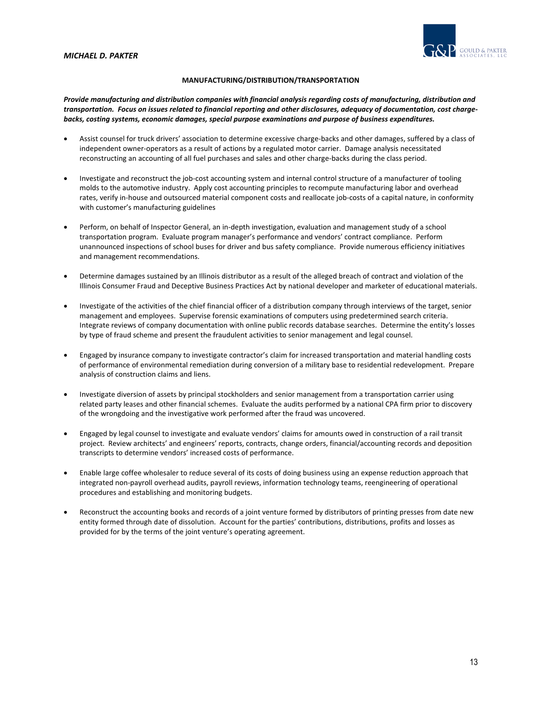

# **MANUFACTURING/DISTRIBUTION/TRANSPORTATION**

*Provide manufacturing and distribution companies with financial analysis regarding costs of manufacturing, distribution and* transportation. Focus on issues related to financial reporting and other disclosures, adequacy of documentation, cost charge*backs, costing systems, economic damages, special purpose examinations and purpose of business expenditures.*

- Assist counsel for truck drivers' association to determine excessive charge‐backs and other damages, suffered by a class of independent owner‐operators as a result of actions by a regulated motor carrier. Damage analysis necessitated reconstructing an accounting of all fuel purchases and sales and other charge-backs during the class period.
- Investigate and reconstruct the job-cost accounting system and internal control structure of a manufacturer of tooling molds to the automotive industry. Apply cost accounting principles to recompute manufacturing labor and overhead rates, verify in-house and outsourced material component costs and reallocate job-costs of a capital nature, in conformity with customer's manufacturing guidelines
- Perform, on behalf of Inspector General, an in‐depth investigation, evaluation and management study of a school transportation program. Evaluate program manager's performance and vendors' contract compliance. Perform unannounced inspections of school buses for driver and bus safety compliance. Provide numerous efficiency initiatives and management recommendations.
- Determine damages sustained by an Illinois distributor as a result of the alleged breach of contract and violation of the Illinois Consumer Fraud and Deceptive Business Practices Act by national developer and marketer of educational materials.
- Investigate of the activities of the chief financial officer of a distribution company through interviews of the target, senior management and employees. Supervise forensic examinations of computers using predetermined search criteria. Integrate reviews of company documentation with online public records database searches. Determine the entity's losses by type of fraud scheme and present the fraudulent activities to senior management and legal counsel.
- Engaged by insurance company to investigate contractor's claim for increased transportation and material handling costs of performance of environmental remediation during conversion of a military base to residential redevelopment. Prepare analysis of construction claims and liens.
- Investigate diversion of assets by principal stockholders and senior management from a transportation carrier using related party leases and other financial schemes. Evaluate the audits performed by a national CPA firm prior to discovery of the wrongdoing and the investigative work performed after the fraud was uncovered.
- Engaged by legal counsel to investigate and evaluate vendors' claims for amounts owed in construction of a rail transit project. Review architects' and engineers' reports, contracts, change orders, financial/accounting records and deposition transcripts to determine vendors' increased costs of performance.
- Enable large coffee wholesaler to reduce several of its costs of doing business using an expense reduction approach that integrated non‐payroll overhead audits, payroll reviews, information technology teams, reengineering of operational procedures and establishing and monitoring budgets.
- Reconstruct the accounting books and records of a joint venture formed by distributors of printing presses from date new entity formed through date of dissolution. Account for the parties' contributions, distributions, profits and losses as provided for by the terms of the joint venture's operating agreement.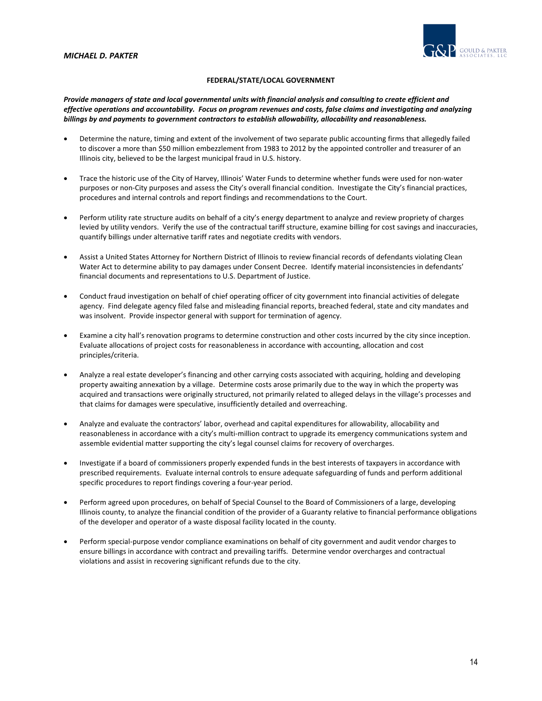

# **FEDERAL/STATE/LOCAL GOVERNMENT**

Provide managers of state and local governmental units with financial analysis and consulting to create efficient and effective operations and accountability. Focus on program revenues and costs, false claims and investigating and analyzing *billings by and payments to government contractors to establish allowability, allocability and reasonableness.* 

- Determine the nature, timing and extent of the involvement of two separate public accounting firms that allegedly failed to discover a more than \$50 million embezzlement from 1983 to 2012 by the appointed controller and treasurer of an Illinois city, believed to be the largest municipal fraud in U.S. history.
- Trace the historic use of the City of Harvey, Illinois' Water Funds to determine whether funds were used for non‐water purposes or non‐City purposes and assess the City's overall financial condition. Investigate the City's financial practices, procedures and internal controls and report findings and recommendations to the Court.
- Perform utility rate structure audits on behalf of a city's energy department to analyze and review propriety of charges levied by utility vendors. Verify the use of the contractual tariff structure, examine billing for cost savings and inaccuracies, quantify billings under alternative tariff rates and negotiate credits with vendors.
- Assist a United States Attorney for Northern District of Illinois to review financial records of defendants violating Clean Water Act to determine ability to pay damages under Consent Decree. Identify material inconsistencies in defendants' financial documents and representations to U.S. Department of Justice.
- Conduct fraud investigation on behalf of chief operating officer of city government into financial activities of delegate agency. Find delegate agency filed false and misleading financial reports, breached federal, state and city mandates and was insolvent. Provide inspector general with support for termination of agency.
- Examine a city hall's renovation programs to determine construction and other costs incurred by the city since inception. Evaluate allocations of project costs for reasonableness in accordance with accounting, allocation and cost principles/criteria.
- Analyze a real estate developer's financing and other carrying costs associated with acquiring, holding and developing property awaiting annexation by a village. Determine costs arose primarily due to the way in which the property was acquired and transactions were originally structured, not primarily related to alleged delays in the village's processes and that claims for damages were speculative, insufficiently detailed and overreaching.
- Analyze and evaluate the contractors' labor, overhead and capital expenditures for allowability, allocability and reasonableness in accordance with a city's multi-million contract to upgrade its emergency communications system and assemble evidential matter supporting the city's legal counsel claims for recovery of overcharges.
- Investigate if a board of commissioners properly expended funds in the best interests of taxpayers in accordance with prescribed requirements. Evaluate internal controls to ensure adequate safeguarding of funds and perform additional specific procedures to report findings covering a four‐year period.
- Perform agreed upon procedures, on behalf of Special Counsel to the Board of Commissioners of a large, developing Illinois county, to analyze the financial condition of the provider of a Guaranty relative to financial performance obligations of the developer and operator of a waste disposal facility located in the county.
- Perform special‐purpose vendor compliance examinations on behalf of city government and audit vendor charges to ensure billings in accordance with contract and prevailing tariffs. Determine vendor overcharges and contractual violations and assist in recovering significant refunds due to the city.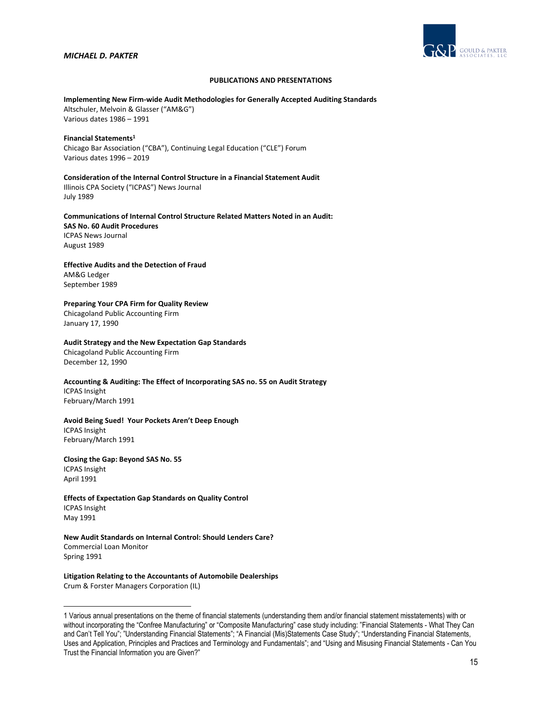

## **PUBLICATIONS AND PRESENTATIONS**

#### **Implementing New Firm‐wide Audit Methodologies for Generally Accepted Auditing Standards**

Altschuler, Melvoin & Glasser ("AM&G") Various dates 1986 – 1991

#### **Financial Statements1**

Chicago Bar Association ("CBA"), Continuing Legal Education ("CLE") Forum Various dates 1996 – 2019

### **Consideration of the Internal Control Structure in a Financial Statement Audit** Illinois CPA Society ("ICPAS") News Journal July 1989

# **Communications of Internal Control Structure Related Matters Noted in an Audit: SAS No. 60 Audit Procedures** ICPAS News Journal August 1989

# **Effective Audits and the Detection of Fraud** AM&G Ledger

September 1989

# **Preparing Your CPA Firm for Quality Review**

Chicagoland Public Accounting Firm January 17, 1990

### **Audit Strategy and the New Expectation Gap Standards**

Chicagoland Public Accounting Firm December 12, 1990

# **Accounting & Auditing: The Effect of Incorporating SAS no. 55 on Audit Strategy** ICPAS Insight February/March 1991

# **Avoid Being Sued! Your Pockets Aren't Deep Enough** ICPAS Insight February/March 1991

**Closing the Gap: Beyond SAS No. 55** ICPAS Insight April 1991

# **Effects of Expectation Gap Standards on Quality Control** ICPAS Insight May 1991

# **New Audit Standards on Internal Control: Should Lenders Care?** Commercial Loan Monitor Spring 1991

### **Litigation Relating to the Accountants of Automobile Dealerships** Crum & Forster Managers Corporation (IL)

<sup>1</sup> Various annual presentations on the theme of financial statements (understanding them and/or financial statement misstatements) with or without incorporating the "Confree Manufacturing" or "Composite Manufacturing" case study including: "Financial Statements - What They Can and Can't Tell You"; "Understanding Financial Statements"; "A Financial (Mis)Statements Case Study"; "Understanding Financial Statements, Uses and Application, Principles and Practices and Terminology and Fundamentals"; and "Using and Misusing Financial Statements - Can You Trust the Financial Information you are Given?"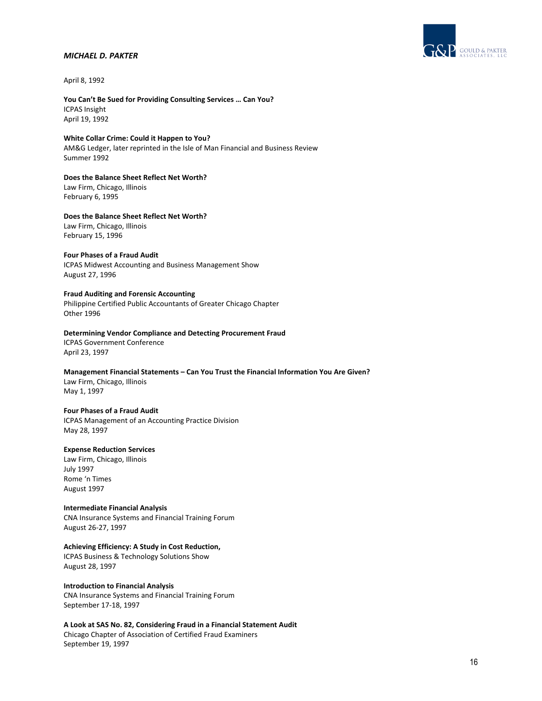

April 8, 1992

## **You Can't Be Sued for Providing Consulting Services … Can You?** ICPAS Insight April 19, 1992

**White Collar Crime: Could it Happen to You?** AM&G Ledger, later reprinted in the Isle of Man Financial and Business Review Summer 1992

**Does the Balance Sheet Reflect Net Worth?** Law Firm, Chicago, Illinois February 6, 1995

**Does the Balance Sheet Reflect Net Worth?** Law Firm, Chicago, Illinois February 15, 1996

### **Four Phases of a Fraud Audit**

ICPAS Midwest Accounting and Business Management Show August 27, 1996

#### **Fraud Auditing and Forensic Accounting**

Philippine Certified Public Accountants of Greater Chicago Chapter Other 1996

#### **Determining Vendor Compliance and Detecting Procurement Fraud** ICPAS Government Conference

April 23, 1997

# **Management Financial Statements – Can You Trust the Financial Information You Are Given?**

Law Firm, Chicago, Illinois May 1, 1997

### **Four Phases of a Fraud Audit**

ICPAS Management of an Accounting Practice Division May 28, 1997

# **Expense Reduction Services**

Law Firm, Chicago, Illinois July 1997 Rome 'n Times August 1997

# **Intermediate Financial Analysis**

CNA Insurance Systems and Financial Training Forum August 26‐27, 1997

# **Achieving Efficiency: A Study in Cost Reduction,**

ICPAS Business & Technology Solutions Show August 28, 1997

### **Introduction to Financial Analysis**

CNA Insurance Systems and Financial Training Forum September 17‐18, 1997

**A Look at SAS No. 82, Considering Fraud in a Financial Statement Audit**

Chicago Chapter of Association of Certified Fraud Examiners September 19, 1997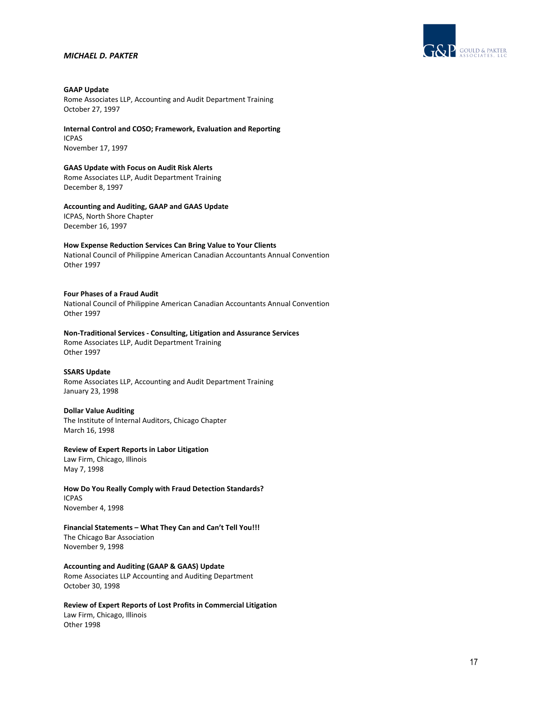

# **GAAP Update**

Rome Associates LLP, Accounting and Audit Department Training October 27, 1997

**Internal Control and COSO; Framework, Evaluation and Reporting** ICPAS November 17, 1997

# **GAAS Update with Focus on Audit Risk Alerts**

Rome Associates LLP, Audit Department Training December 8, 1997

# **Accounting and Auditing, GAAP and GAAS Update**

ICPAS, North Shore Chapter December 16, 1997

# **How Expense Reduction Services Can Bring Value to Your Clients**

National Council of Philippine American Canadian Accountants Annual Convention Other 1997

### **Four Phases of a Fraud Audit**

National Council of Philippine American Canadian Accountants Annual Convention Other 1997

**Non‐Traditional Services ‐ Consulting, Litigation and Assurance Services** Rome Associates LLP, Audit Department Training Other 1997

### **SSARS Update**

Rome Associates LLP, Accounting and Audit Department Training January 23, 1998

### **Dollar Value Auditing**

The Institute of Internal Auditors, Chicago Chapter March 16, 1998

### **Review of Expert Reports in Labor Litigation**

Law Firm, Chicago, Illinois May 7, 1998

**How Do You Really Comply with Fraud Detection Standards?** ICPAS November 4, 1998

# **Financial Statements – What They Can and Can't Tell You!!!** The Chicago Bar Association November 9, 1998

**Accounting and Auditing (GAAP & GAAS) Update** Rome Associates LLP Accounting and Auditing Department October 30, 1998

**Review of Expert Reports of Lost Profits in Commercial Litigation** Law Firm, Chicago, Illinois Other 1998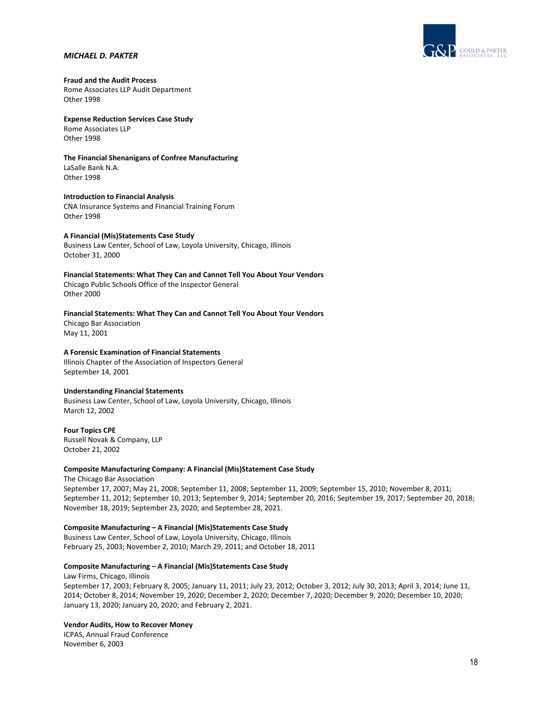

# **Fraud and the Audit Process**

Rome Associates LLP Audit Department Other 1998

# **Expense Reduction Services Case Study** Rome Associates LLP

Other 1998

#### **The Financial Shenanigans of Confree Manufacturing** LaSalle Bank N.A. Other 1998

**Introduction to Financial Analysis** CNA Insurance Systems and Financial Training Forum Other 1998

### **A Financial (Mis)Statements Case Study**

Business Law Center, School of Law, Loyola University, Chicago, Illinois October 31, 2000

**Financial Statements: What They Can and Cannot Tell You About Your Vendors** Chicago Public Schools Office of the Inspector General Other 2000

# **Financial Statements: What They Can and Cannot Tell You About Your Vendors** Chicago Bar Association May 11, 2001

### **A Forensic Examination of Financial Statements**

Illinois Chapter of the Association of Inspectors General September 14, 2001

### **Understanding Financial Statements**

Business Law Center, School of Law, Loyola University, Chicago, Illinois March 12, 2002

**Four Topics CPE** Russell Novak & Company, LLP October 21, 2002

### **Composite Manufacturing Company: A Financial (Mis)Statement Case Study**

The Chicago Bar Association September 17, 2007; May 21, 2008; September 11, 2008; September 11, 2009; September 15, 2010; November 8, 2011; September 11, 2012; September 10, 2013; September 9, 2014; September 20, 2016; September 19, 2017; September 20, 2018; November 18, 2019; September 23, 2020; and September 28, 2021.

# **Composite Manufacturing – A Financial (Mis)Statements Case Study**

Business Law Center, School of Law, Loyola University, Chicago, Illinois February 25, 2003; November 2, 2010; March 29, 2011; and October 18, 2011

### **Composite Manufacturing – A Financial (Mis)Statements Case Study**

Law Firms, Chicago, Illinois September 17, 2003; February 8, 2005; January 11, 2011; July 23, 2012; October 3, 2012; July 30, 2013; April 3, 2014; June 11, 2014; October 8, 2014; November 19, 2020; December 2, 2020; December 7, 2020; December 9, 2020; December 10, 2020; January 13, 2020; January 20, 2020; and February 2, 2021.

### **Vendor Audits, How to Recover Money**

ICPAS, Annual Fraud Conference November 6, 2003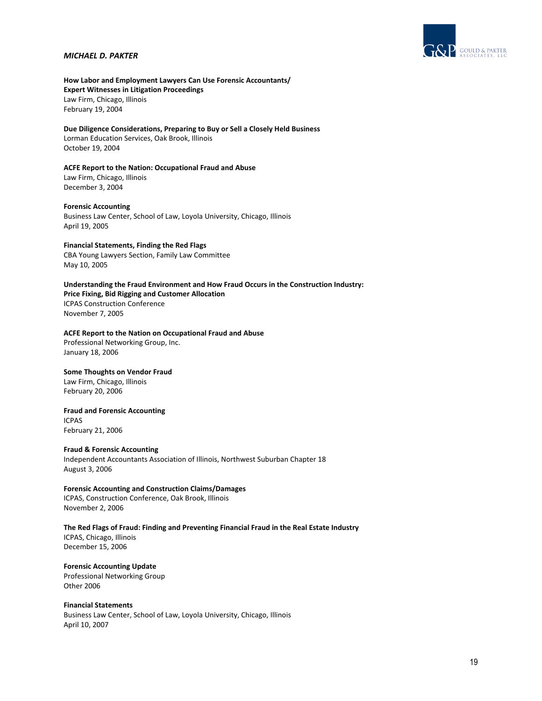

**How Labor and Employment Lawyers Can Use Forensic Accountants/ Expert Witnesses in Litigation Proceedings** Law Firm, Chicago, Illinois February 19, 2004

**Due Diligence Considerations, Preparing to Buy or Sell a Closely Held Business** Lorman Education Services, Oak Brook, Illinois October 19, 2004

**ACFE Report to the Nation: Occupational Fraud and Abuse** Law Firm, Chicago, Illinois December 3, 2004

#### **Forensic Accounting**

Business Law Center, School of Law, Loyola University, Chicago, Illinois April 19, 2005

### **Financial Statements, Finding the Red Flags**

CBA Young Lawyers Section, Family Law Committee May 10, 2005

**Understanding the Fraud Environment and How Fraud Occurs in the Construction Industry: Price Fixing, Bid Rigging and Customer Allocation** ICPAS Construction Conference November 7, 2005

#### **ACFE Report to the Nation on Occupational Fraud and Abuse**

Professional Networking Group, Inc. January 18, 2006

# **Some Thoughts on Vendor Fraud**

Law Firm, Chicago, Illinois February 20, 2006

### **Fraud and Forensic Accounting**

ICPAS February 21, 2006

#### **Fraud & Forensic Accounting**

Independent Accountants Association of Illinois, Northwest Suburban Chapter 18 August 3, 2006

**Forensic Accounting and Construction Claims/Damages** ICPAS, Construction Conference, Oak Brook, Illinois November 2, 2006

**The Red Flags of Fraud: Finding and Preventing Financial Fraud in the Real Estate Industry** ICPAS, Chicago, Illinois

December 15, 2006

**Forensic Accounting Update** Professional Networking Group Other 2006

**Financial Statements** Business Law Center, School of Law, Loyola University, Chicago, Illinois April 10, 2007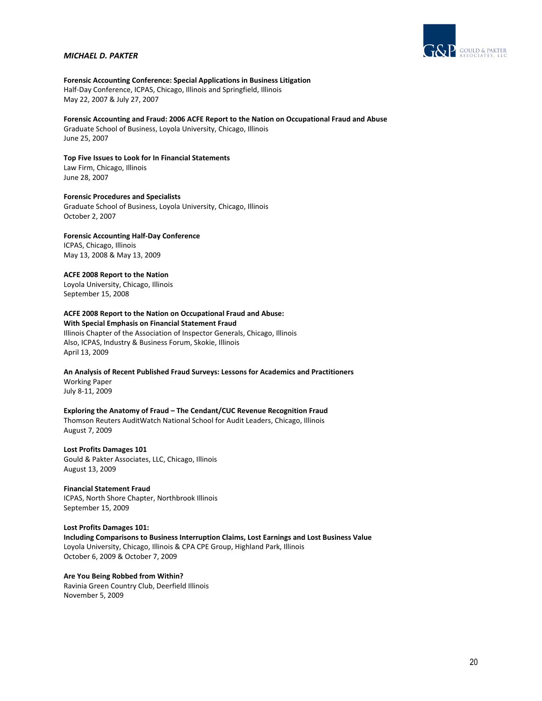

# **Forensic Accounting Conference: Special Applications in Business Litigation**

Half‐Day Conference, ICPAS, Chicago, Illinois and Springfield, Illinois May 22, 2007 & July 27, 2007

**Forensic Accounting and Fraud: 2006 ACFE Report to the Nation on Occupational Fraud and Abuse** Graduate School of Business, Loyola University, Chicago, Illinois June 25, 2007

**Top Five Issues to Look for In Financial Statements** Law Firm, Chicago, Illinois June 28, 2007

**Forensic Procedures and Specialists** Graduate School of Business, Loyola University, Chicago, Illinois October 2, 2007

**Forensic Accounting Half‐Day Conference** ICPAS, Chicago, Illinois May 13, 2008 & May 13, 2009

**ACFE 2008 Report to the Nation**

Loyola University, Chicago, Illinois September 15, 2008

# **ACFE 2008 Report to the Nation on Occupational Fraud and Abuse:**

**With Special Emphasis on Financial Statement Fraud** Illinois Chapter of the Association of Inspector Generals, Chicago, Illinois Also, ICPAS, Industry & Business Forum, Skokie, Illinois

April 13, 2009

**An Analysis of Recent Published Fraud Surveys: Lessons for Academics and Practitioners**

Working Paper July 8‐11, 2009

**Exploring the Anatomy of Fraud – The Cendant/CUC Revenue Recognition Fraud**

Thomson Reuters AuditWatch National School for Audit Leaders, Chicago, Illinois August 7, 2009

**Lost Profits Damages 101** Gould & Pakter Associates, LLC, Chicago, Illinois August 13, 2009

**Financial Statement Fraud** ICPAS, North Shore Chapter, Northbrook Illinois September 15, 2009

**Lost Profits Damages 101: Including Comparisons to Business Interruption Claims, Lost Earnings and Lost Business Value** Loyola University, Chicago, Illinois & CPA CPE Group, Highland Park, Illinois October 6, 2009 & October 7, 2009

**Are You Being Robbed from Within?** Ravinia Green Country Club, Deerfield Illinois November 5, 2009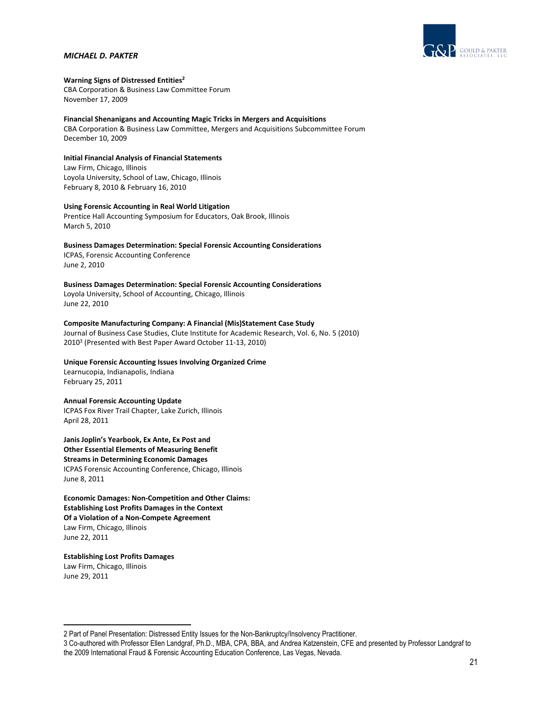

## **Warning Signs of Distressed Entities2**

CBA Corporation & Business Law Committee Forum November 17, 2009

#### **Financial Shenanigans and Accounting Magic Tricks in Mergers and Acquisitions**

CBA Corporation & Business Law Committee, Mergers and Acquisitions Subcommittee Forum December 10, 2009

# **Initial Financial Analysis of Financial Statements**

Law Firm, Chicago, Illinois Loyola University, School of Law, Chicago, Illinois February 8, 2010 & February 16, 2010

# **Using Forensic Accounting in Real World Litigation**

Prentice Hall Accounting Symposium for Educators, Oak Brook, Illinois March 5, 2010

# **Business Damages Determination: Special Forensic Accounting Considerations**

ICPAS, Forensic Accounting Conference June 2, 2010

# **Business Damages Determination: Special Forensic Accounting Considerations**

Loyola University, School of Accounting, Chicago, Illinois June 22, 2010

# **Composite Manufacturing Company: A Financial (Mis)Statement Case Study**

Journal of Business Case Studies, Clute Institute for Academic Research, Vol. 6, No. 5 (2010) 20103 (Presented with Best Paper Award October 11‐13, 2010)

# **Unique Forensic Accounting Issues Involving Organized Crime**

Learnucopia, Indianapolis, Indiana February 25, 2011

### **Annual Forensic Accounting Update**

ICPAS Fox River Trail Chapter, Lake Zurich, Illinois April 28, 2011

**Janis Joplin's Yearbook, Ex Ante, Ex Post and Other Essential Elements of Measuring Benefit Streams in Determining Economic Damages** ICPAS Forensic Accounting Conference, Chicago, Illinois June 8, 2011

# **Economic Damages: Non‐Competition and Other Claims: Establishing Lost Profits Damages in the Context Of a Violation of a Non‐Compete Agreement** Law Firm, Chicago, Illinois June 22, 2011

# **Establishing Lost Profits Damages**

Law Firm, Chicago, Illinois June 29, 2011

<sup>2</sup> Part of Panel Presentation: Distressed Entity Issues for the Non-Bankruptcy/Insolvency Practitioner.

<sup>3</sup> Co-authored with Professor Ellen Landgraf, Ph.D., MBA, CPA, BBA, and Andrea Katzenstein, CFE and presented by Professor Landgraf to the 2009 International Fraud & Forensic Accounting Education Conference, Las Vegas, Nevada.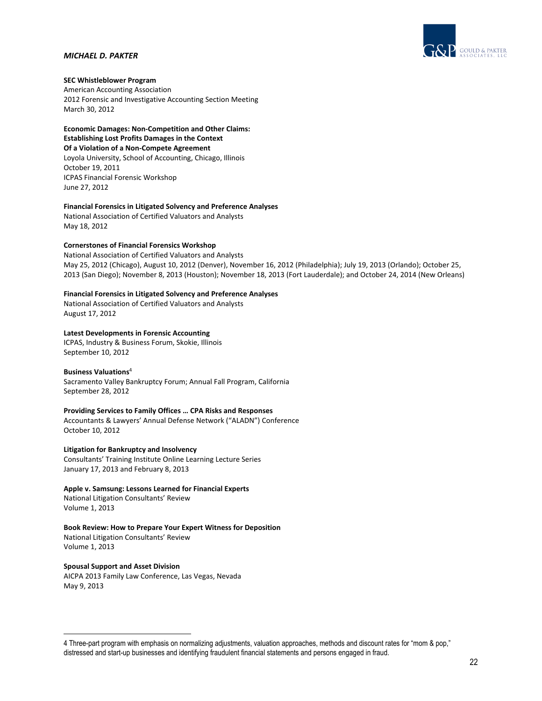

# **SEC Whistleblower Program**

American Accounting Association 2012 Forensic and Investigative Accounting Section Meeting March 30, 2012

**Economic Damages: Non‐Competition and Other Claims: Establishing Lost Profits Damages in the Context Of a Violation of a Non‐Compete Agreement** Loyola University, School of Accounting, Chicago, Illinois October 19, 2011 ICPAS Financial Forensic Workshop June 27, 2012

# **Financial Forensics in Litigated Solvency and Preference Analyses**

National Association of Certified Valuators and Analysts May 18, 2012

# **Cornerstones of Financial Forensics Workshop**

National Association of Certified Valuators and Analysts May 25, 2012 (Chicago), August 10, 2012 (Denver), November 16, 2012 (Philadelphia); July 19, 2013 (Orlando); October 25, 2013 (San Diego); November 8, 2013 (Houston); November 18, 2013 (Fort Lauderdale); and October 24, 2014 (New Orleans)

# **Financial Forensics in Litigated Solvency and Preference Analyses**

National Association of Certified Valuators and Analysts August 17, 2012

# **Latest Developments in Forensic Accounting**

ICPAS, Industry & Business Forum, Skokie, Illinois September 10, 2012

# **Business Valuations**<sup>4</sup>

Sacramento Valley Bankruptcy Forum; Annual Fall Program, California September 28, 2012

# **Providing Services to Family Offices … CPA Risks and Responses**

Accountants & Lawyers' Annual Defense Network ("ALADN") Conference October 10, 2012

**Litigation for Bankruptcy and Insolvency** Consultants' Training Institute Online Learning Lecture Series January 17, 2013 and February 8, 2013

#### **Apple v. Samsung: Lessons Learned for Financial Experts** National Litigation Consultants' Review

Volume 1, 2013

# **Book Review: How to Prepare Your Expert Witness for Deposition**

National Litigation Consultants' Review Volume 1, 2013

# **Spousal Support and Asset Division**

AICPA 2013 Family Law Conference, Las Vegas, Nevada May 9, 2013

<sup>4</sup> Three-part program with emphasis on normalizing adjustments, valuation approaches, methods and discount rates for "mom & pop," distressed and start-up businesses and identifying fraudulent financial statements and persons engaged in fraud.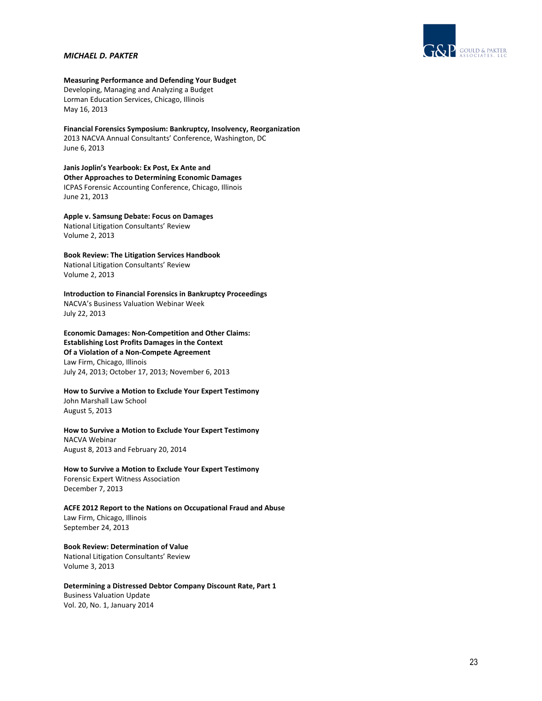

**Measuring Performance and Defending Your Budget** Developing, Managing and Analyzing a Budget Lorman Education Services, Chicago, Illinois May 16, 2013

**Financial Forensics Symposium: Bankruptcy, Insolvency, Reorganization** 2013 NACVA Annual Consultants' Conference, Washington, DC June 6, 2013

**Janis Joplin's Yearbook: Ex Post, Ex Ante and Other Approaches to Determining Economic Damages** ICPAS Forensic Accounting Conference, Chicago, Illinois June 21, 2013

**Apple v. Samsung Debate: Focus on Damages** National Litigation Consultants' Review Volume 2, 2013

**Book Review: The Litigation Services Handbook** National Litigation Consultants' Review Volume 2, 2013

**Introduction to Financial Forensics in Bankruptcy Proceedings** NACVA's Business Valuation Webinar Week July 22, 2013

**Economic Damages: Non‐Competition and Other Claims: Establishing Lost Profits Damages in the Context Of a Violation of a Non‐Compete Agreement** Law Firm, Chicago, Illinois July 24, 2013; October 17, 2013; November 6, 2013

**How to Survive a Motion to Exclude Your Expert Testimony** John Marshall Law School August 5, 2013

**How to Survive a Motion to Exclude Your Expert Testimony** NACVA Webinar August 8, 2013 and February 20, 2014

**How to Survive a Motion to Exclude Your Expert Testimony** Forensic Expert Witness Association December 7, 2013

**ACFE 2012 Report to the Nations on Occupational Fraud and Abuse** Law Firm, Chicago, Illinois September 24, 2013

**Book Review: Determination of Value** National Litigation Consultants' Review Volume 3, 2013

**Determining a Distressed Debtor Company Discount Rate, Part 1** Business Valuation Update Vol. 20, No. 1, January 2014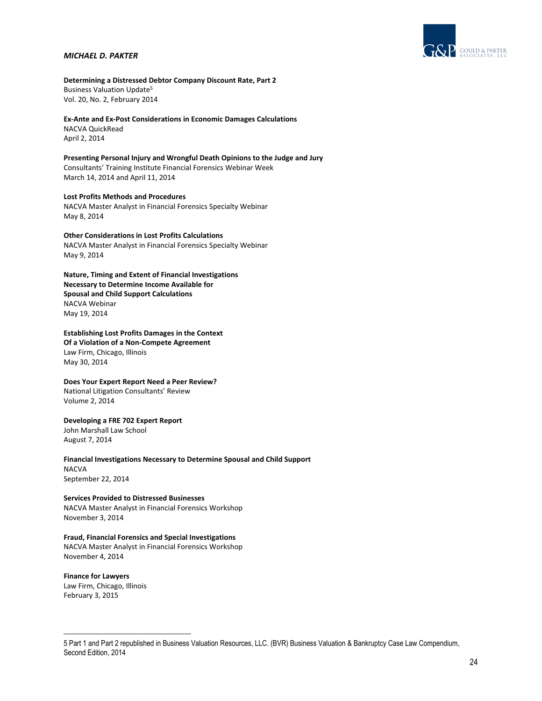

**Determining a Distressed Debtor Company Discount Rate, Part 2** Business Valuation Update5 Vol. 20, No. 2, February 2014

**Ex‐Ante and Ex‐Post Considerations in Economic Damages Calculations** NACVA QuickRead

April 2, 2014

**Presenting Personal Injury and Wrongful Death Opinions to the Judge and Jury** Consultants' Training Institute Financial Forensics Webinar Week March 14, 2014 and April 11, 2014

**Lost Profits Methods and Procedures** NACVA Master Analyst in Financial Forensics Specialty Webinar May 8, 2014

**Other Considerations in Lost Profits Calculations** NACVA Master Analyst in Financial Forensics Specialty Webinar May 9, 2014

**Nature, Timing and Extent of Financial Investigations Necessary to Determine Income Available for Spousal and Child Support Calculations** NACVA Webinar May 19, 2014

**Establishing Lost Profits Damages in the Context Of a Violation of a Non‐Compete Agreement** Law Firm, Chicago, Illinois May 30, 2014

## **Does Your Expert Report Need a Peer Review?**

National Litigation Consultants' Review Volume 2, 2014

# **Developing a FRE 702 Expert Report**

John Marshall Law School August 7, 2014

**Financial Investigations Necessary to Determine Spousal and Child Support** NACVA September 22, 2014

**Services Provided to Distressed Businesses**  NACVA Master Analyst in Financial Forensics Workshop November 3, 2014

# **Fraud, Financial Forensics and Special Investigations**

NACVA Master Analyst in Financial Forensics Workshop November 4, 2014

### **Finance for Lawyers**

Law Firm, Chicago, Illinois February 3, 2015

<sup>5</sup> Part 1 and Part 2 republished in Business Valuation Resources, LLC. (BVR) Business Valuation & Bankruptcy Case Law Compendium, Second Edition, 2014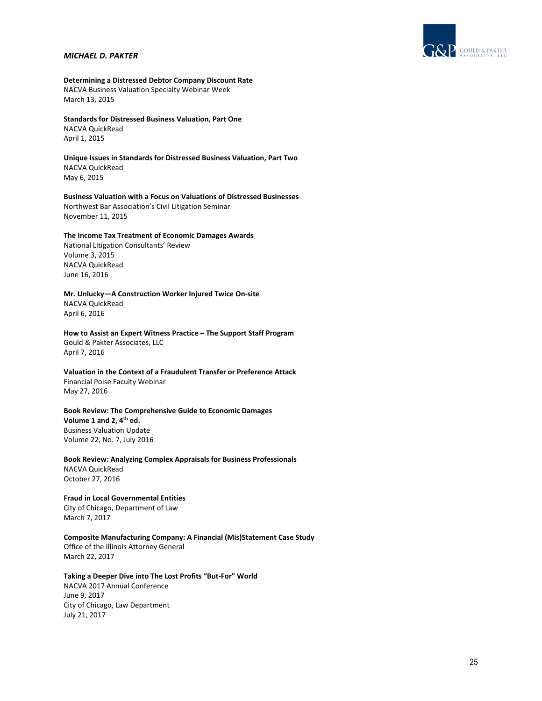

# **Determining a Distressed Debtor Company Discount Rate**

NACVA Business Valuation Specialty Webinar Week March 13, 2015

### **Standards for Distressed Business Valuation, Part One**

NACVA QuickRead April 1, 2015

# **Unique Issues in Standards for Distressed Business Valuation, Part Two** NACVA QuickRead

May 6, 2015

# **Business Valuation with a Focus on Valuations of Distressed Businesses** Northwest Bar Association's Civil Litigation Seminar November 11, 2015

# **The Income Tax Treatment of Economic Damages Awards**

National Litigation Consultants' Review Volume 3, 2015 NACVA QuickRead June 16, 2016

### **Mr. Unlucky—A Construction Worker Injured Twice On‐site** NACVA QuickRead

April 6, 2016

**How to Assist an Expert Witness Practice – The Support Staff Program**  Gould & Pakter Associates, LLC April 7, 2016

**Valuation in the Context of a Fraudulent Transfer or Preference Attack** Financial Poise Faculty Webinar May 27, 2016

# **Book Review: The Comprehensive Guide to Economic Damages**

**Volume 1 and 2, 4th ed.** Business Valuation Update Volume 22, No. 7, July 2016

**Book Review: Analyzing Complex Appraisals for Business Professionals**  NACVA QuickRead October 27, 2016

# **Fraud in Local Governmental Entities** City of Chicago, Department of Law March 7, 2017

**Composite Manufacturing Company: A Financial (Mis)Statement Case Study** Office of the Illinois Attorney General March 22, 2017

# **Taking a Deeper Dive into The Lost Profits "But‐For" World**

NACVA 2017 Annual Conference June 9, 2017 City of Chicago, Law Department July 21, 2017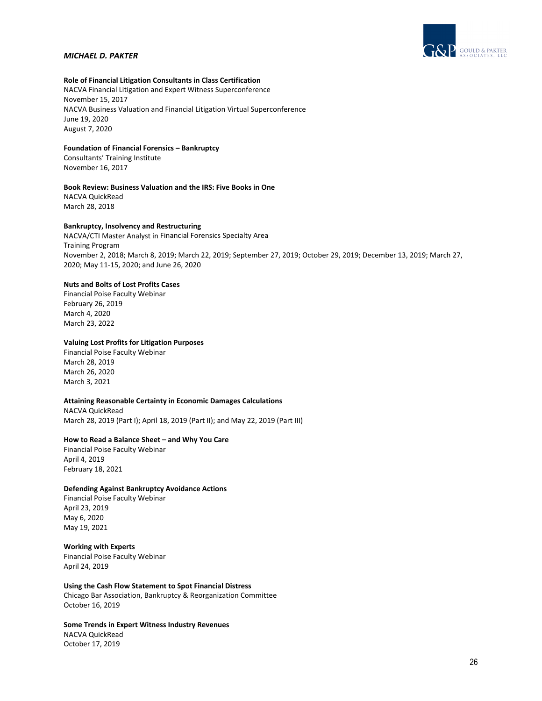

# **Role of Financial Litigation Consultants in Class Certification**

NACVA Financial Litigation and Expert Witness Superconference November 15, 2017 NACVA Business Valuation and Financial Litigation Virtual Superconference June 19, 2020 August 7, 2020

# **Foundation of Financial Forensics – Bankruptcy**

Consultants' Training Institute November 16, 2017

# **Book Review: Business Valuation and the IRS: Five Books in One**

NACVA QuickRead March 28, 2018

### **Bankruptcy, Insolvency and Restructuring**

NACVA/CTI Master Analyst in Financial Forensics Specialty Area Training Program November 2, 2018; March 8, 2019; March 22, 2019; September 27, 2019; October 29, 2019; December 13, 2019; March 27, 2020; May 11‐15, 2020; and June 26, 2020

# **Nuts and Bolts of Lost Profits Cases**

Financial Poise Faculty Webinar February 26, 2019 March 4, 2020 March 23, 2022

#### **Valuing Lost Profits for Litigation Purposes**

Financial Poise Faculty Webinar March 28, 2019 March 26, 2020 March 3, 2021

### **Attaining Reasonable Certainty in Economic Damages Calculations**

NACVA QuickRead March 28, 2019 (Part I); April 18, 2019 (Part II); and May 22, 2019 (Part III)

# **How to Read a Balance Sheet – and Why You Care**

Financial Poise Faculty Webinar April 4, 2019 February 18, 2021

### **Defending Against Bankruptcy Avoidance Actions**

Financial Poise Faculty Webinar April 23, 2019 May 6, 2020 May 19, 2021

# **Working with Experts**

Financial Poise Faculty Webinar April 24, 2019

**Using the Cash Flow Statement to Spot Financial Distress** Chicago Bar Association, Bankruptcy & Reorganization Committee October 16, 2019

# **Some Trends in Expert Witness Industry Revenues**

NACVA QuickRead October 17, 2019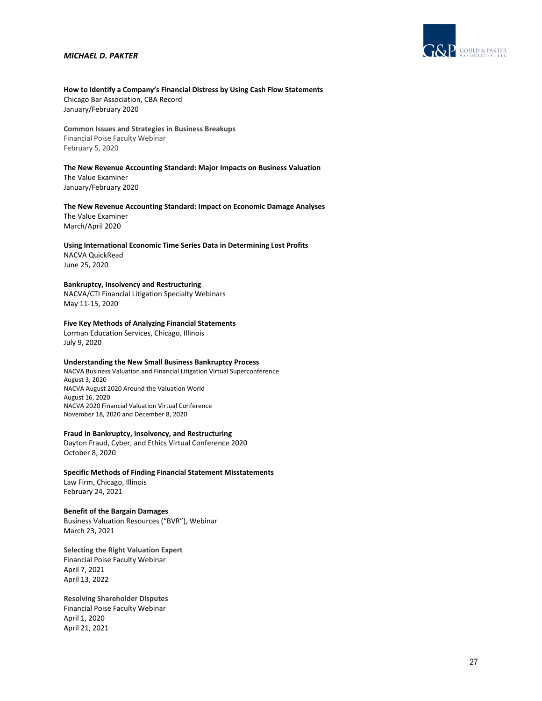

# **How to Identify a Company's Financial Distress by Using Cash Flow Statements** Chicago Bar Association, CBA Record

January/February 2020

**Common Issues and Strategies in Business Breakups** Financial Poise Faculty Webinar February 5, 2020

# **The New Revenue Accounting Standard: Major Impacts on Business Valuation**

The Value Examiner January/February 2020

# **The New Revenue Accounting Standard: Impact on Economic Damage Analyses** The Value Examiner

March/April 2020

#### **Using International Economic Time Series Data in Determining Lost Profits** NACVA QuickRead

June 25, 2020

# **Bankruptcy, Insolvency and Restructuring**

NACVA/CTI Financial Litigation Specialty Webinars May 11‐15, 2020

# **Five Key Methods of Analyzing Financial Statements**

Lorman Education Services, Chicago, Illinois July 9, 2020

# **Understanding the New Small Business Bankruptcy Process**

NACVA Business Valuation and Financial Litigation Virtual Superconference August 3, 2020 NACVA August 2020 Around the Valuation World August 16, 2020 NACVA 2020 Financial Valuation Virtual Conference November 18, 2020 and December 8, 2020

### **Fraud in Bankruptcy, Insolvency, and Restructuring**

Dayton Fraud, Cyber, and Ethics Virtual Conference 2020 October 8, 2020

# **Specific Methods of Finding Financial Statement Misstatements**

Law Firm, Chicago, Illinois February 24, 2021

# **Benefit of the Bargain Damages**

Business Valuation Resources ("BVR"), Webinar March 23, 2021

**Selecting the Right Valuation Expert** Financial Poise Faculty Webinar April 7, 2021 April 13, 2022

**Resolving Shareholder Disputes** Financial Poise Faculty Webinar April 1, 2020 April 21, 2021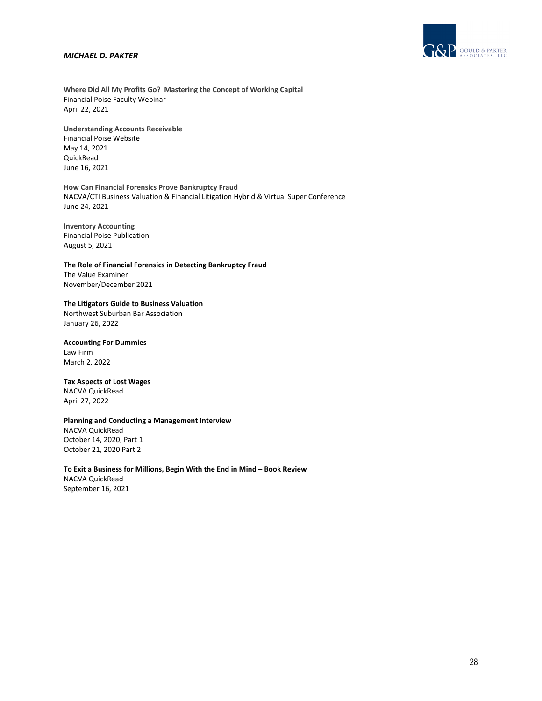

**Where Did All My Profits Go? Mastering the Concept of Working Capital** Financial Poise Faculty Webinar April 22, 2021

**Understanding Accounts Receivable** Financial Poise Website May 14, 2021 QuickRead June 16, 2021

**How Can Financial Forensics Prove Bankruptcy Fraud** NACVA/CTI Business Valuation & Financial Litigation Hybrid & Virtual Super Conference June 24, 2021

**Inventory Accounting** Financial Poise Publication August 5, 2021

**The Role of Financial Forensics in Detecting Bankruptcy Fraud** The Value Examiner November/December 2021

#### **The Litigators Guide to Business Valuation**

Northwest Suburban Bar Association January 26, 2022

# **Accounting For Dummies**

Law Firm March 2, 2022

# **Tax Aspects of Lost Wages**

NACVA QuickRead April 27, 2022

# **Planning and Conducting a Management Interview**

NACVA QuickRead October 14, 2020, Part 1 October 21, 2020 Part 2

### **To Exit a Business for Millions, Begin With the End in Mind – Book Review**

NACVA QuickRead September 16, 2021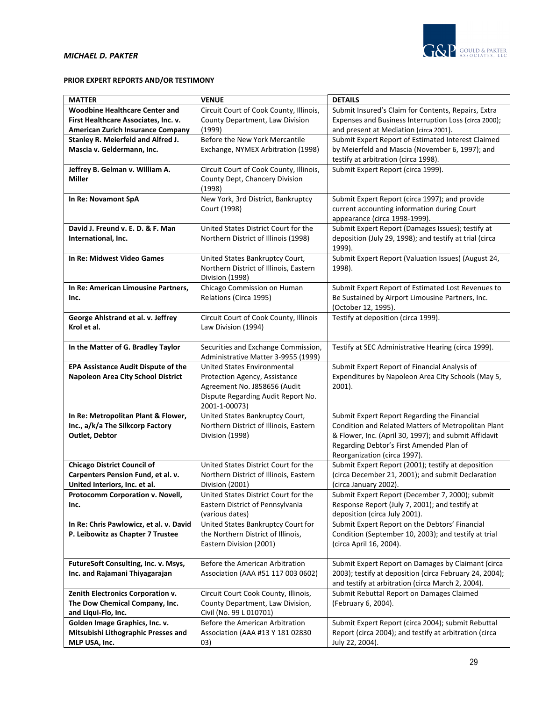

# **PRIOR EXPERT REPORTS AND/OR TESTIMONY**

| <b>MATTER</b>                                                       | <b>VENUE</b>                                                             | <b>DETAILS</b>                                                                                 |
|---------------------------------------------------------------------|--------------------------------------------------------------------------|------------------------------------------------------------------------------------------------|
| <b>Woodbine Healthcare Center and</b>                               | Circuit Court of Cook County, Illinois,                                  | Submit Insured's Claim for Contents, Repairs, Extra                                            |
| First Healthcare Associates, Inc. v.                                | County Department, Law Division                                          | Expenses and Business Interruption Loss (circa 2000);                                          |
| <b>American Zurich Insurance Company</b>                            | (1999)                                                                   | and present at Mediation (circa 2001).                                                         |
| Stanley R. Meierfeld and Alfred J.                                  | Before the New York Mercantile                                           | Submit Expert Report of Estimated Interest Claimed                                             |
| Mascia v. Geldermann, Inc.                                          | Exchange, NYMEX Arbitration (1998)                                       | by Meierfeld and Mascia (November 6, 1997); and                                                |
|                                                                     |                                                                          | testify at arbitration (circa 1998).                                                           |
| Jeffrey B. Gelman v. William A.                                     | Circuit Court of Cook County, Illinois,                                  | Submit Expert Report (circa 1999).                                                             |
| <b>Miller</b>                                                       | County Dept, Chancery Division                                           |                                                                                                |
|                                                                     | (1998)                                                                   |                                                                                                |
| In Re: Novamont SpA                                                 | New York, 3rd District, Bankruptcy                                       | Submit Expert Report (circa 1997); and provide                                                 |
|                                                                     | Court (1998)                                                             | current accounting information during Court                                                    |
|                                                                     |                                                                          | appearance (circa 1998-1999).                                                                  |
| David J. Freund v. E. D. & F. Man                                   | United States District Court for the                                     | Submit Expert Report (Damages Issues); testify at                                              |
| International, Inc.                                                 | Northern District of Illinois (1998)                                     | deposition (July 29, 1998); and testify at trial (circa<br>1999).                              |
| In Re: Midwest Video Games                                          | United States Bankruptcy Court,                                          | Submit Expert Report (Valuation Issues) (August 24,                                            |
|                                                                     | Northern District of Illinois, Eastern                                   | 1998).                                                                                         |
|                                                                     | Division (1998)                                                          |                                                                                                |
| In Re: American Limousine Partners,                                 | Chicago Commission on Human                                              | Submit Expert Report of Estimated Lost Revenues to                                             |
| Inc.                                                                | Relations (Circa 1995)                                                   | Be Sustained by Airport Limousine Partners, Inc.                                               |
|                                                                     |                                                                          | (October 12, 1995).                                                                            |
| George Ahlstrand et al. v. Jeffrey                                  | Circuit Court of Cook County, Illinois                                   | Testify at deposition (circa 1999).                                                            |
| Krol et al.                                                         | Law Division (1994)                                                      |                                                                                                |
|                                                                     |                                                                          |                                                                                                |
| In the Matter of G. Bradley Taylor                                  | Securities and Exchange Commission,                                      | Testify at SEC Administrative Hearing (circa 1999).                                            |
|                                                                     | Administrative Matter 3-9955 (1999)                                      |                                                                                                |
| <b>EPA Assistance Audit Dispute of the</b>                          | United States Environmental                                              | Submit Expert Report of Financial Analysis of                                                  |
| <b>Napoleon Area City School District</b>                           | Protection Agency, Assistance                                            | Expenditures by Napoleon Area City Schools (May 5,                                             |
|                                                                     | Agreement No. J858656 (Audit                                             | $2001$ ).                                                                                      |
|                                                                     | Dispute Regarding Audit Report No.                                       |                                                                                                |
| In Re: Metropolitan Plant & Flower,                                 | 2001-1-00073)<br>United States Bankruptcy Court,                         | Submit Expert Report Regarding the Financial                                                   |
| Inc., a/k/a The Silkcorp Factory                                    | Northern District of Illinois, Eastern                                   | Condition and Related Matters of Metropolitan Plant                                            |
| Outlet, Debtor                                                      | Division (1998)                                                          | & Flower, Inc. (April 30, 1997); and submit Affidavit                                          |
|                                                                     |                                                                          | Regarding Debtor's First Amended Plan of                                                       |
|                                                                     |                                                                          | Reorganization (circa 1997).                                                                   |
| <b>Chicago District Council of</b>                                  | United States District Court for the                                     | Submit Expert Report (2001); testify at deposition                                             |
| Carpenters Pension Fund, et al. v.                                  | Northern District of Illinois, Eastern                                   | (circa December 21, 2001); and submit Declaration                                              |
| United Interiors, Inc. et al.                                       | Division (2001)                                                          | (circa January 2002).                                                                          |
| Protocomm Corporation v. Novell,                                    | United States District Court for the                                     | Submit Expert Report (December 7, 2000); submit                                                |
| Inc.                                                                | Eastern District of Pennsylvania                                         | Response Report (July 7, 2001); and testify at                                                 |
|                                                                     | (various dates)                                                          | deposition (circa July 2001).                                                                  |
| In Re: Chris Pawlowicz, et al. v. David                             | United States Bankruptcy Court for                                       | Submit Expert Report on the Debtors' Financial                                                 |
| P. Leibowitz as Chapter 7 Trustee                                   | the Northern District of Illinois,                                       | Condition (September 10, 2003); and testify at trial                                           |
|                                                                     | Eastern Division (2001)                                                  | (circa April 16, 2004).                                                                        |
|                                                                     |                                                                          |                                                                                                |
| FutureSoft Consulting, Inc. v. Msys,                                | Before the American Arbitration                                          | Submit Expert Report on Damages by Claimant (circa                                             |
| Inc. and Rajamani Thiyagarajan                                      | Association (AAA #51 117 003 0602)                                       | 2003); testify at deposition (circa February 24, 2004);                                        |
|                                                                     |                                                                          | and testify at arbitration (circa March 2, 2004).<br>Submit Rebuttal Report on Damages Claimed |
| Zenith Electronics Corporation v.<br>The Dow Chemical Company, Inc. | Circuit Court Cook County, Illinois,<br>County Department, Law Division, | (February 6, 2004).                                                                            |
| and Liqui-Flo, Inc.                                                 | Civil (No. 99 L 010701)                                                  |                                                                                                |
| Golden Image Graphics, Inc. v.                                      | Before the American Arbitration                                          | Submit Expert Report (circa 2004); submit Rebuttal                                             |
| Mitsubishi Lithographic Presses and                                 | Association (AAA #13 Y 181 02830                                         | Report (circa 2004); and testify at arbitration (circa                                         |
| MLP USA, Inc.                                                       | 03)                                                                      | July 22, 2004).                                                                                |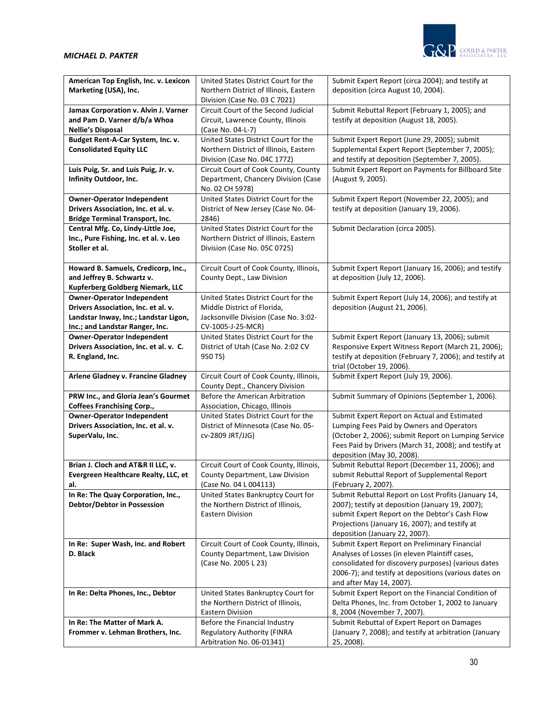

| American Top English, Inc. v. Lexicon                                       | United States District Court for the                                   | Submit Expert Report (circa 2004); and testify at                                                     |
|-----------------------------------------------------------------------------|------------------------------------------------------------------------|-------------------------------------------------------------------------------------------------------|
| Marketing (USA), Inc.                                                       | Northern District of Illinois, Eastern                                 | deposition (circa August 10, 2004).                                                                   |
|                                                                             | Division (Case No. 03 C 7021)                                          |                                                                                                       |
| Jamax Corporation v. Alvin J. Varner                                        | Circuit Court of the Second Judicial                                   | Submit Rebuttal Report (February 1, 2005); and                                                        |
| and Pam D. Varner d/b/a Whoa                                                | Circuit, Lawrence County, Illinois                                     | testify at deposition (August 18, 2005).                                                              |
| <b>Nellie's Disposal</b>                                                    | (Case No. 04-L-7)<br>United States District Court for the              |                                                                                                       |
| Budget Rent-A-Car System, Inc. v.<br><b>Consolidated Equity LLC</b>         | Northern District of Illinois, Eastern                                 | Submit Expert Report (June 29, 2005); submit<br>Supplemental Expert Report (September 7, 2005);       |
|                                                                             | Division (Case No. 04C 1772)                                           | and testify at deposition (September 7, 2005).                                                        |
| Luis Puig, Sr. and Luis Puig, Jr. v.                                        | Circuit Court of Cook County, County                                   | Submit Expert Report on Payments for Billboard Site                                                   |
| Infinity Outdoor, Inc.                                                      | Department, Chancery Division (Case                                    | (August 9, 2005).                                                                                     |
|                                                                             | No. 02 CH 5978)                                                        |                                                                                                       |
| <b>Owner-Operator Independent</b>                                           | United States District Court for the                                   | Submit Expert Report (November 22, 2005); and                                                         |
| Drivers Association, Inc. et al. v.                                         | District of New Jersey (Case No. 04-                                   | testify at deposition (January 19, 2006).                                                             |
| <b>Bridge Terminal Transport, Inc.</b>                                      | 2846)                                                                  |                                                                                                       |
| Central Mfg. Co, Lindy-Little Joe,                                          | United States District Court for the                                   | Submit Declaration (circa 2005).                                                                      |
| Inc., Pure Fishing, Inc. et al. v. Leo<br>Stoller et al.                    | Northern District of Illinois, Eastern<br>Division (Case No. 05C 0725) |                                                                                                       |
|                                                                             |                                                                        |                                                                                                       |
| Howard B. Samuels, Credicorp, Inc.,                                         | Circuit Court of Cook County, Illinois,                                | Submit Expert Report (January 16, 2006); and testify                                                  |
| and Jeffrey B. Schwartz v.                                                  | County Dept., Law Division                                             | at deposition (July 12, 2006).                                                                        |
| Kupferberg Goldberg Niemark, LLC                                            |                                                                        |                                                                                                       |
| <b>Owner-Operator Independent</b>                                           | United States District Court for the                                   | Submit Expert Report (July 14, 2006); and testify at                                                  |
| Drivers Association, Inc. et al. v.                                         | Middle District of Florida,                                            | deposition (August 21, 2006).                                                                         |
| Landstar Inway, Inc.; Landstar Ligon,                                       | Jacksonville Division (Case No. 3:02-                                  |                                                                                                       |
| Inc.; and Landstar Ranger, Inc.                                             | CV-1005-J-25-MCR)<br>United States District Court for the              |                                                                                                       |
| <b>Owner-Operator Independent</b><br>Drivers Association, Inc. et al. v. C. | District of Utah (Case No. 2:02 CV                                     | Submit Expert Report (January 13, 2006); submit<br>Responsive Expert Witness Report (March 21, 2006); |
| R. England, Inc.                                                            | 950 TS)                                                                | testify at deposition (February 7, 2006); and testify at                                              |
|                                                                             |                                                                        | trial (October 19, 2006).                                                                             |
| Arlene Gladney v. Francine Gladney                                          | Circuit Court of Cook County, Illinois,                                | Submit Expert Report (July 19, 2006).                                                                 |
|                                                                             | County Dept., Chancery Division                                        |                                                                                                       |
| PRW Inc., and Gloria Jean's Gourmet                                         | Before the American Arbitration                                        | Submit Summary of Opinions (September 1, 2006).                                                       |
| <b>Coffees Franchising Corp.,</b>                                           | Association, Chicago, Illinois                                         |                                                                                                       |
| <b>Owner-Operator Independent</b>                                           | United States District Court for the                                   | Submit Expert Report on Actual and Estimated                                                          |
| Drivers Association, Inc. et al. v.<br>SuperValu, Inc.                      | District of Minnesota (Case No. 05-<br>cv-2809 JRT/JJG)                | Lumping Fees Paid by Owners and Operators<br>(October 2, 2006); submit Report on Lumping Service      |
|                                                                             |                                                                        | Fees Paid by Drivers (March 31, 2008); and testify at                                                 |
|                                                                             |                                                                        | deposition (May 30, 2008).                                                                            |
| Brian J. Cloch and AT&R II LLC, v.                                          | Circuit Court of Cook County, Illinois,                                | Submit Rebuttal Report (December 11, 2006); and                                                       |
| Evergreen Healthcare Realty, LLC, et                                        | County Department, Law Division                                        | submit Rebuttal Report of Supplemental Report                                                         |
| al.                                                                         | (Case No. 04 L 004113)                                                 | (February 2, 2007).                                                                                   |
| In Re: The Quay Corporation, Inc.,                                          | United States Bankruptcy Court for                                     | Submit Rebuttal Report on Lost Profits (January 14,                                                   |
| Debtor/Debtor in Possession                                                 | the Northern District of Illinois,                                     | 2007); testify at deposition (January 19, 2007);                                                      |
|                                                                             | Eastern Division                                                       | submit Expert Report on the Debtor's Cash Flow<br>Projections (January 16, 2007); and testify at      |
|                                                                             |                                                                        | deposition (January 22, 2007).                                                                        |
| In Re: Super Wash, Inc. and Robert                                          | Circuit Court of Cook County, Illinois,                                | Submit Expert Report on Preliminary Financial                                                         |
| D. Black                                                                    | County Department, Law Division                                        | Analyses of Losses (in eleven Plaintiff cases,                                                        |
|                                                                             | (Case No. 2005 L 23)                                                   | consolidated for discovery purposes) (various dates                                                   |
|                                                                             |                                                                        | 2006-7); and testify at depositions (various dates on                                                 |
|                                                                             |                                                                        | and after May 14, 2007).                                                                              |
| In Re: Delta Phones, Inc., Debtor                                           | United States Bankruptcy Court for                                     | Submit Expert Report on the Financial Condition of                                                    |
|                                                                             | the Northern District of Illinois,<br><b>Eastern Division</b>          | Delta Phones, Inc. from October 1, 2002 to January                                                    |
| In Re: The Matter of Mark A.                                                | Before the Financial Industry                                          | 8, 2004 (November 7, 2007).<br>Submit Rebuttal of Expert Report on Damages                            |
| Frommer v. Lehman Brothers, Inc.                                            | <b>Regulatory Authority (FINRA</b>                                     | (January 7, 2008); and testify at arbitration (January                                                |
|                                                                             | Arbitration No. 06-01341)                                              | 25, 2008).                                                                                            |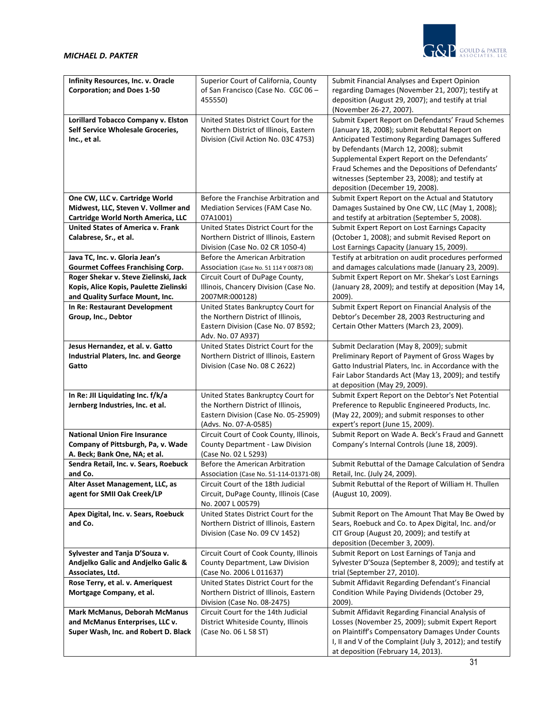

| Infinity Resources, Inc. v. Oracle       | Superior Court of California, County     | Submit Financial Analyses and Expert Opinion             |
|------------------------------------------|------------------------------------------|----------------------------------------------------------|
| <b>Corporation; and Does 1-50</b>        | of San Francisco (Case No. CGC 06 -      | regarding Damages (November 21, 2007); testify at        |
|                                          | 455550)                                  | deposition (August 29, 2007); and testify at trial       |
|                                          |                                          | (November 26-27, 2007).                                  |
|                                          | United States District Court for the     | Submit Expert Report on Defendants' Fraud Schemes        |
| Lorillard Tobacco Company v. Elston      |                                          |                                                          |
| Self Service Wholesale Groceries,        | Northern District of Illinois, Eastern   | (January 18, 2008); submit Rebuttal Report on            |
| Inc., et al.                             | Division (Civil Action No. 03C 4753)     | Anticipated Testimony Regarding Damages Suffered         |
|                                          |                                          | by Defendants (March 12, 2008); submit                   |
|                                          |                                          | Supplemental Expert Report on the Defendants'            |
|                                          |                                          | Fraud Schemes and the Depositions of Defendants'         |
|                                          |                                          | witnesses (September 23, 2008); and testify at           |
|                                          |                                          | deposition (December 19, 2008).                          |
| One CW, LLC v. Cartridge World           | Before the Franchise Arbitration and     | Submit Expert Report on the Actual and Statutory         |
| Midwest, LLC, Steven V. Vollmer and      | Mediation Services (FAM Case No.         | Damages Sustained by One CW, LLC (May 1, 2008);          |
|                                          |                                          |                                                          |
| Cartridge World North America, LLC       | 07A1001)                                 | and testify at arbitration (September 5, 2008).          |
| <b>United States of America v. Frank</b> | United States District Court for the     | Submit Expert Report on Lost Earnings Capacity           |
| Calabrese, Sr., et al.                   | Northern District of Illinois, Eastern   | (October 1, 2008); and submit Revised Report on          |
|                                          | Division (Case No. 02 CR 1050-4)         | Lost Earnings Capacity (January 15, 2009).               |
| Java TC, Inc. v. Gloria Jean's           | Before the American Arbitration          | Testify at arbitration on audit procedures performed     |
| <b>Gourmet Coffees Franchising Corp.</b> | Association (Case No. 51 114 Y 00873 08) | and damages calculations made (January 23, 2009).        |
| Roger Shekar v. Steve Zielinski, Jack    | Circuit Court of DuPage County,          | Submit Expert Report on Mr. Shekar's Lost Earnings       |
| Kopis, Alice Kopis, Paulette Zielinski   | Illinois, Chancery Division (Case No.    | (January 28, 2009); and testify at deposition (May 14,   |
| and Quality Surface Mount, Inc.          | 2007MR:000128)                           | 2009).                                                   |
| In Re: Restaurant Development            | United States Bankruptcy Court for       | Submit Expert Report on Financial Analysis of the        |
| Group, Inc., Debtor                      | the Northern District of Illinois,       | Debtor's December 28, 2003 Restructuring and             |
|                                          | Eastern Division (Case No. 07 B592;      | Certain Other Matters (March 23, 2009).                  |
|                                          | Adv. No. 07 A937)                        |                                                          |
|                                          |                                          |                                                          |
| Jesus Hernandez, et al. v. Gatto         | United States District Court for the     | Submit Declaration (May 8, 2009); submit                 |
| Industrial Platers, Inc. and George      | Northern District of Illinois, Eastern   | Preliminary Report of Payment of Gross Wages by          |
| Gatto                                    | Division (Case No. 08 C 2622)            | Gatto Industrial Platers, Inc. in Accordance with the    |
|                                          |                                          | Fair Labor Standards Act (May 13, 2009); and testify     |
|                                          |                                          | at deposition (May 29, 2009).                            |
| In Re: JII Liquidating Inc. f/k/a        | United States Bankruptcy Court for       | Submit Expert Report on the Debtor's Net Potential       |
| Jernberg Industries, Inc. et al.         | the Northern District of Illinois,       | Preference to Republic Engineered Products, Inc.         |
|                                          | Eastern Division (Case No. 05-25909)     | (May 22, 2009); and submit responses to other            |
|                                          | (Advs. No. 07-A-0585)                    | expert's report (June 15, 2009).                         |
| <b>National Union Fire Insurance</b>     | Circuit Court of Cook County, Illinois,  | Submit Report on Wade A. Beck's Fraud and Gannett        |
| Company of Pittsburgh, Pa, v. Wade       | County Department - Law Division         | Company's Internal Controls (June 18, 2009).             |
| A. Beck; Bank One, NA; et al.            | (Case No. 02 L 5293)                     |                                                          |
| Sendra Retail, Inc. v. Sears, Roebuck    | Before the American Arbitration          | Submit Rebuttal of the Damage Calculation of Sendra      |
| and Co.                                  | Association (Case No. 51-114-01371-08)   | Retail, Inc. (July 24, 2009).                            |
|                                          |                                          |                                                          |
| Alter Asset Management, LLC, as          | Circuit Court of the 18th Judicial       | Submit Rebuttal of the Report of William H. Thullen      |
| agent for SMII Oak Creek/LP              | Circuit, DuPage County, Illinois (Case   | (August 10, 2009).                                       |
|                                          | No. 2007 L 00579)                        |                                                          |
| Apex Digital, Inc. v. Sears, Roebuck     | United States District Court for the     | Submit Report on The Amount That May Be Owed by          |
| and Co.                                  | Northern District of Illinois, Eastern   | Sears, Roebuck and Co. to Apex Digital, Inc. and/or      |
|                                          | Division (Case No. 09 CV 1452)           | CIT Group (August 20, 2009); and testify at              |
|                                          |                                          | deposition (December 3, 2009).                           |
| Sylvester and Tanja D'Souza v.           | Circuit Court of Cook County, Illinois   | Submit Report on Lost Earnings of Tanja and              |
| Andjelko Galic and Andjelko Galic &      | County Department, Law Division          | Sylvester D'Souza (September 8, 2009); and testify at    |
| Associates, Ltd.                         | (Case No. 2006 L 011637)                 | trial (September 27, 2010).                              |
| Rose Terry, et al. v. Ameriquest         | United States District Court for the     | Submit Affidavit Regarding Defendant's Financial         |
| Mortgage Company, et al.                 | Northern District of Illinois, Eastern   | Condition While Paying Dividends (October 29,            |
|                                          | Division (Case No. 08-2475)              | 2009).                                                   |
| <b>Mark McManus, Deborah McManus</b>     | Circuit Court for the 14th Judicial      | Submit Affidavit Regarding Financial Analysis of         |
|                                          |                                          |                                                          |
| and McManus Enterprises, LLC v.          | District Whiteside County, Illinois      | Losses (November 25, 2009); submit Expert Report         |
| Super Wash, Inc. and Robert D. Black     | (Case No. 06 L 58 ST)                    | on Plaintiff's Compensatory Damages Under Counts         |
|                                          |                                          | I, II and V of the Complaint (July 3, 2012); and testify |
|                                          |                                          | at deposition (February 14, 2013).                       |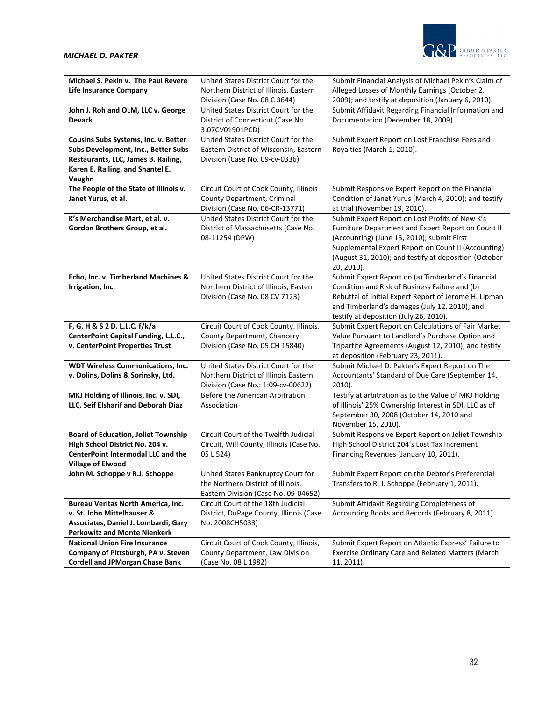

| Michael S. Pekin v. The Paul Revere        | United States District Court for the                                       | Submit Financial Analysis of Michael Pekin's Claim of                                                     |
|--------------------------------------------|----------------------------------------------------------------------------|-----------------------------------------------------------------------------------------------------------|
| <b>Life Insurance Company</b>              | Northern District of Illinois, Eastern                                     | Alleged Losses of Monthly Earnings (October 2,                                                            |
|                                            | Division (Case No. 08 C 3644)                                              | 2009); and testify at deposition (January 6, 2010).                                                       |
| John J. Roh and OLM, LLC v. George         | United States District Court for the                                       | Submit Affidavit Regarding Financial Information and                                                      |
| <b>Devack</b>                              | District of Connecticut (Case No.                                          | Documentation (December 18, 2009).                                                                        |
|                                            | 3:07CV01901PCD)                                                            |                                                                                                           |
| Cousins Subs Systems, Inc. v. Better       | United States District Court for the                                       | Submit Expert Report on Lost Franchise Fees and                                                           |
| Subs Development, Inc., Better Subs        | Eastern District of Wisconsin, Eastern                                     | Royalties (March 1, 2010).                                                                                |
| Restaurants, LLC, James B. Railing,        | Division (Case No. 09-cv-0336)                                             |                                                                                                           |
| Karen E. Railing, and Shantel E.           |                                                                            |                                                                                                           |
| Vaughn                                     |                                                                            |                                                                                                           |
| The People of the State of Illinois v.     | Circuit Court of Cook County, Illinois                                     | Submit Responsive Expert Report on the Financial                                                          |
| Janet Yurus, et al.                        | County Department, Criminal                                                | Condition of Janet Yurus (March 4, 2010); and testify                                                     |
|                                            | Division (Case No. 06-CR-13771)                                            | at trial (November 19, 2010).                                                                             |
| K's Merchandise Mart, et al. v.            | United States District Court for the                                       | Submit Expert Report on Lost Profits of New K's                                                           |
| Gordon Brothers Group, et al.              | District of Massachusetts (Case No.                                        | Furniture Department and Expert Report on Count II                                                        |
|                                            | 08-11254 (DPW)                                                             | (Accounting) (June 15, 2010); submit First                                                                |
|                                            |                                                                            | Supplemental Expert Report on Count II (Accounting)                                                       |
|                                            |                                                                            | (August 31, 2010); and testify at deposition (October                                                     |
|                                            |                                                                            | 20, 2010).                                                                                                |
| Echo, Inc. v. Timberland Machines &        | United States District Court for the                                       | Submit Expert Report on (a) Timberland's Financial                                                        |
| Irrigation, Inc.                           | Northern District of Illinois, Eastern                                     | Condition and Risk of Business Failure and (b)                                                            |
|                                            | Division (Case No. 08 CV 7123)                                             | Rebuttal of Initial Expert Report of Jerome H. Lipman                                                     |
|                                            |                                                                            | and Timberland's damages (July 12, 2010); and                                                             |
|                                            |                                                                            | testify at deposition (July 26, 2010).                                                                    |
| F, G, H & S 2 D, L.L.C. f/k/a              | Circuit Court of Cook County, Illinois,                                    | Submit Expert Report on Calculations of Fair Market                                                       |
| CenterPoint Capital Funding, L.L.C.,       | County Department, Chancery                                                | Value Pursuant to Landlord's Purchase Option and                                                          |
| v. CenterPoint Properties Trust            | Division (Case No. 05 CH 15840)                                            | Tripartite Agreements (August 12, 2010); and testify                                                      |
|                                            |                                                                            | at deposition (February 23, 2011).                                                                        |
| <b>WDT Wireless Communications, Inc.</b>   | United States District Court for the                                       | Submit Michael D. Pakter's Expert Report on The                                                           |
| v. Dolins, Dolins & Sorinsky, Ltd.         | Northern District of Illinois Eastern                                      | Accountants' Standard of Due Care (September 14,                                                          |
|                                            | Division (Case No.: 1:09-cv-00622)                                         | $2010$ ).                                                                                                 |
| MKJ Holding of Illinois, Inc. v. SDI,      | Before the American Arbitration                                            | Testify at arbitration as to the Value of MKJ Holding                                                     |
| LLC, Seif Elsharif and Deborah Diaz        | Association                                                                | of Illinois' 25% Ownership Interest in SDI, LLC as of                                                     |
|                                            |                                                                            | September 30, 2008 (October 14, 2010 and                                                                  |
|                                            |                                                                            | November 15, 2010).                                                                                       |
| <b>Board of Education, Joliet Township</b> | Circuit Court of the Twelfth Judicial                                      | Submit Responsive Expert Report on Joliet Township                                                        |
| High School District No. 204 v.            | Circuit, Will County, Illinois (Case No.                                   | High School District 204's Lost Tax Increment                                                             |
| <b>CenterPoint Intermodal LLC and the</b>  | 05 L 524)                                                                  | Financing Revenues (January 10, 2011).                                                                    |
| <b>Village of Elwood</b>                   |                                                                            |                                                                                                           |
| John M. Schoppe v R.J. Schoppe             | United States Bankruptcy Court for                                         | Submit Expert Report on the Debtor's Preferential                                                         |
|                                            | the Northern District of Illinois,                                         | Transfers to R. J. Schoppe (February 1, 2011).                                                            |
|                                            | Eastern Division (Case No. 09-04652)                                       |                                                                                                           |
| Bureau Veritas North America, Inc.         | Circuit Court of the 18th Judicial                                         | Submit Affidavit Regarding Completeness of                                                                |
| v. St. John Mittelhauser &                 |                                                                            |                                                                                                           |
|                                            |                                                                            | Accounting Books and Records (February 8, 2011).                                                          |
| Associates, Daniel J. Lombardi, Gary       | District, DuPage County, Illinois (Case<br>No. 2008CH5033)                 |                                                                                                           |
| <b>Perkowitz and Monte Nienkerk</b>        |                                                                            |                                                                                                           |
| <b>National Union Fire Insurance</b>       |                                                                            |                                                                                                           |
| Company of Pittsburgh, PA v. Steven        | Circuit Court of Cook County, Illinois,<br>County Department, Law Division | Submit Expert Report on Atlantic Express' Failure to<br>Exercise Ordinary Care and Related Matters (March |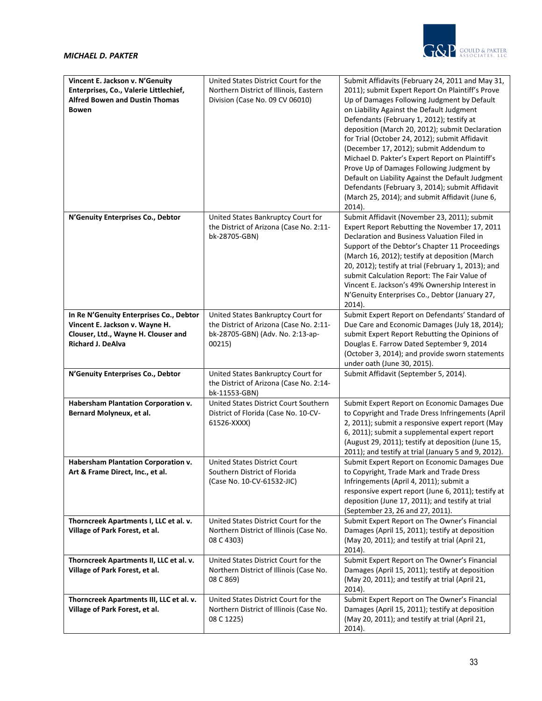

| Vincent E. Jackson v. N'Genuity                                                                                                              | United States District Court for the                                                                                        | Submit Affidavits (February 24, 2011 and May 31,                                                                                                                                                                                                                                                                                                                                                                                                                                                                                                                                                                   |
|----------------------------------------------------------------------------------------------------------------------------------------------|-----------------------------------------------------------------------------------------------------------------------------|--------------------------------------------------------------------------------------------------------------------------------------------------------------------------------------------------------------------------------------------------------------------------------------------------------------------------------------------------------------------------------------------------------------------------------------------------------------------------------------------------------------------------------------------------------------------------------------------------------------------|
| Enterprises, Co., Valerie Littlechief,<br><b>Alfred Bowen and Dustin Thomas</b><br><b>Bowen</b>                                              | Northern District of Illinois, Eastern<br>Division (Case No. 09 CV 06010)                                                   | 2011); submit Expert Report On Plaintiff's Prove<br>Up of Damages Following Judgment by Default<br>on Liability Against the Default Judgment<br>Defendants (February 1, 2012); testify at<br>deposition (March 20, 2012); submit Declaration<br>for Trial (October 24, 2012); submit Affidavit<br>(December 17, 2012); submit Addendum to<br>Michael D. Pakter's Expert Report on Plaintiff's<br>Prove Up of Damages Following Judgment by<br>Default on Liability Against the Default Judgment<br>Defendants (February 3, 2014); submit Affidavit<br>(March 25, 2014); and submit Affidavit (June 6,<br>$2014$ ). |
| N'Genuity Enterprises Co., Debtor                                                                                                            | United States Bankruptcy Court for<br>the District of Arizona (Case No. 2:11-<br>bk-28705-GBN)                              | Submit Affidavit (November 23, 2011); submit<br>Expert Report Rebutting the November 17, 2011<br>Declaration and Business Valuation Filed in<br>Support of the Debtor's Chapter 11 Proceedings<br>(March 16, 2012); testify at deposition (March<br>20, 2012); testify at trial (February 1, 2013); and<br>submit Calculation Report: The Fair Value of<br>Vincent E. Jackson's 49% Ownership Interest in<br>N'Genuity Enterprises Co., Debtor (January 27,<br>$2014$ ).                                                                                                                                           |
| In Re N'Genuity Enterprises Co., Debtor<br>Vincent E. Jackson v. Wayne H.<br>Clouser, Ltd., Wayne H. Clouser and<br><b>Richard J. DeAlva</b> | United States Bankruptcy Court for<br>the District of Arizona (Case No. 2:11-<br>bk-28705-GBN) (Adv. No. 2:13-ap-<br>00215) | Submit Expert Report on Defendants' Standard of<br>Due Care and Economic Damages (July 18, 2014);<br>submit Expert Report Rebutting the Opinions of<br>Douglas E. Farrow Dated September 9, 2014<br>(October 3, 2014); and provide sworn statements<br>under oath (June 30, 2015).                                                                                                                                                                                                                                                                                                                                 |
| N'Genuity Enterprises Co., Debtor                                                                                                            | United States Bankruptcy Court for<br>the District of Arizona (Case No. 2:14-<br>bk-11553-GBN)                              | Submit Affidavit (September 5, 2014).                                                                                                                                                                                                                                                                                                                                                                                                                                                                                                                                                                              |
| Habersham Plantation Corporation v.<br>Bernard Molyneux, et al.                                                                              | United States District Court Southern<br>District of Florida (Case No. 10-CV-<br>61526-XXXX)                                | Submit Expert Report on Economic Damages Due<br>to Copyright and Trade Dress Infringements (April<br>2, 2011); submit a responsive expert report (May<br>6, 2011); submit a supplemental expert report<br>(August 29, 2011); testify at deposition (June 15,<br>2011); and testify at trial (January 5 and 9, 2012).                                                                                                                                                                                                                                                                                               |
| Habersham Plantation Corporation v.<br>Art & Frame Direct, Inc., et al.                                                                      | <b>United States District Court</b><br>Southern District of Florida<br>(Case No. 10-CV-61532-JIC)                           | Submit Expert Report on Economic Damages Due<br>to Copyright, Trade Mark and Trade Dress<br>Infringements (April 4, 2011); submit a<br>responsive expert report (June 6, 2011); testify at<br>deposition (June 17, 2011); and testify at trial<br>(September 23, 26 and 27, 2011).                                                                                                                                                                                                                                                                                                                                 |
| Thorncreek Apartments I, LLC et al. v.<br>Village of Park Forest, et al.                                                                     | United States District Court for the<br>Northern District of Illinois (Case No.<br>08 C 4303)                               | Submit Expert Report on The Owner's Financial<br>Damages (April 15, 2011); testify at deposition<br>(May 20, 2011); and testify at trial (April 21,<br>2014).                                                                                                                                                                                                                                                                                                                                                                                                                                                      |
| Thorncreek Apartments II, LLC et al. v.<br>Village of Park Forest, et al.                                                                    | United States District Court for the<br>Northern District of Illinois (Case No.<br>08 C 869)                                | Submit Expert Report on The Owner's Financial<br>Damages (April 15, 2011); testify at deposition<br>(May 20, 2011); and testify at trial (April 21,<br>2014).                                                                                                                                                                                                                                                                                                                                                                                                                                                      |
| Thorncreek Apartments III, LLC et al. v.<br>Village of Park Forest, et al.                                                                   | United States District Court for the<br>Northern District of Illinois (Case No.<br>08 C 1225)                               | Submit Expert Report on The Owner's Financial<br>Damages (April 15, 2011); testify at deposition<br>(May 20, 2011); and testify at trial (April 21,<br>2014).                                                                                                                                                                                                                                                                                                                                                                                                                                                      |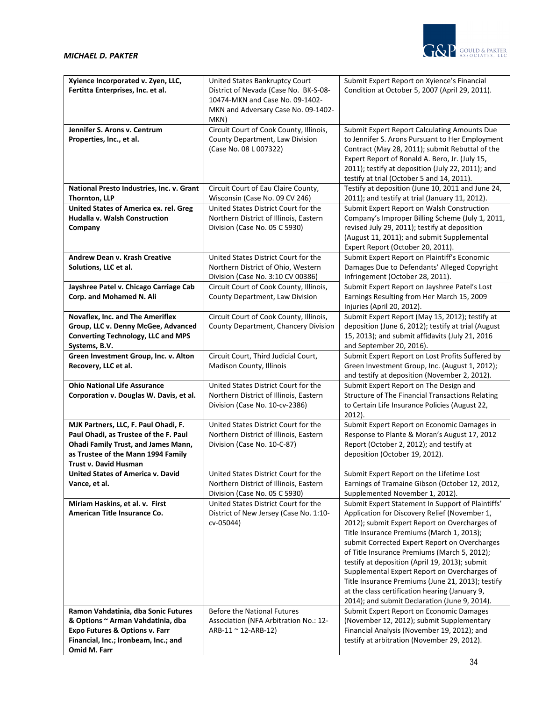

| Xyience Incorporated v. Zyen, LLC,                 | United States Bankruptcy Court                                                 | Submit Expert Report on Xyience's Financial                                                 |
|----------------------------------------------------|--------------------------------------------------------------------------------|---------------------------------------------------------------------------------------------|
| Fertitta Enterprises, Inc. et al.                  | District of Nevada (Case No. BK-S-08-                                          | Condition at October 5, 2007 (April 29, 2011).                                              |
|                                                    | 10474-MKN and Case No. 09-1402-                                                |                                                                                             |
|                                                    | MKN and Adversary Case No. 09-1402-                                            |                                                                                             |
|                                                    | MKN)                                                                           |                                                                                             |
| Jennifer S. Arons v. Centrum                       | Circuit Court of Cook County, Illinois,                                        | Submit Expert Report Calculating Amounts Due                                                |
| Properties, Inc., et al.                           | County Department, Law Division                                                | to Jennifer S. Arons Pursuant to Her Employment                                             |
|                                                    | (Case No. 08 L 007322)                                                         | Contract (May 28, 2011); submit Rebuttal of the                                             |
|                                                    |                                                                                | Expert Report of Ronald A. Bero, Jr. (July 15,                                              |
|                                                    |                                                                                | 2011); testify at deposition (July 22, 2011); and                                           |
|                                                    |                                                                                | testify at trial (October 5 and 14, 2011).                                                  |
| National Presto Industries, Inc. v. Grant          | Circuit Court of Eau Claire County,                                            | Testify at deposition (June 10, 2011 and June 24,                                           |
| Thornton, LLP                                      | Wisconsin (Case No. 09 CV 246)                                                 | 2011); and testify at trial (January 11, 2012).                                             |
| <b>United States of America ex. rel. Greg</b>      | United States District Court for the                                           | Submit Expert Report on Walsh Construction                                                  |
| Hudalla v. Walsh Construction                      | Northern District of Illinois, Eastern                                         | Company's Improper Billing Scheme (July 1, 2011,                                            |
| Company                                            | Division (Case No. 05 C 5930)                                                  | revised July 29, 2011); testify at deposition                                               |
|                                                    |                                                                                | (August 11, 2011); and submit Supplemental                                                  |
| Andrew Dean v. Krash Creative                      |                                                                                | Expert Report (October 20, 2011).                                                           |
|                                                    | United States District Court for the                                           | Submit Expert Report on Plaintiff's Economic                                                |
| Solutions, LLC et al.                              | Northern District of Ohio, Western<br>Division (Case No. 3:10 CV 00386)        | Damages Due to Defendants' Alleged Copyright<br>Infringement (October 28, 2011).            |
| Jayshree Patel v. Chicago Carriage Cab             | Circuit Court of Cook County, Illinois,                                        | Submit Expert Report on Jayshree Patel's Lost                                               |
| Corp. and Mohamed N. Ali                           | County Department, Law Division                                                | Earnings Resulting from Her March 15, 2009                                                  |
|                                                    |                                                                                | Injuries (April 20, 2012).                                                                  |
| Novaflex, Inc. and The Ameriflex                   | Circuit Court of Cook County, Illinois,                                        | Submit Expert Report (May 15, 2012); testify at                                             |
| Group, LLC v. Denny McGee, Advanced                | County Department, Chancery Division                                           | deposition (June 6, 2012); testify at trial (August                                         |
| <b>Converting Technology, LLC and MPS</b>          |                                                                                | 15, 2013); and submit affidavits (July 21, 2016                                             |
| Systems, B.V.                                      |                                                                                | and September 20, 2016).                                                                    |
| Green Investment Group, Inc. v. Alton              | Circuit Court, Third Judicial Court,                                           | Submit Expert Report on Lost Profits Suffered by                                            |
| Recovery, LLC et al.                               | Madison County, Illinois                                                       | Green Investment Group, Inc. (August 1, 2012);                                              |
|                                                    |                                                                                | and testify at deposition (November 2, 2012).                                               |
| <b>Ohio National Life Assurance</b>                | United States District Court for the                                           | Submit Expert Report on The Design and                                                      |
| Corporation v. Douglas W. Davis, et al.            | Northern District of Illinois, Eastern                                         | Structure of The Financial Transactions Relating                                            |
|                                                    | Division (Case No. 10-cv-2386)                                                 | to Certain Life Insurance Policies (August 22,                                              |
|                                                    |                                                                                | 2012).                                                                                      |
| MJK Partners, LLC, F. Paul Ohadi, F.               | United States District Court for the                                           | Submit Expert Report on Economic Damages in                                                 |
| Paul Ohadi, as Trustee of the F. Paul              | Northern District of Illinois, Eastern                                         | Response to Plante & Moran's August 17, 2012                                                |
| <b>Ohadi Family Trust, and James Mann,</b>         | Division (Case No. 10-C-87)                                                    | Report (October 2, 2012); and testify at                                                    |
| as Trustee of the Mann 1994 Family                 |                                                                                | deposition (October 19, 2012).                                                              |
| Trust v. David Husman                              |                                                                                |                                                                                             |
| United States of America v. David<br>Vance, et al. | United States District Court for the<br>Northern District of Illinois, Eastern | Submit Expert Report on the Lifetime Lost<br>Earnings of Tramaine Gibson (October 12, 2012, |
|                                                    | Division (Case No. 05 C 5930)                                                  | Supplemented November 1, 2012).                                                             |
| Miriam Haskins, et al. v. First                    | United States District Court for the                                           | Submit Expert Statement In Support of Plaintiffs'                                           |
| American Title Insurance Co.                       | District of New Jersey (Case No. 1:10-                                         | Application for Discovery Relief (November 1,                                               |
|                                                    | cv-05044)                                                                      | 2012); submit Expert Report on Overcharges of                                               |
|                                                    |                                                                                | Title Insurance Premiums (March 1, 2013);                                                   |
|                                                    |                                                                                | submit Corrected Expert Report on Overcharges                                               |
|                                                    |                                                                                | of Title Insurance Premiums (March 5, 2012);                                                |
|                                                    |                                                                                | testify at deposition (April 19, 2013); submit                                              |
|                                                    |                                                                                | Supplemental Expert Report on Overcharges of                                                |
|                                                    |                                                                                | Title Insurance Premiums (June 21, 2013); testify                                           |
|                                                    |                                                                                | at the class certification hearing (January 9,                                              |
|                                                    |                                                                                | 2014); and submit Declaration (June 9, 2014).                                               |
| Ramon Vahdatinia, dba Sonic Futures                | <b>Before the National Futures</b>                                             | Submit Expert Report on Economic Damages                                                    |
| & Options ~ Arman Vahdatinia, dba                  | Association (NFA Arbitration No.: 12-                                          | (November 12, 2012); submit Supplementary                                                   |
| <b>Expo Futures &amp; Options v. Farr</b>          | $ARB-11 \sim 12-ARB-12$                                                        | Financial Analysis (November 19, 2012); and                                                 |
| Financial, Inc.; Ironbeam, Inc.; and               |                                                                                | testify at arbitration (November 29, 2012).                                                 |
| Omid M. Farr                                       |                                                                                |                                                                                             |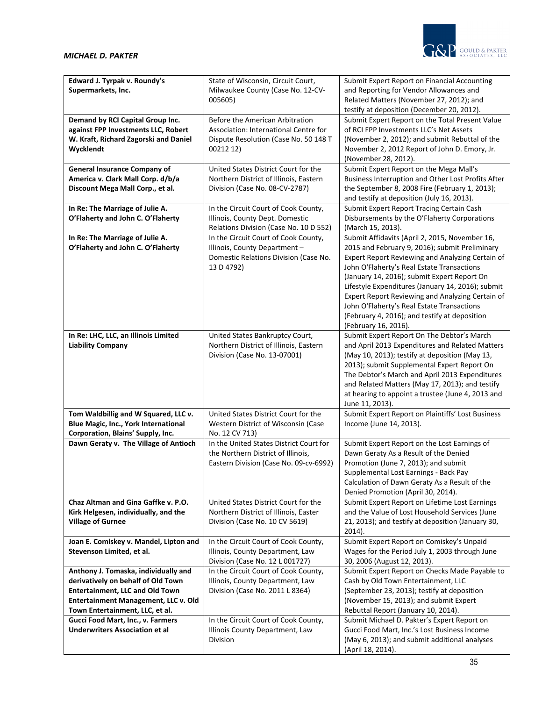

| Edward J. Tyrpak v. Roundy's<br>Supermarkets, Inc. | State of Wisconsin, Circuit Court,<br>Milwaukee County (Case No. 12-CV-<br>005605) | Submit Expert Report on Financial Accounting<br>and Reporting for Vendor Allowances and<br>Related Matters (November 27, 2012); and<br>testify at deposition (December 20, 2012). |
|----------------------------------------------------|------------------------------------------------------------------------------------|-----------------------------------------------------------------------------------------------------------------------------------------------------------------------------------|
| Demand by RCI Capital Group Inc.                   | Before the American Arbitration                                                    | Submit Expert Report on the Total Present Value                                                                                                                                   |
| against FPP Investments LLC, Robert                | Association: International Centre for                                              | of RCI FPP Investments LLC's Net Assets                                                                                                                                           |
| W. Kraft, Richard Zagorski and Daniel              | Dispute Resolution (Case No. 50 148 T                                              | (November 2, 2012); and submit Rebuttal of the                                                                                                                                    |
| Wycklendt                                          | 00212 12)                                                                          | November 2, 2012 Report of John D. Emory, Jr.                                                                                                                                     |
|                                                    |                                                                                    | (November 28, 2012).                                                                                                                                                              |
|                                                    |                                                                                    |                                                                                                                                                                                   |
| <b>General Insurance Company of</b>                | United States District Court for the                                               | Submit Expert Report on the Mega Mall's                                                                                                                                           |
| America v. Clark Mall Corp. d/b/a                  | Northern District of Illinois, Eastern                                             | Business Interruption and Other Lost Profits After                                                                                                                                |
| Discount Mega Mall Corp., et al.                   | Division (Case No. 08-CV-2787)                                                     | the September 8, 2008 Fire (February 1, 2013);                                                                                                                                    |
|                                                    |                                                                                    | and testify at deposition (July 16, 2013).                                                                                                                                        |
| In Re: The Marriage of Julie A.                    | In the Circuit Court of Cook County,                                               | Submit Expert Report Tracing Certain Cash                                                                                                                                         |
| O'Flaherty and John C. O'Flaherty                  | Illinois, County Dept. Domestic                                                    | Disbursements by the O'Flaherty Corporations                                                                                                                                      |
|                                                    | Relations Division (Case No. 10 D 552)                                             | (March 15, 2013).                                                                                                                                                                 |
| In Re: The Marriage of Julie A.                    | In the Circuit Court of Cook County,                                               | Submit Affidavits (April 2, 2015, November 16,                                                                                                                                    |
| O'Flaherty and John C. O'Flaherty                  | Illinois, County Department -                                                      | 2015 and February 9, 2016); submit Preliminary                                                                                                                                    |
|                                                    | Domestic Relations Division (Case No.                                              |                                                                                                                                                                                   |
|                                                    |                                                                                    | Expert Report Reviewing and Analyzing Certain of                                                                                                                                  |
|                                                    | 13 D 4792)                                                                         | John O'Flaherty's Real Estate Transactions                                                                                                                                        |
|                                                    |                                                                                    | (January 14, 2016); submit Expert Report On                                                                                                                                       |
|                                                    |                                                                                    | Lifestyle Expenditures (January 14, 2016); submit                                                                                                                                 |
|                                                    |                                                                                    | Expert Report Reviewing and Analyzing Certain of                                                                                                                                  |
|                                                    |                                                                                    | John O'Flaherty's Real Estate Transactions                                                                                                                                        |
|                                                    |                                                                                    | (February 4, 2016); and testify at deposition                                                                                                                                     |
|                                                    |                                                                                    | (February 16, 2016).                                                                                                                                                              |
| In Re: LHC, LLC, an Illinois Limited               | United States Bankruptcy Court,                                                    | Submit Expert Report On The Debtor's March                                                                                                                                        |
| <b>Liability Company</b>                           | Northern District of Illinois, Eastern                                             | and April 2013 Expenditures and Related Matters                                                                                                                                   |
|                                                    | Division (Case No. 13-07001)                                                       | (May 10, 2013); testify at deposition (May 13,                                                                                                                                    |
|                                                    |                                                                                    | 2013); submit Supplemental Expert Report On                                                                                                                                       |
|                                                    |                                                                                    | The Debtor's March and April 2013 Expenditures                                                                                                                                    |
|                                                    |                                                                                    | and Related Matters (May 17, 2013); and testify                                                                                                                                   |
|                                                    |                                                                                    |                                                                                                                                                                                   |
|                                                    |                                                                                    | at hearing to appoint a trustee (June 4, 2013 and                                                                                                                                 |
|                                                    |                                                                                    | June 11, 2013).                                                                                                                                                                   |
| Tom Waldbillig and W Squared, LLC v.               | United States District Court for the                                               | Submit Expert Report on Plaintiffs' Lost Business                                                                                                                                 |
| Blue Magic, Inc., York International               | Western District of Wisconsin (Case                                                | Income (June 14, 2013).                                                                                                                                                           |
| Corporation, Blains' Supply, Inc.                  | No. 12 CV 713)                                                                     |                                                                                                                                                                                   |
| Dawn Geraty v. The Village of Antioch              | In the United States District Court for                                            | Submit Expert Report on the Lost Earnings of                                                                                                                                      |
|                                                    | the Northern District of Illinois,                                                 | Dawn Geraty As a Result of the Denied                                                                                                                                             |
|                                                    | Eastern Division (Case No. 09-cv-6992)                                             | Promotion (June 7, 2013); and submit                                                                                                                                              |
|                                                    |                                                                                    | Supplemental Lost Earnings - Back Pay                                                                                                                                             |
|                                                    |                                                                                    | Calculation of Dawn Geraty As a Result of the                                                                                                                                     |
|                                                    |                                                                                    | Denied Promotion (April 30, 2014).                                                                                                                                                |
| Chaz Altman and Gina Gaffke v. P.O.                | United States District Court for the                                               | Submit Expert Report on Lifetime Lost Earnings                                                                                                                                    |
| Kirk Helgesen, individually, and the               | Northern District of Illinois, Easter                                              | and the Value of Lost Household Services (June                                                                                                                                    |
| <b>Village of Gurnee</b>                           | Division (Case No. 10 CV 5619)                                                     | 21, 2013); and testify at deposition (January 30,                                                                                                                                 |
|                                                    |                                                                                    | $2014$ ).                                                                                                                                                                         |
| Joan E. Comiskey v. Mandel, Lipton and             | In the Circuit Court of Cook County,                                               | Submit Expert Report on Comiskey's Unpaid                                                                                                                                         |
| Stevenson Limited, et al.                          |                                                                                    | Wages for the Period July 1, 2003 through June                                                                                                                                    |
|                                                    | Illinois, County Department, Law                                                   |                                                                                                                                                                                   |
|                                                    | Division (Case No. 12 L 001727)                                                    | 30, 2006 (August 12, 2013).                                                                                                                                                       |
| Anthony J. Tomaska, individually and               | In the Circuit Court of Cook County,                                               | Submit Expert Report on Checks Made Payable to                                                                                                                                    |
| derivatively on behalf of Old Town                 | Illinois, County Department, Law                                                   | Cash by Old Town Entertainment, LLC                                                                                                                                               |
| <b>Entertainment, LLC and Old Town</b>             | Division (Case No. 2011 L 8364)                                                    | (September 23, 2013); testify at deposition                                                                                                                                       |
| Entertainment Management, LLC v. Old               |                                                                                    | (November 15, 2013); and submit Expert                                                                                                                                            |
| Town Entertainment, LLC, et al.                    |                                                                                    | Rebuttal Report (January 10, 2014).                                                                                                                                               |
| Gucci Food Mart, Inc., v. Farmers                  | In the Circuit Court of Cook County,                                               | Submit Michael D. Pakter's Expert Report on                                                                                                                                       |
| <b>Underwriters Association et al</b>              | Illinois County Department, Law                                                    | Gucci Food Mart, Inc.'s Lost Business Income                                                                                                                                      |
|                                                    | Division                                                                           | (May 6, 2013); and submit additional analyses                                                                                                                                     |
|                                                    |                                                                                    | (April 18, 2014).                                                                                                                                                                 |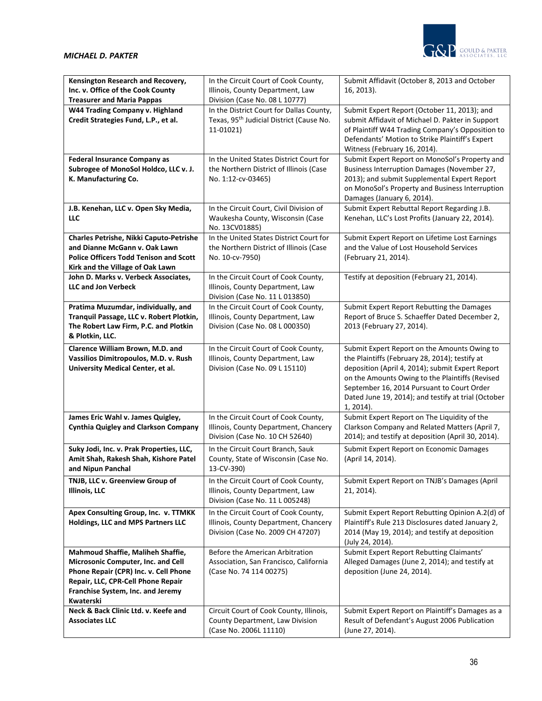

| Kensington Research and Recovery,<br>Inc. v. Office of the Cook County<br><b>Treasurer and Maria Pappas</b>                                                                                              | In the Circuit Court of Cook County,<br>Illinois, County Department, Law<br>Division (Case No. 08 L 10777)         | Submit Affidavit (October 8, 2013 and October<br>16, 2013).                                                                                                                                                                                                                                                             |
|----------------------------------------------------------------------------------------------------------------------------------------------------------------------------------------------------------|--------------------------------------------------------------------------------------------------------------------|-------------------------------------------------------------------------------------------------------------------------------------------------------------------------------------------------------------------------------------------------------------------------------------------------------------------------|
| W44 Trading Company v. Highland<br>Credit Strategies Fund, L.P., et al.                                                                                                                                  | In the District Court for Dallas County,<br>Texas, 95 <sup>th</sup> Judicial District (Cause No.<br>11-01021)      | Submit Expert Report (October 11, 2013); and<br>submit Affidavit of Michael D. Pakter in Support<br>of Plaintiff W44 Trading Company's Opposition to<br>Defendants' Motion to Strike Plaintiff's Expert<br>Witness (February 16, 2014).                                                                                 |
| <b>Federal Insurance Company as</b><br>Subrogee of MonoSol Holdco, LLC v. J.<br>K. Manufacturing Co.                                                                                                     | In the United States District Court for<br>the Northern District of Illinois (Case<br>No. 1:12-cv-03465)           | Submit Expert Report on MonoSol's Property and<br>Business Interruption Damages (November 27,<br>2013); and submit Supplemental Expert Report<br>on MonoSol's Property and Business Interruption<br>Damages (January 6, 2014).                                                                                          |
| J.B. Kenehan, LLC v. Open Sky Media,<br>LLC                                                                                                                                                              | In the Circuit Court, Civil Division of<br>Waukesha County, Wisconsin (Case<br>No. 13CV01885)                      | Submit Expert Rebuttal Report Regarding J.B.<br>Kenehan, LLC's Lost Profits (January 22, 2014).                                                                                                                                                                                                                         |
| Charles Petrishe, Nikki Caputo-Petrishe<br>and Dianne McGann v. Oak Lawn<br><b>Police Officers Todd Tenison and Scott</b><br>Kirk and the Village of Oak Lawn                                            | In the United States District Court for<br>the Northern District of Illinois (Case<br>No. 10-cv-7950)              | Submit Expert Report on Lifetime Lost Earnings<br>and the Value of Lost Household Services<br>(February 21, 2014).                                                                                                                                                                                                      |
| John D. Marks v. Verbeck Associates,<br><b>LLC and Jon Verbeck</b>                                                                                                                                       | In the Circuit Court of Cook County,<br>Illinois, County Department, Law<br>Division (Case No. 11 L 013850)        | Testify at deposition (February 21, 2014).                                                                                                                                                                                                                                                                              |
| Pratima Muzumdar, individually, and<br>Tranquil Passage, LLC v. Robert Plotkin,<br>The Robert Law Firm, P.C. and Plotkin<br>& Plotkin, LLC.                                                              | In the Circuit Court of Cook County,<br>Illinois, County Department, Law<br>Division (Case No. 08 L 000350)        | Submit Expert Report Rebutting the Damages<br>Report of Bruce S. Schaeffer Dated December 2,<br>2013 (February 27, 2014).                                                                                                                                                                                               |
| Clarence William Brown, M.D. and<br>Vassilios Dimitropoulos, M.D. v. Rush<br>University Medical Center, et al.                                                                                           | In the Circuit Court of Cook County,<br>Illinois, County Department, Law<br>Division (Case No. 09 L 15110)         | Submit Expert Report on the Amounts Owing to<br>the Plaintiffs (February 28, 2014); testify at<br>deposition (April 4, 2014); submit Expert Report<br>on the Amounts Owing to the Plaintiffs (Revised<br>September 16, 2014 Pursuant to Court Order<br>Dated June 19, 2014); and testify at trial (October<br>1, 2014). |
| James Eric Wahl v. James Quigley,<br><b>Cynthia Quigley and Clarkson Company</b>                                                                                                                         | In the Circuit Court of Cook County,<br>Illinois, County Department, Chancery<br>Division (Case No. 10 CH 52640)   | Submit Expert Report on The Liquidity of the<br>Clarkson Company and Related Matters (April 7,<br>2014); and testify at deposition (April 30, 2014).                                                                                                                                                                    |
| Suky Jodi, Inc. v. Prak Properties, LLC,<br>Amit Shah, Rakesh Shah, Kishore Patel<br>and Nipun Panchal                                                                                                   | In the Circuit Court Branch, Sauk<br>County, State of Wisconsin (Case No.<br>13-CV-390)                            | Submit Expert Report on Economic Damages<br>(April 14, 2014).                                                                                                                                                                                                                                                           |
| TNJB, LLC v. Greenview Group of<br><b>Illinois</b> , LLC                                                                                                                                                 | In the Circuit Court of Cook County,<br>Illinois, County Department, Law<br>Division (Case No. 11 L 005248)        | Submit Expert Report on TNJB's Damages (April<br>21, 2014).                                                                                                                                                                                                                                                             |
| Apex Consulting Group, Inc. v. TTMKK<br>Holdings, LLC and MPS Partners LLC                                                                                                                               | In the Circuit Court of Cook County,<br>Illinois, County Department, Chancery<br>Division (Case No. 2009 CH 47207) | Submit Expert Report Rebutting Opinion A.2(d) of<br>Plaintiff's Rule 213 Disclosures dated January 2,<br>2014 (May 19, 2014); and testify at deposition<br>(July 24, 2014).                                                                                                                                             |
| Mahmoud Shaffie, Maliheh Shaffie,<br>Microsonic Computer, Inc. and Cell<br>Phone Repair (CPR) Inc. v. Cell Phone<br>Repair, LLC, CPR-Cell Phone Repair<br>Franchise System, Inc. and Jeremy<br>Kwaterski | Before the American Arbitration<br>Association, San Francisco, California<br>(Case No. 74 114 00275)               | Submit Expert Report Rebutting Claimants'<br>Alleged Damages (June 2, 2014); and testify at<br>deposition (June 24, 2014).                                                                                                                                                                                              |
| Neck & Back Clinic Ltd. v. Keefe and<br><b>Associates LLC</b>                                                                                                                                            | Circuit Court of Cook County, Illinois,<br>County Department, Law Division<br>(Case No. 2006L 11110)               | Submit Expert Report on Plaintiff's Damages as a<br>Result of Defendant's August 2006 Publication<br>(June 27, 2014).                                                                                                                                                                                                   |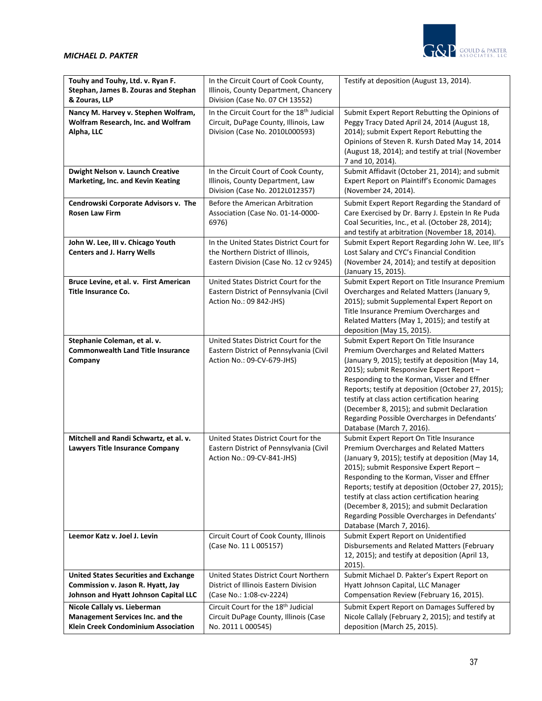

| Touhy and Touhy, Ltd. v. Ryan F.             | In the Circuit Court of Cook County,                   | Testify at deposition (August 13, 2014).                                                    |
|----------------------------------------------|--------------------------------------------------------|---------------------------------------------------------------------------------------------|
| Stephan, James B. Zouras and Stephan         | Illinois, County Department, Chancery                  |                                                                                             |
| & Zouras, LLP                                | Division (Case No. 07 CH 13552)                        |                                                                                             |
|                                              |                                                        |                                                                                             |
| Nancy M. Harvey v. Stephen Wolfram,          | In the Circuit Court for the 18 <sup>th</sup> Judicial | Submit Expert Report Rebutting the Opinions of                                              |
| Wolfram Research, Inc. and Wolfram           | Circuit, DuPage County, Illinois, Law                  | Peggy Tracy Dated April 24, 2014 (August 18,                                                |
| Alpha, LLC                                   | Division (Case No. 2010L000593)                        | 2014); submit Expert Report Rebutting the                                                   |
|                                              |                                                        | Opinions of Steven R. Kursh Dated May 14, 2014                                              |
|                                              |                                                        | (August 18, 2014); and testify at trial (November                                           |
|                                              |                                                        | 7 and 10, 2014).                                                                            |
| Dwight Nelson v. Launch Creative             | In the Circuit Court of Cook County,                   | Submit Affidavit (October 21, 2014); and submit                                             |
| Marketing, Inc. and Kevin Keating            | Illinois, County Department, Law                       | Expert Report on Plaintiff's Economic Damages                                               |
|                                              | Division (Case No. 2012L012357)                        | (November 24, 2014).                                                                        |
| Cendrowski Corporate Advisors v. The         | Before the American Arbitration                        | Submit Expert Report Regarding the Standard of                                              |
| <b>Rosen Law Firm</b>                        | Association (Case No. 01-14-0000-                      | Care Exercised by Dr. Barry J. Epstein In Re Puda                                           |
|                                              | 6976)                                                  | Coal Securities, Inc., et al. (October 28, 2014);                                           |
|                                              |                                                        | and testify at arbitration (November 18, 2014).                                             |
| John W. Lee, III v. Chicago Youth            | In the United States District Court for                | Submit Expert Report Regarding John W. Lee, Ill's                                           |
| <b>Centers and J. Harry Wells</b>            | the Northern District of Illinois,                     | Lost Salary and CYC's Financial Condition                                                   |
|                                              | Eastern Division (Case No. 12 cv 9245)                 | (November 24, 2014); and testify at deposition                                              |
|                                              |                                                        | (January 15, 2015).                                                                         |
| Bruce Levine, et al. v. First American       | United States District Court for the                   | Submit Expert Report on Title Insurance Premium                                             |
| <b>Title Insurance Co.</b>                   | Eastern District of Pennsylvania (Civil                | Overcharges and Related Matters (January 9,                                                 |
|                                              | Action No.: 09 842-JHS)                                | 2015); submit Supplemental Expert Report on                                                 |
|                                              |                                                        | Title Insurance Premium Overcharges and                                                     |
|                                              |                                                        | Related Matters (May 1, 2015); and testify at                                               |
|                                              |                                                        | deposition (May 15, 2015).                                                                  |
| Stephanie Coleman, et al. v.                 | United States District Court for the                   | Submit Expert Report On Title Insurance                                                     |
| <b>Commonwealth Land Title Insurance</b>     | Eastern District of Pennsylvania (Civil                | Premium Overcharges and Related Matters                                                     |
| Company                                      | Action No.: 09-CV-679-JHS)                             | (January 9, 2015); testify at deposition (May 14,                                           |
|                                              |                                                        | 2015); submit Responsive Expert Report -                                                    |
|                                              |                                                        | Responding to the Korman, Visser and Effner                                                 |
|                                              |                                                        | Reports; testify at deposition (October 27, 2015);                                          |
|                                              |                                                        | testify at class action certification hearing<br>(December 8, 2015); and submit Declaration |
|                                              |                                                        | Regarding Possible Overcharges in Defendants'                                               |
|                                              |                                                        | Database (March 7, 2016).                                                                   |
| Mitchell and Randi Schwartz, et al. v.       | United States District Court for the                   | Submit Expert Report On Title Insurance                                                     |
| Lawyers Title Insurance Company              | Eastern District of Pennsylvania (Civil                | Premium Overcharges and Related Matters                                                     |
|                                              | Action No.: 09-CV-841-JHS)                             | (January 9, 2015); testify at deposition (May 14,                                           |
|                                              |                                                        | 2015); submit Responsive Expert Report -                                                    |
|                                              |                                                        | Responding to the Korman, Visser and Effner                                                 |
|                                              |                                                        | Reports; testify at deposition (October 27, 2015);                                          |
|                                              |                                                        | testify at class action certification hearing                                               |
|                                              |                                                        | (December 8, 2015); and submit Declaration                                                  |
|                                              |                                                        | Regarding Possible Overcharges in Defendants'                                               |
|                                              |                                                        | Database (March 7, 2016).                                                                   |
| Leemor Katz v. Joel J. Levin                 | Circuit Court of Cook County, Illinois                 | Submit Expert Report on Unidentified                                                        |
|                                              | (Case No. 11 L 005157)                                 | Disbursements and Related Matters (February                                                 |
|                                              |                                                        | 12, 2015); and testify at deposition (April 13,                                             |
|                                              |                                                        | $2015$ ).                                                                                   |
| <b>United States Securities and Exchange</b> | United States District Court Northern                  | Submit Michael D. Pakter's Expert Report on                                                 |
| Commission v. Jason R. Hyatt, Jay            | District of Illinois Eastern Division                  | Hyatt Johnson Capital, LLC Manager                                                          |
| Johnson and Hyatt Johnson Capital LLC        | (Case No.: 1:08-cv-2224)                               | Compensation Review (February 16, 2015).                                                    |
| Nicole Callaly vs. Lieberman                 | Circuit Court for the 18 <sup>th</sup> Judicial        | Submit Expert Report on Damages Suffered by                                                 |
| Management Services Inc. and the             | Circuit DuPage County, Illinois (Case                  | Nicole Callaly (February 2, 2015); and testify at                                           |
| Klein Creek Condominium Association          | No. 2011 L 000545)                                     | deposition (March 25, 2015).                                                                |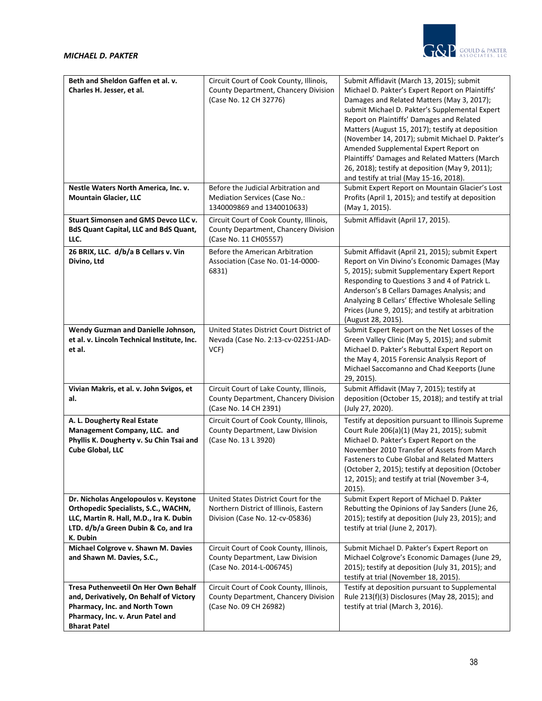



| Beth and Sheldon Gaffen et al. v.<br>Charles H. Jesser, et al.                                                                                                               | Circuit Court of Cook County, Illinois,<br>County Department, Chancery Division<br>(Case No. 12 CH 32776)         | Submit Affidavit (March 13, 2015); submit<br>Michael D. Pakter's Expert Report on Plaintiffs'<br>Damages and Related Matters (May 3, 2017);<br>submit Michael D. Pakter's Supplemental Expert<br>Report on Plaintiffs' Damages and Related<br>Matters (August 15, 2017); testify at deposition<br>(November 14, 2017); submit Michael D. Pakter's<br>Amended Supplemental Expert Report on<br>Plaintiffs' Damages and Related Matters (March<br>26, 2018); testify at deposition (May 9, 2011);<br>and testify at trial (May 15-16, 2018). |
|------------------------------------------------------------------------------------------------------------------------------------------------------------------------------|-------------------------------------------------------------------------------------------------------------------|--------------------------------------------------------------------------------------------------------------------------------------------------------------------------------------------------------------------------------------------------------------------------------------------------------------------------------------------------------------------------------------------------------------------------------------------------------------------------------------------------------------------------------------------|
| Nestle Waters North America, Inc. v.<br><b>Mountain Glacier, LLC</b>                                                                                                         | Before the Judicial Arbitration and<br>Mediation Services (Case No.:<br>1340009869 and 1340010633)                | Submit Expert Report on Mountain Glacier's Lost<br>Profits (April 1, 2015); and testify at deposition<br>(May 1, 2015).                                                                                                                                                                                                                                                                                                                                                                                                                    |
| Stuart Simonsen and GMS Devco LLC v.<br><b>BdS Quant Capital, LLC and BdS Quant,</b><br>LLC.                                                                                 | Circuit Court of Cook County, Illinois,<br>County Department, Chancery Division<br>(Case No. 11 CH05557)          | Submit Affidavit (April 17, 2015).                                                                                                                                                                                                                                                                                                                                                                                                                                                                                                         |
| 26 BRIX, LLC. d/b/a B Cellars v. Vin<br>Divino, Ltd                                                                                                                          | Before the American Arbitration<br>Association (Case No. 01-14-0000-<br>6831)                                     | Submit Affidavit (April 21, 2015); submit Expert<br>Report on Vin Divino's Economic Damages (May<br>5, 2015); submit Supplementary Expert Report<br>Responding to Questions 3 and 4 of Patrick L.<br>Anderson's B Cellars Damages Analysis; and<br>Analyzing B Cellars' Effective Wholesale Selling<br>Prices (June 9, 2015); and testify at arbitration<br>(August 28, 2015).                                                                                                                                                             |
| Wendy Guzman and Danielle Johnson,<br>et al. v. Lincoln Technical Institute, Inc.<br>et al.                                                                                  | United States District Court District of<br>Nevada (Case No. 2:13-cv-02251-JAD-<br>VCF)                           | Submit Expert Report on the Net Losses of the<br>Green Valley Clinic (May 5, 2015); and submit<br>Michael D. Pakter's Rebuttal Expert Report on<br>the May 4, 2015 Forensic Analysis Report of<br>Michael Saccomanno and Chad Keeports (June<br>29, 2015).                                                                                                                                                                                                                                                                                 |
| Vivian Makris, et al. v. John Svigos, et<br>al.                                                                                                                              | Circuit Court of Lake County, Illinois,<br>County Department, Chancery Division<br>(Case No. 14 CH 2391)          | Submit Affidavit (May 7, 2015); testify at<br>deposition (October 15, 2018); and testify at trial<br>(July 27, 2020).                                                                                                                                                                                                                                                                                                                                                                                                                      |
| A. L. Dougherty Real Estate<br>Management Company, LLC. and<br>Phyllis K. Dougherty v. Su Chin Tsai and<br>Cube Global, LLC                                                  | Circuit Court of Cook County, Illinois,<br>County Department, Law Division<br>(Case No. 13 L 3920)                | Testify at deposition pursuant to Illinois Supreme<br>Court Rule 206(a)(1) (May 21, 2015); submit<br>Michael D. Pakter's Expert Report on the<br>November 2010 Transfer of Assets from March<br><b>Fasteners to Cube Global and Related Matters</b><br>(October 2, 2015); testify at deposition (October<br>12, 2015); and testify at trial (November 3-4,<br>$2015$ ).                                                                                                                                                                    |
| Dr. Nicholas Angelopoulos v. Keystone<br>Orthopedic Specialists, S.C., WACHN,<br>LLC, Martin R. Hall, M.D., Ira K. Dubin<br>LTD. d/b/a Green Dubin & Co, and Ira<br>K. Dubin | United States District Court for the<br>Northern District of Illinois, Eastern<br>Division (Case No. 12-cv-05836) | Submit Expert Report of Michael D. Pakter<br>Rebutting the Opinions of Jay Sanders (June 26,<br>2015); testify at deposition (July 23, 2015); and<br>testify at trial (June 2, 2017).                                                                                                                                                                                                                                                                                                                                                      |
| Michael Colgrove v. Shawn M. Davies<br>and Shawn M. Davies, S.C.,                                                                                                            | Circuit Court of Cook County, Illinois,<br>County Department, Law Division<br>(Case No. 2014-L-006745)            | Submit Michael D. Pakter's Expert Report on<br>Michael Colgrove's Economic Damages (June 29,<br>2015); testify at deposition (July 31, 2015); and<br>testify at trial (November 18, 2015).                                                                                                                                                                                                                                                                                                                                                 |
| Tresa Puthenveetil On Her Own Behalf<br>and, Derivatively, On Behalf of Victory<br>Pharmacy, Inc. and North Town<br>Pharmacy, Inc. v. Arun Patel and<br><b>Bharat Patel</b>  | Circuit Court of Cook County, Illinois,<br>County Department, Chancery Division<br>(Case No. 09 CH 26982)         | Testify at deposition pursuant to Supplemental<br>Rule 213(f)(3) Disclosures (May 28, 2015); and<br>testify at trial (March 3, 2016).                                                                                                                                                                                                                                                                                                                                                                                                      |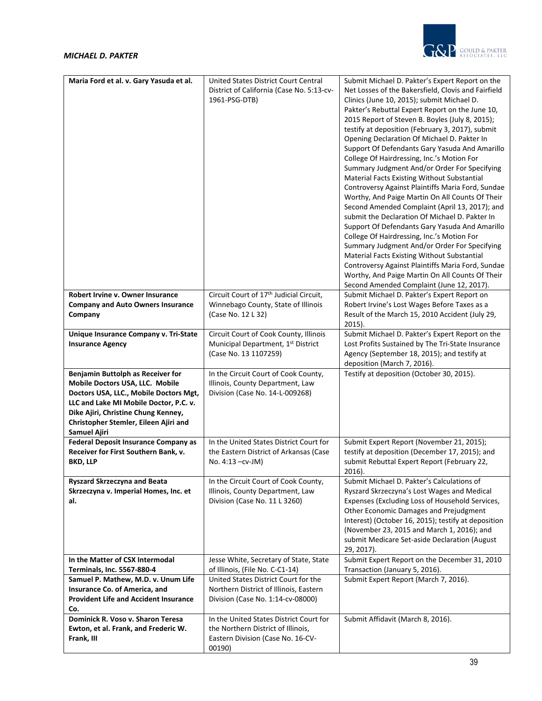

| Maria Ford et al. v. Gary Yasuda et al.                                                                                                                                                                                                                         | United States District Court Central<br>District of California (Case No. 5:13-cv-<br>1961-PSG-DTB)                | Submit Michael D. Pakter's Expert Report on the<br>Net Losses of the Bakersfield, Clovis and Fairfield<br>Clinics (June 10, 2015); submit Michael D.                                                                                                                                                                                                                                                                                                       |
|-----------------------------------------------------------------------------------------------------------------------------------------------------------------------------------------------------------------------------------------------------------------|-------------------------------------------------------------------------------------------------------------------|------------------------------------------------------------------------------------------------------------------------------------------------------------------------------------------------------------------------------------------------------------------------------------------------------------------------------------------------------------------------------------------------------------------------------------------------------------|
|                                                                                                                                                                                                                                                                 |                                                                                                                   | Pakter's Rebuttal Expert Report on the June 10,<br>2015 Report of Steven B. Boyles (July 8, 2015);<br>testify at deposition (February 3, 2017), submit<br>Opening Declaration Of Michael D. Pakter In<br>Support Of Defendants Gary Yasuda And Amarillo<br>College Of Hairdressing, Inc.'s Motion For<br>Summary Judgment And/or Order For Specifying<br>Material Facts Existing Without Substantial<br>Controversy Against Plaintiffs Maria Ford, Sundae  |
|                                                                                                                                                                                                                                                                 |                                                                                                                   | Worthy, And Paige Martin On All Counts Of Their<br>Second Amended Complaint (April 13, 2017); and<br>submit the Declaration Of Michael D. Pakter In<br>Support Of Defendants Gary Yasuda And Amarillo<br>College Of Hairdressing, Inc.'s Motion For<br>Summary Judgment And/or Order For Specifying<br>Material Facts Existing Without Substantial<br>Controversy Against Plaintiffs Maria Ford, Sundae<br>Worthy, And Paige Martin On All Counts Of Their |
|                                                                                                                                                                                                                                                                 |                                                                                                                   | Second Amended Complaint (June 12, 2017).                                                                                                                                                                                                                                                                                                                                                                                                                  |
| Robert Irvine v. Owner Insurance<br><b>Company and Auto Owners Insurance</b><br>Company                                                                                                                                                                         | Circuit Court of 17 <sup>th</sup> Judicial Circuit,<br>Winnebago County, State of Illinois<br>(Case No. 12 L 32)  | Submit Michael D. Pakter's Expert Report on<br>Robert Irvine's Lost Wages Before Taxes as a<br>Result of the March 15, 2010 Accident (July 29,<br>2015).                                                                                                                                                                                                                                                                                                   |
| Unique Insurance Company v. Tri-State<br><b>Insurance Agency</b>                                                                                                                                                                                                | Circuit Court of Cook County, Illinois<br>Municipal Department, 1 <sup>st</sup> District<br>(Case No. 13 1107259) | Submit Michael D. Pakter's Expert Report on the<br>Lost Profits Sustained by The Tri-State Insurance<br>Agency (September 18, 2015); and testify at<br>deposition (March 7, 2016).                                                                                                                                                                                                                                                                         |
| Benjamin Buttolph as Receiver for<br>Mobile Doctors USA, LLC. Mobile<br>Doctors USA, LLC., Mobile Doctors Mgt,<br>LLC and Lake MI Mobile Doctor, P.C. v.<br>Dike Ajiri, Christine Chung Kenney,<br>Christopher Stemler, Eileen Ajiri and<br><b>Samuel Ajiri</b> | In the Circuit Court of Cook County,<br>Illinois, County Department, Law<br>Division (Case No. 14-L-009268)       | Testify at deposition (October 30, 2015).                                                                                                                                                                                                                                                                                                                                                                                                                  |
| <b>Federal Deposit Insurance Company as</b><br>Receiver for First Southern Bank, v.<br><b>BKD, LLP</b>                                                                                                                                                          | In the United States District Court for<br>the Eastern District of Arkansas (Case<br>No. 4:13 - cv - JM)          | Submit Expert Report (November 21, 2015);<br>testify at deposition (December 17, 2015); and<br>submit Rebuttal Expert Report (February 22,<br>2016).                                                                                                                                                                                                                                                                                                       |
| Ryszard Skrzeczyna and Beata<br>Skrzeczyna v. Imperial Homes, Inc. et<br>al.                                                                                                                                                                                    | In the Circuit Court of Cook County,<br>Illinois, County Department, Law<br>Division (Case No. 11 L 3260)         | Submit Michael D. Pakter's Calculations of<br>Ryszard Skrzeczyna's Lost Wages and Medical<br>Expenses (Excluding Loss of Household Services,<br>Other Economic Damages and Prejudgment<br>Interest) (October 16, 2015); testify at deposition<br>(November 23, 2015 and March 1, 2016); and<br>submit Medicare Set-aside Declaration (August<br>29, 2017).                                                                                                 |
| In the Matter of CSX Intermodal                                                                                                                                                                                                                                 | Jesse White, Secretary of State, State                                                                            | Submit Expert Report on the December 31, 2010                                                                                                                                                                                                                                                                                                                                                                                                              |
| Terminals, Inc. 5567-880-4                                                                                                                                                                                                                                      | of Illinois, (File No. C-C1-14)                                                                                   | Transaction (January 5, 2016).                                                                                                                                                                                                                                                                                                                                                                                                                             |
| Samuel P. Mathew, M.D. v. Unum Life                                                                                                                                                                                                                             | United States District Court for the                                                                              | Submit Expert Report (March 7, 2016).                                                                                                                                                                                                                                                                                                                                                                                                                      |
| Insurance Co. of America, and                                                                                                                                                                                                                                   | Northern District of Illinois, Eastern                                                                            |                                                                                                                                                                                                                                                                                                                                                                                                                                                            |
| <b>Provident Life and Accident Insurance</b><br>Co.                                                                                                                                                                                                             | Division (Case No. 1:14-cv-08000)                                                                                 |                                                                                                                                                                                                                                                                                                                                                                                                                                                            |
| Dominick R. Voso v. Sharon Teresa                                                                                                                                                                                                                               | In the United States District Court for                                                                           | Submit Affidavit (March 8, 2016).                                                                                                                                                                                                                                                                                                                                                                                                                          |
| Ewton, et al. Frank, and Frederic W.<br>Frank, III                                                                                                                                                                                                              | the Northern District of Illinois,<br>Eastern Division (Case No. 16-CV-<br>00190)                                 |                                                                                                                                                                                                                                                                                                                                                                                                                                                            |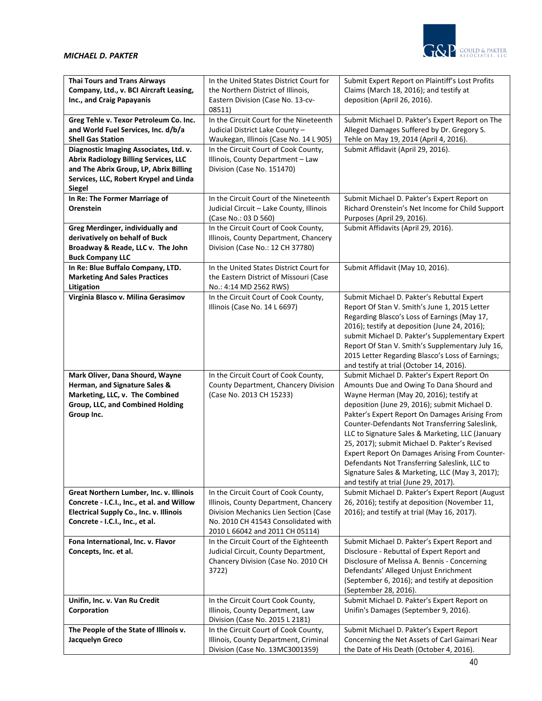

| <b>Thai Tours and Trans Airways</b>                       | In the United States District Court for                                       | Submit Expert Report on Plaintiff's Lost Profits                                                 |
|-----------------------------------------------------------|-------------------------------------------------------------------------------|--------------------------------------------------------------------------------------------------|
| Company, Ltd., v. BCI Aircraft Leasing,                   | the Northern District of Illinois,                                            | Claims (March 18, 2016); and testify at                                                          |
| Inc., and Craig Papayanis                                 | Eastern Division (Case No. 13-cv-<br>08511)                                   | deposition (April 26, 2016).                                                                     |
| Greg Tehle v. Texor Petroleum Co. Inc.                    | In the Circuit Court for the Nineteenth                                       | Submit Michael D. Pakter's Expert Report on The                                                  |
| and World Fuel Services, Inc. d/b/a                       | Judicial District Lake County -                                               | Alleged Damages Suffered by Dr. Gregory S.                                                       |
| <b>Shell Gas Station</b>                                  | Waukegan, Illinois (Case No. 14 L 905)                                        | Tehle on May 19, 2014 (April 4, 2016).                                                           |
| Diagnostic Imaging Associates, Ltd. v.                    | In the Circuit Court of Cook County,                                          | Submit Affidavit (April 29, 2016).                                                               |
| <b>Abrix Radiology Billing Services, LLC</b>              | Illinois, County Department - Law                                             |                                                                                                  |
| and The Abrix Group, LP, Abrix Billing                    | Division (Case No. 151470)                                                    |                                                                                                  |
| Services, LLC, Robert Krypel and Linda                    |                                                                               |                                                                                                  |
| <b>Siegel</b>                                             |                                                                               |                                                                                                  |
| In Re: The Former Marriage of                             | In the Circuit Court of the Nineteenth                                        | Submit Michael D. Pakter's Expert Report on                                                      |
| Orenstein                                                 | Judicial Circuit - Lake County, Illinois                                      | Richard Orenstein's Net Income for Child Support                                                 |
| Greg Merdinger, individually and                          | (Case No.: 03 D 560)<br>In the Circuit Court of Cook County,                  | Purposes (April 29, 2016).<br>Submit Affidavits (April 29, 2016).                                |
| derivatively on behalf of Buck                            | Illinois, County Department, Chancery                                         |                                                                                                  |
| Broadway & Reade, LLC v. The John                         | Division (Case No.: 12 CH 37780)                                              |                                                                                                  |
| <b>Buck Company LLC</b>                                   |                                                                               |                                                                                                  |
| In Re: Blue Buffalo Company, LTD.                         | In the United States District Court for                                       | Submit Affidavit (May 10, 2016).                                                                 |
| <b>Marketing And Sales Practices</b>                      | the Eastern District of Missouri (Case                                        |                                                                                                  |
| Litigation                                                | No.: 4:14 MD 2562 RWS)                                                        |                                                                                                  |
| Virginia Blasco v. Milina Gerasimov                       | In the Circuit Court of Cook County,                                          | Submit Michael D. Pakter's Rebuttal Expert                                                       |
|                                                           | Illinois (Case No. 14 L 6697)                                                 | Report Of Stan V. Smith's June 1, 2015 Letter                                                    |
|                                                           |                                                                               | Regarding Blasco's Loss of Earnings (May 17,                                                     |
|                                                           |                                                                               | 2016); testify at deposition (June 24, 2016);<br>submit Michael D. Pakter's Supplementary Expert |
|                                                           |                                                                               | Report Of Stan V. Smith's Supplementary July 16,                                                 |
|                                                           |                                                                               | 2015 Letter Regarding Blasco's Loss of Earnings;                                                 |
|                                                           |                                                                               | and testify at trial (October 14, 2016).                                                         |
| Mark Oliver, Dana Shourd, Wayne                           |                                                                               |                                                                                                  |
|                                                           | In the Circuit Court of Cook County,                                          | Submit Michael D. Pakter's Expert Report On                                                      |
| Herman, and Signature Sales &                             | County Department, Chancery Division                                          | Amounts Due and Owing To Dana Shourd and                                                         |
| Marketing, LLC, v. The Combined                           | (Case No. 2013 CH 15233)                                                      | Wayne Herman (May 20, 2016); testify at                                                          |
| Group, LLC, and Combined Holding                          |                                                                               | deposition (June 29, 2016); submit Michael D.                                                    |
| Group Inc.                                                |                                                                               | Pakter's Expert Report On Damages Arising From                                                   |
|                                                           |                                                                               | Counter-Defendants Not Transferring Saleslink,                                                   |
|                                                           |                                                                               | LLC to Signature Sales & Marketing, LLC (January                                                 |
|                                                           |                                                                               | 25, 2017); submit Michael D. Pakter's Revised                                                    |
|                                                           |                                                                               | Expert Report On Damages Arising From Counter-                                                   |
|                                                           |                                                                               | Defendants Not Transferring Saleslink, LLC to<br>Signature Sales & Marketing, LLC (May 3, 2017); |
|                                                           |                                                                               | and testify at trial (June 29, 2017).                                                            |
| Great Northern Lumber, Inc. v. Illinois                   | In the Circuit Court of Cook County,                                          | Submit Michael D. Pakter's Expert Report (August                                                 |
| Concrete - I.C.I., Inc., et al. and Willow                | Illinois, County Department, Chancery                                         | 26, 2016); testify at deposition (November 11,                                                   |
| Electrical Supply Co., Inc. v. Illinois                   | Division Mechanics Lien Section (Case                                         | 2016); and testify at trial (May 16, 2017).                                                      |
| Concrete - I.C.I., Inc., et al.                           | No. 2010 CH 41543 Consolidated with                                           |                                                                                                  |
|                                                           | 2010 L 66042 and 2011 CH 05114)                                               |                                                                                                  |
| Fona International, Inc. v. Flavor                        | In the Circuit Court of the Eighteenth                                        | Submit Michael D. Pakter's Expert Report and                                                     |
| Concepts, Inc. et al.                                     | Judicial Circuit, County Department,                                          | Disclosure - Rebuttal of Expert Report and                                                       |
|                                                           | Chancery Division (Case No. 2010 CH<br>3722)                                  | Disclosure of Melissa A. Bennis - Concerning<br>Defendants' Alleged Unjust Enrichment            |
|                                                           |                                                                               | (September 6, 2016); and testify at deposition                                                   |
|                                                           |                                                                               | (September 28, 2016).                                                                            |
| Unifin, Inc. v. Van Ru Credit                             | In the Circuit Court Cook County,                                             | Submit Michael D. Pakter's Expert Report on                                                      |
| Corporation                                               | Illinois, County Department, Law                                              | Unifin's Damages (September 9, 2016).                                                            |
|                                                           | Division (Case No. 2015 L 2181)                                               |                                                                                                  |
| The People of the State of Illinois v.<br>Jacquelyn Greco | In the Circuit Court of Cook County,<br>Illinois, County Department, Criminal | Submit Michael D. Pakter's Expert Report<br>Concerning the Net Assets of Carl Gaimari Near       |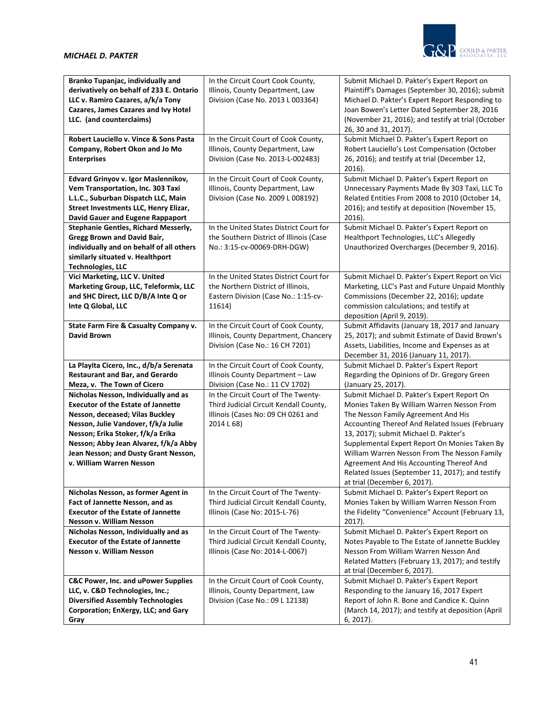

| Branko Tupanjac, individually and<br>derivatively on behalf of 233 E. Ontario<br>LLC v. Ramiro Cazares, a/k/a Tony | In the Circuit Court Cook County,<br>Illinois, County Department, Law<br>Division (Case No. 2013 L 003364) | Submit Michael D. Pakter's Expert Report on<br>Plaintiff's Damages (September 30, 2016); submit<br>Michael D. Pakter's Expert Report Responding to |
|--------------------------------------------------------------------------------------------------------------------|------------------------------------------------------------------------------------------------------------|----------------------------------------------------------------------------------------------------------------------------------------------------|
| Cazares, James Cazares and Ivy Hotel<br>LLC. (and counterclaims)                                                   |                                                                                                            | Joan Bowen's Letter Dated September 28, 2016<br>(November 21, 2016); and testify at trial (October<br>26, 30 and 31, 2017).                        |
| Robert Lauciello v. Vince & Sons Pasta                                                                             | In the Circuit Court of Cook County,                                                                       | Submit Michael D. Pakter's Expert Report on                                                                                                        |
| Company, Robert Okon and Jo Mo                                                                                     | Illinois, County Department, Law                                                                           | Robert Lauciello's Lost Compensation (October                                                                                                      |
| <b>Enterprises</b>                                                                                                 | Division (Case No. 2013-L-002483)                                                                          | 26, 2016); and testify at trial (December 12,<br>2016).                                                                                            |
| Edvard Grinyov v. Igor Maslennikov,                                                                                | In the Circuit Court of Cook County,                                                                       | Submit Michael D. Pakter's Expert Report on                                                                                                        |
| Vem Transportation, Inc. 303 Taxi                                                                                  | Illinois, County Department, Law                                                                           | Unnecessary Payments Made By 303 Taxi, LLC To                                                                                                      |
| L.L.C., Suburban Dispatch LLC, Main                                                                                | Division (Case No. 2009 L 008192)                                                                          | Related Entities From 2008 to 2010 (October 14,                                                                                                    |
| Street Investments LLC, Henry Elizar,                                                                              |                                                                                                            | 2016); and testify at deposition (November 15,                                                                                                     |
| <b>David Gauer and Eugene Rappaport</b>                                                                            |                                                                                                            | $2016$ ).                                                                                                                                          |
| Stephanie Gentles, Richard Messerly,                                                                               | In the United States District Court for                                                                    | Submit Michael D. Pakter's Expert Report on                                                                                                        |
| <b>Gregg Brown and David Bair,</b>                                                                                 | the Southern District of Illinois (Case                                                                    | Healthport Technologies, LLC's Allegedly                                                                                                           |
| individually and on behalf of all others                                                                           | No.: 3:15-cv-00069-DRH-DGW)                                                                                | Unauthorized Overcharges (December 9, 2016).                                                                                                       |
| similarly situated v. Healthport<br><b>Technologies, LLC</b>                                                       |                                                                                                            |                                                                                                                                                    |
| Vici Marketing, LLC V. United                                                                                      | In the United States District Court for                                                                    | Submit Michael D. Pakter's Expert Report on Vici                                                                                                   |
| Marketing Group, LLC, Teleformix, LLC                                                                              | the Northern District of Illinois,                                                                         | Marketing, LLC's Past and Future Unpaid Monthly                                                                                                    |
| and SHC Direct, LLC D/B/A Inte Q or                                                                                | Eastern Division (Case No.: 1:15-cv-                                                                       | Commissions (December 22, 2016); update                                                                                                            |
| Inte Q Global, LLC                                                                                                 | 11614)                                                                                                     | commission calculations; and testify at                                                                                                            |
|                                                                                                                    |                                                                                                            | deposition (April 9, 2019).                                                                                                                        |
| State Farm Fire & Casualty Company v.                                                                              | In the Circuit Court of Cook County,                                                                       | Submit Affidavits (January 18, 2017 and January                                                                                                    |
| <b>David Brown</b>                                                                                                 | Illinois, County Department, Chancery                                                                      | 25, 2017); and submit Estimate of David Brown's                                                                                                    |
|                                                                                                                    | Division (Case No.: 16 CH 7201)                                                                            | Assets, Liabilities, Income and Expenses as at                                                                                                     |
|                                                                                                                    |                                                                                                            | December 31, 2016 (January 11, 2017).                                                                                                              |
| La Playita Cicero, Inc., d/b/a Serenata                                                                            | In the Circuit Court of Cook County,                                                                       | Submit Michael D. Pakter's Expert Report                                                                                                           |
| <b>Restaurant and Bar, and Gerardo</b>                                                                             | Illinois County Department - Law                                                                           | Regarding the Opinions of Dr. Gregory Green                                                                                                        |
| Meza, v. The Town of Cicero                                                                                        | Division (Case No.: 11 CV 1702)                                                                            | (January 25, 2017).                                                                                                                                |
| Nicholas Nesson, Individually and as                                                                               | In the Circuit Court of The Twenty-                                                                        | Submit Michael D. Pakter's Expert Report On                                                                                                        |
| <b>Executor of the Estate of Jannette</b>                                                                          | Third Judicial Circuit Kendall County,                                                                     | Monies Taken By William Warren Nesson From                                                                                                         |
| Nesson, deceased; Vilas Buckley<br>Nesson, Julie Vandover, f/k/a Julie                                             | Illinois (Cases No: 09 CH 0261 and<br>2014 L 68)                                                           | The Nesson Family Agreement And His                                                                                                                |
| Nesson; Erika Stoker, f/k/a Erika                                                                                  |                                                                                                            | Accounting Thereof And Related Issues (February<br>13, 2017); submit Michael D. Pakter's                                                           |
| Nesson; Abby Jean Alvarez, f/k/a Abby                                                                              |                                                                                                            | Supplemental Expert Report On Monies Taken By                                                                                                      |
| Jean Nesson; and Dusty Grant Nesson,                                                                               |                                                                                                            | William Warren Nesson From The Nesson Family                                                                                                       |
| v. William Warren Nesson                                                                                           |                                                                                                            | Agreement And His Accounting Thereof And                                                                                                           |
|                                                                                                                    |                                                                                                            | Related Issues (September 11, 2017); and testify                                                                                                   |
|                                                                                                                    |                                                                                                            | at trial (December 6, 2017).                                                                                                                       |
| Nicholas Nesson, as former Agent in                                                                                | In the Circuit Court of The Twenty-                                                                        | Submit Michael D. Pakter's Expert Report on                                                                                                        |
| Fact of Jannette Nesson, and as                                                                                    | Third Judicial Circuit Kendall County,                                                                     | Monies Taken by William Warren Nesson From                                                                                                         |
| <b>Executor of the Estate of Jannette</b>                                                                          | Illinois (Case No: 2015-L-76)                                                                              | the Fidelity "Convenience" Account (February 13,                                                                                                   |
| Nesson v. William Nesson                                                                                           |                                                                                                            | $2017$ ).                                                                                                                                          |
| Nicholas Nesson, Individually and as                                                                               | In the Circuit Court of The Twenty-                                                                        | Submit Michael D. Pakter's Expert Report on                                                                                                        |
| <b>Executor of the Estate of Jannette</b>                                                                          | Third Judicial Circuit Kendall County,                                                                     | Notes Payable to The Estate of Jannette Buckley                                                                                                    |
| Nesson v. William Nesson                                                                                           | Illinois (Case No: 2014-L-0067)                                                                            | Nesson From William Warren Nesson And                                                                                                              |
|                                                                                                                    |                                                                                                            | Related Matters (February 13, 2017); and testify<br>at trial (December 6, 2017).                                                                   |
| <b>C&amp;C Power, Inc. and uPower Supplies</b>                                                                     | In the Circuit Court of Cook County,                                                                       | Submit Michael D. Pakter's Expert Report                                                                                                           |
| LLC, v. C&D Technologies, Inc.;                                                                                    | Illinois, County Department, Law                                                                           | Responding to the January 16, 2017 Expert                                                                                                          |
| <b>Diversified Assembly Technologies</b>                                                                           | Division (Case No.: 09 L 12138)                                                                            | Report of John R. Bone and Candice K. Quinn                                                                                                        |
| Corporation; EnXergy, LLC; and Gary                                                                                |                                                                                                            | (March 14, 2017); and testify at deposition (April                                                                                                 |
| Gray                                                                                                               |                                                                                                            | 6, 2017).                                                                                                                                          |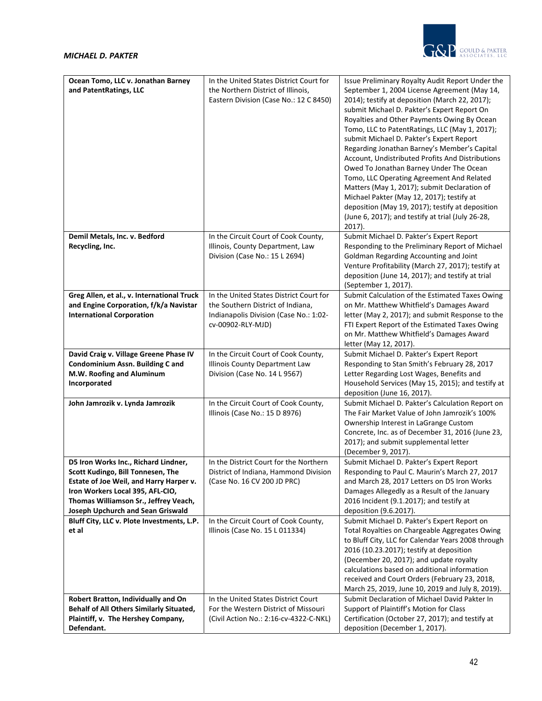

| Ocean Tomo, LLC v. Jonathan Barney<br>and PatentRatings, LLC                           | In the United States District Court for<br>the Northern District of Illinois,<br>Eastern Division (Case No.: 12 C 8450) | Issue Preliminary Royalty Audit Report Under the<br>September 1, 2004 License Agreement (May 14,<br>2014); testify at deposition (March 22, 2017);<br>submit Michael D. Pakter's Expert Report On<br>Royalties and Other Payments Owing By Ocean<br>Tomo, LLC to PatentRatings, LLC (May 1, 2017);<br>submit Michael D. Pakter's Expert Report<br>Regarding Jonathan Barney's Member's Capital<br>Account, Undistributed Profits And Distributions<br>Owed To Jonathan Barney Under The Ocean<br>Tomo, LLC Operating Agreement And Related<br>Matters (May 1, 2017); submit Declaration of<br>Michael Pakter (May 12, 2017); testify at<br>deposition (May 19, 2017); testify at deposition<br>(June 6, 2017); and testify at trial (July 26-28,<br>$2017$ ). |
|----------------------------------------------------------------------------------------|-------------------------------------------------------------------------------------------------------------------------|---------------------------------------------------------------------------------------------------------------------------------------------------------------------------------------------------------------------------------------------------------------------------------------------------------------------------------------------------------------------------------------------------------------------------------------------------------------------------------------------------------------------------------------------------------------------------------------------------------------------------------------------------------------------------------------------------------------------------------------------------------------|
| Demil Metals, Inc. v. Bedford                                                          | In the Circuit Court of Cook County,                                                                                    | Submit Michael D. Pakter's Expert Report                                                                                                                                                                                                                                                                                                                                                                                                                                                                                                                                                                                                                                                                                                                      |
| Recycling, Inc.                                                                        | Illinois, County Department, Law                                                                                        | Responding to the Preliminary Report of Michael                                                                                                                                                                                                                                                                                                                                                                                                                                                                                                                                                                                                                                                                                                               |
|                                                                                        | Division (Case No.: 15 L 2694)                                                                                          | Goldman Regarding Accounting and Joint                                                                                                                                                                                                                                                                                                                                                                                                                                                                                                                                                                                                                                                                                                                        |
|                                                                                        |                                                                                                                         | Venture Profitability (March 27, 2017); testify at                                                                                                                                                                                                                                                                                                                                                                                                                                                                                                                                                                                                                                                                                                            |
|                                                                                        |                                                                                                                         | deposition (June 14, 2017); and testify at trial                                                                                                                                                                                                                                                                                                                                                                                                                                                                                                                                                                                                                                                                                                              |
|                                                                                        |                                                                                                                         | (September 1, 2017).                                                                                                                                                                                                                                                                                                                                                                                                                                                                                                                                                                                                                                                                                                                                          |
| Greg Allen, et al., v. International Truck                                             | In the United States District Court for                                                                                 | Submit Calculation of the Estimated Taxes Owing                                                                                                                                                                                                                                                                                                                                                                                                                                                                                                                                                                                                                                                                                                               |
| and Engine Corporation, f/k/a Navistar                                                 | the Southern District of Indiana,                                                                                       | on Mr. Matthew Whitfield's Damages Award                                                                                                                                                                                                                                                                                                                                                                                                                                                                                                                                                                                                                                                                                                                      |
| <b>International Corporation</b>                                                       | Indianapolis Division (Case No.: 1:02-                                                                                  | letter (May 2, 2017); and submit Response to the                                                                                                                                                                                                                                                                                                                                                                                                                                                                                                                                                                                                                                                                                                              |
|                                                                                        | cv-00902-RLY-MJD)                                                                                                       | FTI Expert Report of the Estimated Taxes Owing                                                                                                                                                                                                                                                                                                                                                                                                                                                                                                                                                                                                                                                                                                                |
|                                                                                        |                                                                                                                         | on Mr. Matthew Whitfield's Damages Award                                                                                                                                                                                                                                                                                                                                                                                                                                                                                                                                                                                                                                                                                                                      |
|                                                                                        |                                                                                                                         | letter (May 12, 2017).                                                                                                                                                                                                                                                                                                                                                                                                                                                                                                                                                                                                                                                                                                                                        |
| David Craig v. Village Greene Phase IV                                                 | In the Circuit Court of Cook County,                                                                                    | Submit Michael D. Pakter's Expert Report                                                                                                                                                                                                                                                                                                                                                                                                                                                                                                                                                                                                                                                                                                                      |
| Condominium Assn. Building C and                                                       | Illinois County Department Law                                                                                          | Responding to Stan Smith's February 28, 2017                                                                                                                                                                                                                                                                                                                                                                                                                                                                                                                                                                                                                                                                                                                  |
| M.W. Roofing and Aluminum                                                              | Division (Case No. 14 L 9567)                                                                                           | Letter Regarding Lost Wages, Benefits and                                                                                                                                                                                                                                                                                                                                                                                                                                                                                                                                                                                                                                                                                                                     |
| Incorporated                                                                           |                                                                                                                         | Household Services (May 15, 2015); and testify at                                                                                                                                                                                                                                                                                                                                                                                                                                                                                                                                                                                                                                                                                                             |
|                                                                                        |                                                                                                                         | deposition (June 16, 2017).                                                                                                                                                                                                                                                                                                                                                                                                                                                                                                                                                                                                                                                                                                                                   |
| John Jamrozik v. Lynda Jamrozik                                                        | In the Circuit Court of Cook County,                                                                                    | Submit Michael D. Pakter's Calculation Report on<br>The Fair Market Value of John Jamrozik's 100%                                                                                                                                                                                                                                                                                                                                                                                                                                                                                                                                                                                                                                                             |
|                                                                                        | Illinois (Case No.: 15 D 8976)                                                                                          | Ownership Interest in LaGrange Custom                                                                                                                                                                                                                                                                                                                                                                                                                                                                                                                                                                                                                                                                                                                         |
|                                                                                        |                                                                                                                         | Concrete, Inc. as of December 31, 2016 (June 23,                                                                                                                                                                                                                                                                                                                                                                                                                                                                                                                                                                                                                                                                                                              |
|                                                                                        |                                                                                                                         | 2017); and submit supplemental letter                                                                                                                                                                                                                                                                                                                                                                                                                                                                                                                                                                                                                                                                                                                         |
|                                                                                        |                                                                                                                         | (December 9, 2017).                                                                                                                                                                                                                                                                                                                                                                                                                                                                                                                                                                                                                                                                                                                                           |
| D5 Iron Works Inc., Richard Lindner,                                                   | In the District Court for the Northern                                                                                  | Submit Michael D. Pakter's Expert Report                                                                                                                                                                                                                                                                                                                                                                                                                                                                                                                                                                                                                                                                                                                      |
| Scott Kudingo, Bill Tonnesen, The                                                      | District of Indiana, Hammond Division                                                                                   | Responding to Paul C. Maurin's March 27, 2017                                                                                                                                                                                                                                                                                                                                                                                                                                                                                                                                                                                                                                                                                                                 |
| Estate of Joe Weil, and Harry Harper v.                                                | (Case No. 16 CV 200 JD PRC)                                                                                             | and March 28, 2017 Letters on D5 Iron Works                                                                                                                                                                                                                                                                                                                                                                                                                                                                                                                                                                                                                                                                                                                   |
| Iron Workers Local 395, AFL-CIO,                                                       |                                                                                                                         | Damages Allegedly as a Result of the January                                                                                                                                                                                                                                                                                                                                                                                                                                                                                                                                                                                                                                                                                                                  |
| Thomas Williamson Sr., Jeffrey Veach,                                                  |                                                                                                                         | 2016 Incident (9.1.2017); and testify at                                                                                                                                                                                                                                                                                                                                                                                                                                                                                                                                                                                                                                                                                                                      |
| Joseph Upchurch and Sean Griswald                                                      |                                                                                                                         | deposition (9.6.2017).                                                                                                                                                                                                                                                                                                                                                                                                                                                                                                                                                                                                                                                                                                                                        |
| Bluff City, LLC v. Plote Investments, L.P.                                             | In the Circuit Court of Cook County,                                                                                    | Submit Michael D. Pakter's Expert Report on                                                                                                                                                                                                                                                                                                                                                                                                                                                                                                                                                                                                                                                                                                                   |
| et al                                                                                  | Illinois (Case No. 15 L 011334)                                                                                         | Total Royalties on Chargeable Aggregates Owing                                                                                                                                                                                                                                                                                                                                                                                                                                                                                                                                                                                                                                                                                                                |
|                                                                                        |                                                                                                                         | to Bluff City, LLC for Calendar Years 2008 through                                                                                                                                                                                                                                                                                                                                                                                                                                                                                                                                                                                                                                                                                                            |
|                                                                                        |                                                                                                                         | 2016 (10.23.2017); testify at deposition                                                                                                                                                                                                                                                                                                                                                                                                                                                                                                                                                                                                                                                                                                                      |
|                                                                                        |                                                                                                                         | (December 20, 2017); and update royalty                                                                                                                                                                                                                                                                                                                                                                                                                                                                                                                                                                                                                                                                                                                       |
|                                                                                        |                                                                                                                         | calculations based on additional information                                                                                                                                                                                                                                                                                                                                                                                                                                                                                                                                                                                                                                                                                                                  |
|                                                                                        |                                                                                                                         | received and Court Orders (February 23, 2018,                                                                                                                                                                                                                                                                                                                                                                                                                                                                                                                                                                                                                                                                                                                 |
|                                                                                        |                                                                                                                         | March 25, 2019, June 10, 2019 and July 8, 2019).<br>Submit Declaration of Michael David Pakter In                                                                                                                                                                                                                                                                                                                                                                                                                                                                                                                                                                                                                                                             |
| Robert Bratton, Individually and On<br><b>Behalf of All Others Similarly Situated,</b> | In the United States District Court<br>For the Western District of Missouri                                             | Support of Plaintiff's Motion for Class                                                                                                                                                                                                                                                                                                                                                                                                                                                                                                                                                                                                                                                                                                                       |
| Plaintiff, v. The Hershey Company,                                                     | (Civil Action No.: 2:16-cv-4322-C-NKL)                                                                                  | Certification (October 27, 2017); and testify at                                                                                                                                                                                                                                                                                                                                                                                                                                                                                                                                                                                                                                                                                                              |
| Defendant.                                                                             |                                                                                                                         | deposition (December 1, 2017).                                                                                                                                                                                                                                                                                                                                                                                                                                                                                                                                                                                                                                                                                                                                |
|                                                                                        |                                                                                                                         |                                                                                                                                                                                                                                                                                                                                                                                                                                                                                                                                                                                                                                                                                                                                                               |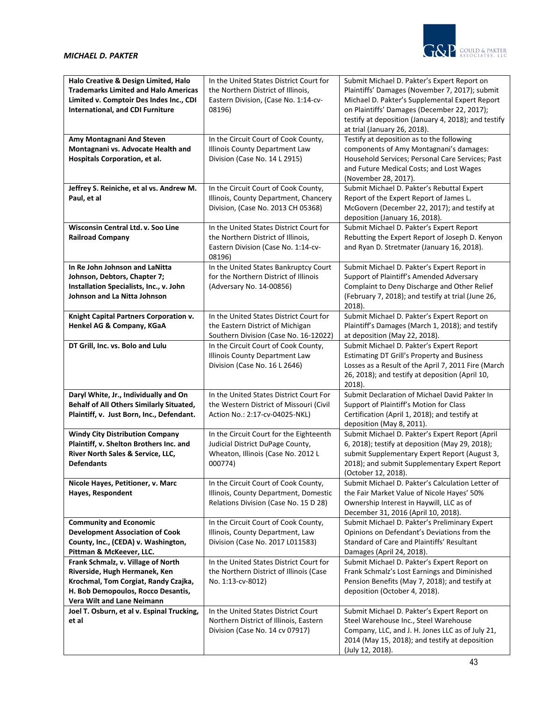

| Halo Creative & Design Limited, Halo<br><b>Trademarks Limited and Halo Americas</b><br>Limited v. Comptoir Des Indes Inc., CDI<br>International, and CDI Furniture              | In the United States District Court for<br>the Northern District of Illinois,<br>Eastern Division, (Case No. 1:14-cv-<br>08196) | Submit Michael D. Pakter's Expert Report on<br>Plaintiffs' Damages (November 7, 2017); submit<br>Michael D. Pakter's Supplemental Expert Report<br>on Plaintiffs' Damages (December 22, 2017);<br>testify at deposition (January 4, 2018); and testify<br>at trial (January 26, 2018). |
|---------------------------------------------------------------------------------------------------------------------------------------------------------------------------------|---------------------------------------------------------------------------------------------------------------------------------|----------------------------------------------------------------------------------------------------------------------------------------------------------------------------------------------------------------------------------------------------------------------------------------|
| Amy Montagnani And Steven<br>Montagnani vs. Advocate Health and<br>Hospitals Corporation, et al.                                                                                | In the Circuit Court of Cook County,<br>Illinois County Department Law<br>Division (Case No. 14 L 2915)                         | Testify at deposition as to the following<br>components of Amy Montagnani's damages:<br>Household Services; Personal Care Services; Past<br>and Future Medical Costs; and Lost Wages<br>(November 28, 2017).                                                                           |
| Jeffrey S. Reiniche, et al vs. Andrew M.<br>Paul, et al                                                                                                                         | In the Circuit Court of Cook County,<br>Illinois, County Department, Chancery<br>Division, (Case No. 2013 CH 05368)             | Submit Michael D. Pakter's Rebuttal Expert<br>Report of the Expert Report of James L.<br>McGovern (December 22, 2017); and testify at<br>deposition (January 16, 2018).                                                                                                                |
| Wisconsin Central Ltd. v. Soo Line<br><b>Railroad Company</b>                                                                                                                   | In the United States District Court for<br>the Northern District of Illinois,<br>Eastern Division (Case No. 1:14-cv-<br>08196)  | Submit Michael D. Pakter's Expert Report<br>Rebutting the Expert Report of Joseph D. Kenyon<br>and Ryan D. Stretmater (January 16, 2018).                                                                                                                                              |
| In Re John Johnson and LaNitta<br>Johnson, Debtors, Chapter 7;<br>Installation Specialists, Inc., v. John<br><b>Johnson and La Nitta Johnson</b>                                | In the United States Bankruptcy Court<br>for the Northern District of Illinois<br>(Adversary No. 14-00856)                      | Submit Michael D. Pakter's Expert Report in<br>Support of Plaintiff's Amended Adversary<br>Complaint to Deny Discharge and Other Relief<br>(February 7, 2018); and testify at trial (June 26,<br>2018).                                                                                |
| Knight Capital Partners Corporation v.<br>Henkel AG & Company, KGaA                                                                                                             | In the United States District Court for<br>the Eastern District of Michigan<br>Southern Division (Case No. 16-12022)            | Submit Michael D. Pakter's Expert Report on<br>Plaintiff's Damages (March 1, 2018); and testify<br>at deposition (May 22, 2018).                                                                                                                                                       |
| DT Grill, Inc. vs. Bolo and Lulu                                                                                                                                                | In the Circuit Court of Cook County,<br>Illinois County Department Law<br>Division (Case No. 16 L 2646)                         | Submit Michael D. Pakter's Expert Report<br><b>Estimating DT Grill's Property and Business</b><br>Losses as a Result of the April 7, 2011 Fire (March<br>26, 2018); and testify at deposition (April 10,<br>2018).                                                                     |
| Daryl White, Jr., Individually and On<br>Behalf of All Others Similarly Situated,<br>Plaintiff, v. Just Born, Inc., Defendant.                                                  | In the United States District Court For<br>the Western District of Missouri (Civil<br>Action No.: 2:17-cv-04025-NKL)            | Submit Declaration of Michael David Pakter In<br>Support of Plaintiff's Motion for Class<br>Certification (April 1, 2018); and testify at<br>deposition (May 8, 2011).                                                                                                                 |
| <b>Windy City Distribution Company</b><br>Plaintiff, v. Shelton Brothers Inc. and<br>River North Sales & Service, LLC,<br><b>Defendants</b>                                     | In the Circuit Court for the Eighteenth<br>Judicial District DuPage County,<br>Wheaton, Illinois (Case No. 2012 L<br>000774)    | Submit Michael D. Pakter's Expert Report (April<br>6, 2018); testify at deposition (May 29, 2018);<br>submit Supplementary Expert Report (August 3,<br>2018); and submit Supplementary Expert Report<br>(October 12, 2018).                                                            |
| Nicole Hayes, Petitioner, v. Marc<br>Hayes, Respondent                                                                                                                          | In the Circuit Court of Cook County,<br>Illinois, County Department, Domestic<br>Relations Division (Case No. 15 D 28)          | Submit Michael D. Pakter's Calculation Letter of<br>the Fair Market Value of Nicole Hayes' 50%<br>Ownership Interest in Haywill, LLC as of<br>December 31, 2016 (April 10, 2018).                                                                                                      |
| <b>Community and Economic</b><br><b>Development Association of Cook</b><br>County, Inc., (CEDA) v. Washington,<br>Pittman & McKeever, LLC.                                      | In the Circuit Court of Cook County,<br>Illinois, County Department, Law<br>Division (Case No. 2017 L011583)                    | Submit Michael D. Pakter's Preliminary Expert<br>Opinions on Defendant's Deviations from the<br>Standard of Care and Plaintiffs' Resultant<br>Damages (April 24, 2018).                                                                                                                |
| Frank Schmalz, v. Village of North<br>Riverside, Hugh Hermanek, Ken<br>Krochmal, Tom Corgiat, Randy Czajka,<br>H. Bob Demopoulos, Rocco Desantis,<br>Vera Wilt and Lane Neimann | In the United States District Court for<br>the Northern District of Illinois (Case<br>No. 1:13-cv-8012)                         | Submit Michael D. Pakter's Expert Report on<br>Frank Schmalz's Lost Earnings and Diminished<br>Pension Benefits (May 7, 2018); and testify at<br>deposition (October 4, 2018).                                                                                                         |
| Joel T. Osburn, et al v. Espinal Trucking,<br>et al                                                                                                                             | In the United States District Court<br>Northern District of Illinois, Eastern<br>Division (Case No. 14 cv 07917)                | Submit Michael D. Pakter's Expert Report on<br>Steel Warehouse Inc., Steel Warehouse<br>Company, LLC, and J. H. Jones LLC as of July 21,<br>2014 (May 15, 2018); and testify at deposition<br>(July 12, 2018).                                                                         |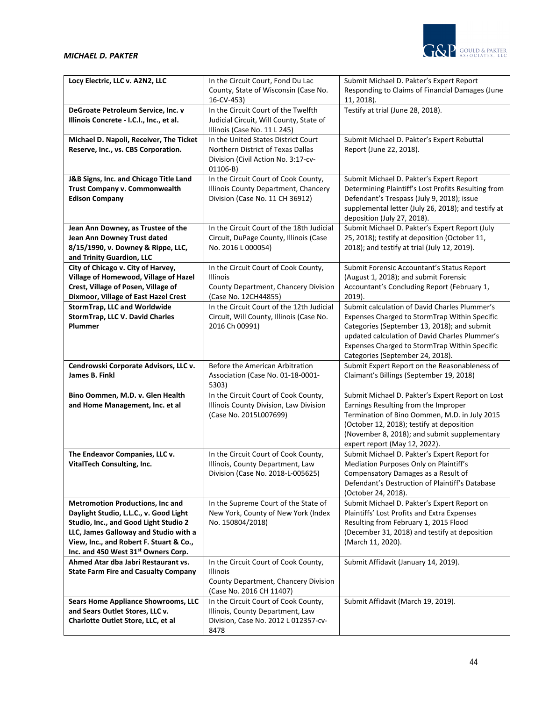| Locy Electric, LLC v. A2N2, LLC                                                   | In the Circuit Court, Fond Du Lac                                              | Submit Michael D. Pakter's Expert Report                                                       |
|-----------------------------------------------------------------------------------|--------------------------------------------------------------------------------|------------------------------------------------------------------------------------------------|
|                                                                                   | County, State of Wisconsin (Case No.                                           | Responding to Claims of Financial Damages (June                                                |
|                                                                                   | 16-CV-453)                                                                     | 11, 2018).                                                                                     |
| DeGroate Petroleum Service, Inc. v<br>Illinois Concrete - I.C.I., Inc., et al.    | In the Circuit Court of the Twelfth<br>Judicial Circuit, Will County, State of | Testify at trial (June 28, 2018).                                                              |
|                                                                                   | Illinois (Case No. 11 L 245)                                                   |                                                                                                |
| Michael D. Napoli, Receiver, The Ticket                                           | In the United States District Court                                            | Submit Michael D. Pakter's Expert Rebuttal                                                     |
| Reserve, Inc., vs. CBS Corporation.                                               | Northern District of Texas Dallas                                              | Report (June 22, 2018).                                                                        |
|                                                                                   | Division (Civil Action No. 3:17-cv-                                            |                                                                                                |
|                                                                                   | $01106-B)$                                                                     |                                                                                                |
| J&B Signs, Inc. and Chicago Title Land                                            | In the Circuit Court of Cook County,                                           | Submit Michael D. Pakter's Expert Report                                                       |
| Trust Company v. Commonwealth                                                     | Illinois County Department, Chancery                                           | Determining Plaintiff's Lost Profits Resulting from                                            |
| <b>Edison Company</b>                                                             | Division (Case No. 11 CH 36912)                                                | Defendant's Trespass (July 9, 2018); issue                                                     |
|                                                                                   |                                                                                | supplemental letter (July 26, 2018); and testify at                                            |
| Jean Ann Downey, as Trustee of the                                                | In the Circuit Court of the 18th Judicial                                      | deposition (July 27, 2018).<br>Submit Michael D. Pakter's Expert Report (July                  |
| Jean Ann Downey Trust dated                                                       | Circuit, DuPage County, Illinois (Case                                         | 25, 2018); testify at deposition (October 11,                                                  |
| 8/15/1990, v. Downey & Rippe, LLC,                                                | No. 2016 L 000054)                                                             | 2018); and testify at trial (July 12, 2019).                                                   |
| and Trinity Guardion, LLC                                                         |                                                                                |                                                                                                |
| City of Chicago v. City of Harvey,                                                | In the Circuit Court of Cook County,                                           | Submit Forensic Accountant's Status Report                                                     |
| Village of Homewood, Village of Hazel                                             | Illinois                                                                       | (August 1, 2018); and submit Forensic                                                          |
| Crest, Village of Posen, Village of                                               | County Department, Chancery Division                                           | Accountant's Concluding Report (February 1,                                                    |
| Dixmoor, Village of East Hazel Crest                                              | (Case No. 12CH44855)                                                           | $2019$ ).                                                                                      |
| StormTrap, LLC and Worldwide<br>StormTrap, LLC V. David Charles                   | In the Circuit Court of the 12th Judicial                                      | Submit calculation of David Charles Plummer's<br>Expenses Charged to StormTrap Within Specific |
| Plummer                                                                           | Circuit, Will County, Illinois (Case No.<br>2016 Ch 00991)                     | Categories (September 13, 2018); and submit                                                    |
|                                                                                   |                                                                                | updated calculation of David Charles Plummer's                                                 |
|                                                                                   |                                                                                | Expenses Charged to StormTrap Within Specific                                                  |
|                                                                                   |                                                                                | Categories (September 24, 2018).                                                               |
| Cendrowski Corporate Advisors, LLC v.                                             | Before the American Arbitration                                                | Submit Expert Report on the Reasonableness of                                                  |
| James B. Finkl                                                                    | Association (Case No. 01-18-0001-                                              | Claimant's Billings (September 19, 2018)                                                       |
|                                                                                   | 5303)                                                                          |                                                                                                |
| Bino Oommen, M.D. v. Glen Health                                                  | In the Circuit Court of Cook County,                                           | Submit Michael D. Pakter's Expert Report on Lost                                               |
| and Home Management, Inc. et al                                                   | Illinois County Division, Law Division<br>(Case No. 2015L007699)               | Earnings Resulting from the Improper<br>Termination of Bino Oommen, M.D. in July 2015          |
|                                                                                   |                                                                                | (October 12, 2018); testify at deposition                                                      |
|                                                                                   |                                                                                | (November 8, 2018); and submit supplementary                                                   |
|                                                                                   |                                                                                | expert report (May 12, 2022).                                                                  |
| The Endeavor Companies, LLC v.                                                    | In the Circuit Court of Cook County,                                           | Submit Michael D. Pakter's Expert Report for                                                   |
| VitalTech Consulting, Inc.                                                        | Illinois, County Department, Law                                               | Mediation Purposes Only on Plaintiff's                                                         |
|                                                                                   | Division (Case No. 2018-L-005625)                                              | Compensatory Damages as a Result of                                                            |
|                                                                                   |                                                                                | Defendant's Destruction of Plaintiff's Database                                                |
|                                                                                   |                                                                                | (October 24, 2018).                                                                            |
| <b>Metromotion Productions, Inc and</b><br>Daylight Studio, L.L.C., v. Good Light | In the Supreme Court of the State of                                           | Submit Michael D. Pakter's Expert Report on                                                    |
| Studio, Inc., and Good Light Studio 2                                             | New York, County of New York (Index                                            | Plaintiffs' Lost Profits and Extra Expenses                                                    |
| LLC, James Galloway and Studio with a                                             |                                                                                |                                                                                                |
| View, Inc., and Robert F. Stuart & Co.,                                           | No. 150804/2018)                                                               | Resulting from February 1, 2015 Flood                                                          |
|                                                                                   |                                                                                | (December 31, 2018) and testify at deposition                                                  |
| Inc. and 450 West 31st Owners Corp.                                               |                                                                                | (March 11, 2020).                                                                              |
| Ahmed Atar dba Jabri Restaurant vs.                                               | In the Circuit Court of Cook County,                                           | Submit Affidavit (January 14, 2019).                                                           |
| <b>State Farm Fire and Casualty Company</b>                                       | <b>Illinois</b>                                                                |                                                                                                |
|                                                                                   | County Department, Chancery Division                                           |                                                                                                |
|                                                                                   | (Case No. 2016 CH 11407)                                                       |                                                                                                |
| <b>Sears Home Appliance Showrooms, LLC</b>                                        | In the Circuit Court of Cook County,                                           | Submit Affidavit (March 19, 2019).                                                             |
| and Sears Outlet Stores, LLC v.<br>Charlotte Outlet Store, LLC, et al             | Illinois, County Department, Law<br>Division, Case No. 2012 L 012357-cv-       |                                                                                                |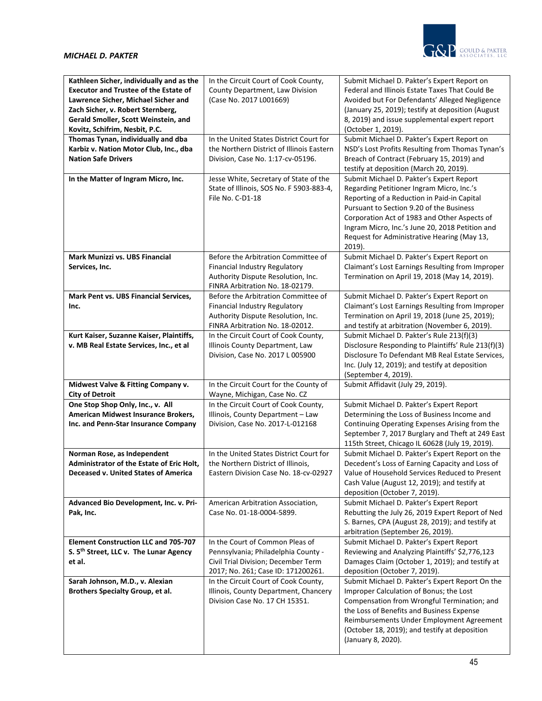

| Kathleen Sicher, individually and as the<br><b>Executor and Trustee of the Estate of</b><br>Lawrence Sicher, Michael Sicher and<br>Zach Sicher, v. Robert Sternberg,<br>Gerald Smoller, Scott Weinstein, and<br>Kovitz, Schifrim, Nesbit, P.C. | In the Circuit Court of Cook County,<br>County Department, Law Division<br>(Case No. 2017 L001669)                                                  | Submit Michael D. Pakter's Expert Report on<br>Federal and Illinois Estate Taxes That Could Be<br>Avoided but For Defendants' Alleged Negligence<br>(January 25, 2019); testify at deposition (August<br>8, 2019) and issue supplemental expert report<br>(October 1, 2019).                                                                 |
|------------------------------------------------------------------------------------------------------------------------------------------------------------------------------------------------------------------------------------------------|-----------------------------------------------------------------------------------------------------------------------------------------------------|----------------------------------------------------------------------------------------------------------------------------------------------------------------------------------------------------------------------------------------------------------------------------------------------------------------------------------------------|
| Thomas Tynan, individually and dba<br>Karbiz v. Nation Motor Club, Inc., dba<br><b>Nation Safe Drivers</b>                                                                                                                                     | In the United States District Court for<br>the Northern District of Illinois Eastern<br>Division, Case No. 1:17-cv-05196.                           | Submit Michael D. Pakter's Expert Report on<br>NSD's Lost Profits Resulting from Thomas Tynan's<br>Breach of Contract (February 15, 2019) and<br>testify at deposition (March 20, 2019).                                                                                                                                                     |
| In the Matter of Ingram Micro, Inc.                                                                                                                                                                                                            | Jesse White, Secretary of State of the<br>State of Illinois, SOS No. F 5903-883-4,<br>File No. C-D1-18                                              | Submit Michael D. Pakter's Expert Report<br>Regarding Petitioner Ingram Micro, Inc.'s<br>Reporting of a Reduction in Paid-in Capital<br>Pursuant to Section 9.20 of the Business<br>Corporation Act of 1983 and Other Aspects of<br>Ingram Micro, Inc.'s June 20, 2018 Petition and<br>Request for Administrative Hearing (May 13,<br>2019). |
| Mark Munizzi vs. UBS Financial<br>Services, Inc.                                                                                                                                                                                               | Before the Arbitration Committee of<br>Financial Industry Regulatory<br>Authority Dispute Resolution, Inc.<br>FINRA Arbitration No. 18-02179.       | Submit Michael D. Pakter's Expert Report on<br>Claimant's Lost Earnings Resulting from Improper<br>Termination on April 19, 2018 (May 14, 2019).                                                                                                                                                                                             |
| Mark Pent vs. UBS Financial Services,<br>Inc.                                                                                                                                                                                                  | Before the Arbitration Committee of<br>Financial Industry Regulatory<br>Authority Dispute Resolution, Inc.<br>FINRA Arbitration No. 18-02012.       | Submit Michael D. Pakter's Expert Report on<br>Claimant's Lost Earnings Resulting from Improper<br>Termination on April 19, 2018 (June 25, 2019);<br>and testify at arbitration (November 6, 2019).                                                                                                                                          |
| Kurt Kaiser, Suzanne Kaiser, Plaintiffs,<br>v. MB Real Estate Services, Inc., et al                                                                                                                                                            | In the Circuit Court of Cook County,<br>Illinois County Department, Law<br>Division, Case No. 2017 L 005900                                         | Submit Michael D. Pakter's Rule 213(f)(3)<br>Disclosure Responding to Plaintiffs' Rule 213(f)(3)<br>Disclosure To Defendant MB Real Estate Services,<br>Inc. (July 12, 2019); and testify at deposition<br>(September 4, 2019).                                                                                                              |
| Midwest Valve & Fitting Company v.<br><b>City of Detroit</b>                                                                                                                                                                                   | In the Circuit Court for the County of<br>Wayne, Michigan, Case No. CZ                                                                              | Submit Affidavit (July 29, 2019).                                                                                                                                                                                                                                                                                                            |
| One Stop Shop Only, Inc., v. All<br>American Midwest Insurance Brokers,<br>Inc. and Penn-Star Insurance Company                                                                                                                                | In the Circuit Court of Cook County,<br>Illinois, County Department - Law<br>Division, Case No. 2017-L-012168                                       | Submit Michael D. Pakter's Expert Report<br>Determining the Loss of Business Income and<br>Continuing Operating Expenses Arising from the<br>September 7, 2017 Burglary and Theft at 249 East<br>115th Street, Chicago IL 60628 (July 19, 2019).                                                                                             |
| Norman Rose, as Independent<br>Administrator of the Estate of Eric Holt,<br>Deceased v. United States of America                                                                                                                               | In the United States District Court for<br>the Northern District of Illinois,<br>Eastern Division Case No. 18-cv-02927                              | Submit Michael D. Pakter's Expert Report on the<br>Decedent's Loss of Earning Capacity and Loss of<br>Value of Household Services Reduced to Present<br>Cash Value (August 12, 2019); and testify at<br>deposition (October 7, 2019).                                                                                                        |
| Advanced Bio Development, Inc. v. Pri-<br>Pak, Inc.                                                                                                                                                                                            | American Arbitration Association,<br>Case No. 01-18-0004-5899.                                                                                      | Submit Michael D. Pakter's Expert Report<br>Rebutting the July 26, 2019 Expert Report of Ned<br>S. Barnes, CPA (August 28, 2019); and testify at<br>arbitration (September 26, 2019).                                                                                                                                                        |
| <b>Element Construction LLC and 705-707</b><br>S. 5th Street, LLC v. The Lunar Agency<br>et al.                                                                                                                                                | In the Court of Common Pleas of<br>Pennsylvania; Philadelphia County -<br>Civil Trial Division; December Term<br>2017; No. 261; Case ID: 171200261. | Submit Michael D. Pakter's Expert Report<br>Reviewing and Analyzing Plaintiffs' \$2,776,123<br>Damages Claim (October 1, 2019); and testify at<br>deposition (October 7, 2019).                                                                                                                                                              |
| Sarah Johnson, M.D., v. Alexian<br>Brothers Specialty Group, et al.                                                                                                                                                                            | In the Circuit Court of Cook County,<br>Illinois, County Department, Chancery<br>Division Case No. 17 CH 15351.                                     | Submit Michael D. Pakter's Expert Report On the<br>Improper Calculation of Bonus; the Lost<br>Compensation from Wrongful Termination; and<br>the Loss of Benefits and Business Expense<br>Reimbursements Under Employment Agreement<br>(October 18, 2019); and testify at deposition<br>(January 8, 2020).                                   |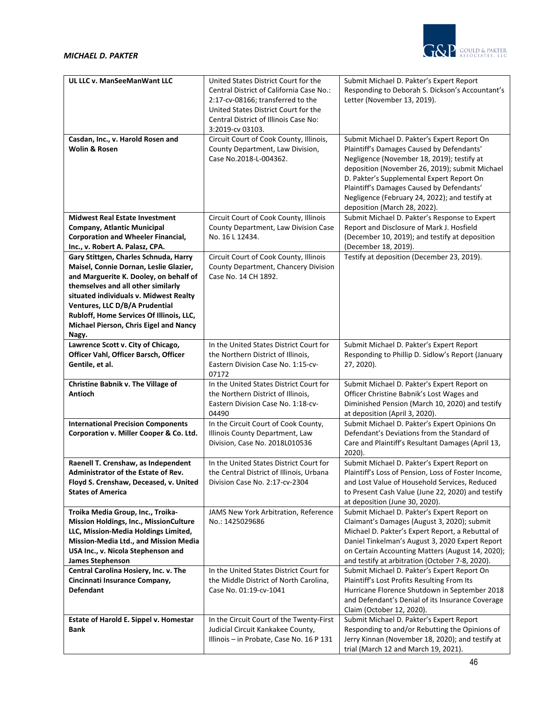

| UL LLC v. ManSeeManWant LLC                                                     | United States District Court for the<br>Central District of California Case No.:<br>2:17-cv-08166; transferred to the<br>United States District Court for the<br>Central District of Illinois Case No: | Submit Michael D. Pakter's Expert Report<br>Responding to Deborah S. Dickson's Accountant's<br>Letter (November 13, 2019).                                                                                                                                               |
|---------------------------------------------------------------------------------|--------------------------------------------------------------------------------------------------------------------------------------------------------------------------------------------------------|--------------------------------------------------------------------------------------------------------------------------------------------------------------------------------------------------------------------------------------------------------------------------|
| Casdan, Inc., v. Harold Rosen and<br>Wolin & Rosen                              | 3:2019-cv 03103.<br>Circuit Court of Cook County, Illinois,<br>County Department, Law Division,                                                                                                        | Submit Michael D. Pakter's Expert Report On<br>Plaintiff's Damages Caused by Defendants'                                                                                                                                                                                 |
|                                                                                 | Case No.2018-L-004362.                                                                                                                                                                                 | Negligence (November 18, 2019); testify at<br>deposition (November 26, 2019); submit Michael<br>D. Pakter's Supplemental Expert Report On<br>Plaintiff's Damages Caused by Defendants'<br>Negligence (February 24, 2022); and testify at<br>deposition (March 28, 2022). |
| <b>Midwest Real Estate Investment</b>                                           | Circuit Court of Cook County, Illinois                                                                                                                                                                 | Submit Michael D. Pakter's Response to Expert                                                                                                                                                                                                                            |
| <b>Company, Atlantic Municipal</b>                                              | County Department, Law Division Case                                                                                                                                                                   | Report and Disclosure of Mark J. Hosfield                                                                                                                                                                                                                                |
| <b>Corporation and Wheeler Financial,</b>                                       | No. 16 L 12434.                                                                                                                                                                                        | (December 10, 2019); and testify at deposition                                                                                                                                                                                                                           |
| Inc., v. Robert A. Palasz, CPA.                                                 |                                                                                                                                                                                                        | (December 18, 2019).                                                                                                                                                                                                                                                     |
| Gary Stittgen, Charles Schnuda, Harry<br>Maisel, Connie Dornan, Leslie Glazier, | Circuit Court of Cook County, Illinois<br>County Department, Chancery Division                                                                                                                         | Testify at deposition (December 23, 2019).                                                                                                                                                                                                                               |
| and Marguerite K. Dooley, on behalf of                                          | Case No. 14 CH 1892.                                                                                                                                                                                   |                                                                                                                                                                                                                                                                          |
| themselves and all other similarly                                              |                                                                                                                                                                                                        |                                                                                                                                                                                                                                                                          |
| situated individuals v. Midwest Realty                                          |                                                                                                                                                                                                        |                                                                                                                                                                                                                                                                          |
| Ventures, LLC D/B/A Prudential                                                  |                                                                                                                                                                                                        |                                                                                                                                                                                                                                                                          |
| Rubloff, Home Services Of Illinois, LLC,                                        |                                                                                                                                                                                                        |                                                                                                                                                                                                                                                                          |
| Michael Pierson, Chris Eigel and Nancy                                          |                                                                                                                                                                                                        |                                                                                                                                                                                                                                                                          |
| Nagy.<br>Lawrence Scott v. City of Chicago,                                     | In the United States District Court for                                                                                                                                                                | Submit Michael D. Pakter's Expert Report                                                                                                                                                                                                                                 |
| Officer Vahl, Officer Barsch, Officer                                           | the Northern District of Illinois,                                                                                                                                                                     | Responding to Phillip D. Sidlow's Report (January                                                                                                                                                                                                                        |
| Gentile, et al.                                                                 | Eastern Division Case No. 1:15-cv-                                                                                                                                                                     | 27, 2020).                                                                                                                                                                                                                                                               |
|                                                                                 | 07172                                                                                                                                                                                                  |                                                                                                                                                                                                                                                                          |
| Christine Babnik v. The Village of                                              | In the United States District Court for                                                                                                                                                                | Submit Michael D. Pakter's Expert Report on                                                                                                                                                                                                                              |
| <b>Antioch</b>                                                                  | the Northern District of Illinois,<br>Eastern Division Case No. 1:18-cv-                                                                                                                               | Officer Christine Babnik's Lost Wages and<br>Diminished Pension (March 10, 2020) and testify                                                                                                                                                                             |
|                                                                                 | 04490                                                                                                                                                                                                  | at deposition (April 3, 2020).                                                                                                                                                                                                                                           |
| <b>International Precision Components</b>                                       | In the Circuit Court of Cook County,                                                                                                                                                                   | Submit Michael D. Pakter's Expert Opinions On                                                                                                                                                                                                                            |
| Corporation v. Miller Cooper & Co. Ltd.                                         | Illinois County Department, Law                                                                                                                                                                        | Defendant's Deviations from the Standard of                                                                                                                                                                                                                              |
|                                                                                 | Division, Case No. 2018L010536                                                                                                                                                                         | Care and Plaintiff's Resultant Damages (April 13,                                                                                                                                                                                                                        |
|                                                                                 |                                                                                                                                                                                                        | $2020$ ).                                                                                                                                                                                                                                                                |
| Raenell T. Crenshaw, as Independent                                             | In the United States District Court for                                                                                                                                                                | Submit Michael D. Pakter's Expert Report on                                                                                                                                                                                                                              |
| Administrator of the Estate of Rev.<br>Floyd S. Crenshaw, Deceased, v. United   | the Central District of Illinois, Urbana<br>Division Case No. 2:17-cv-2304                                                                                                                             | Plaintiff's Loss of Pension, Loss of Foster Income,<br>and Lost Value of Household Services, Reduced                                                                                                                                                                     |
| <b>States of America</b>                                                        |                                                                                                                                                                                                        | to Present Cash Value (June 22, 2020) and testify                                                                                                                                                                                                                        |
|                                                                                 |                                                                                                                                                                                                        | at deposition (June 30, 2020).                                                                                                                                                                                                                                           |
| Troika Media Group, Inc., Troika-                                               | JAMS New York Arbitration, Reference                                                                                                                                                                   | Submit Michael D. Pakter's Expert Report on                                                                                                                                                                                                                              |
| Mission Holdings, Inc., MissionCulture                                          | No.: 1425029686                                                                                                                                                                                        | Claimant's Damages (August 3, 2020); submit                                                                                                                                                                                                                              |
| LLC, Mission-Media Holdings Limited,                                            |                                                                                                                                                                                                        | Michael D. Pakter's Expert Report, a Rebuttal of                                                                                                                                                                                                                         |
| Mission-Media Ltd., and Mission Media<br>USA Inc., v. Nicola Stephenson and     |                                                                                                                                                                                                        | Daniel Tinkelman's August 3, 2020 Expert Report<br>on Certain Accounting Matters (August 14, 2020);                                                                                                                                                                      |
| <b>James Stephenson</b>                                                         |                                                                                                                                                                                                        | and testify at arbitration (October 7-8, 2020).                                                                                                                                                                                                                          |
| Central Carolina Hosiery, Inc. v. The                                           | In the United States District Court for                                                                                                                                                                | Submit Michael D. Pakter's Expert Report On                                                                                                                                                                                                                              |
| Cincinnati Insurance Company,                                                   | the Middle District of North Carolina,                                                                                                                                                                 | Plaintiff's Lost Profits Resulting From Its                                                                                                                                                                                                                              |
| <b>Defendant</b>                                                                | Case No. 01:19-cv-1041                                                                                                                                                                                 | Hurricane Florence Shutdown in September 2018                                                                                                                                                                                                                            |
|                                                                                 |                                                                                                                                                                                                        | and Defendant's Denial of its Insurance Coverage                                                                                                                                                                                                                         |
| <b>Estate of Harold E. Sippel v. Homestar</b>                                   | In the Circuit Court of the Twenty-First                                                                                                                                                               | Claim (October 12, 2020).<br>Submit Michael D. Pakter's Expert Report                                                                                                                                                                                                    |
| Bank                                                                            | Judicial Circuit Kankakee County,                                                                                                                                                                      | Responding to and/or Rebutting the Opinions of                                                                                                                                                                                                                           |
|                                                                                 | Illinois - in Probate, Case No. 16 P 131                                                                                                                                                               | Jerry Kinnan (November 18, 2020); and testify at                                                                                                                                                                                                                         |
|                                                                                 |                                                                                                                                                                                                        | trial (March 12 and March 19, 2021).                                                                                                                                                                                                                                     |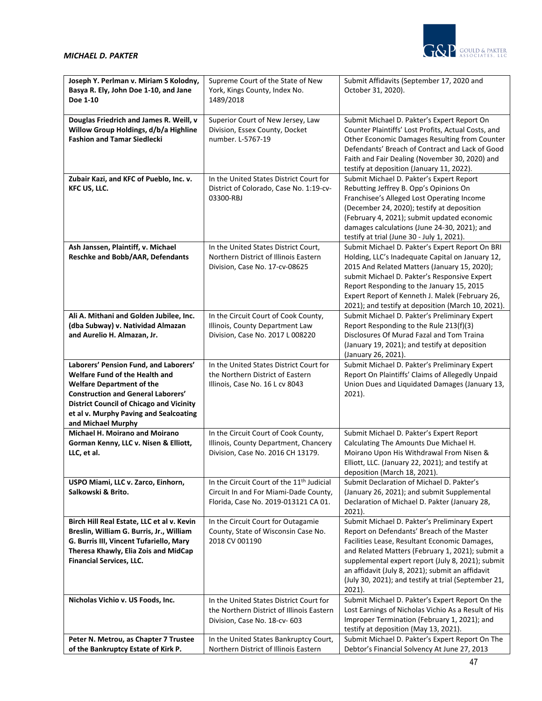

| Joseph Y. Perlman v. Miriam S Kolodny,<br>Basya R. Ely, John Doe 1-10, and Jane<br>Doe 1-10                                                                                                                                                                                 | Supreme Court of the State of New<br>York, Kings County, Index No.<br>1489/2018                                                        | Submit Affidavits (September 17, 2020 and<br>October 31, 2020).                                                                                                                                                                                                                                                                                                                |
|-----------------------------------------------------------------------------------------------------------------------------------------------------------------------------------------------------------------------------------------------------------------------------|----------------------------------------------------------------------------------------------------------------------------------------|--------------------------------------------------------------------------------------------------------------------------------------------------------------------------------------------------------------------------------------------------------------------------------------------------------------------------------------------------------------------------------|
| Douglas Friedrich and James R. Weill, v<br>Willow Group Holdings, d/b/a Highline<br><b>Fashion and Tamar Siedlecki</b>                                                                                                                                                      | Superior Court of New Jersey, Law<br>Division, Essex County, Docket<br>number. L-5767-19                                               | Submit Michael D. Pakter's Expert Report On<br>Counter Plaintiffs' Lost Profits, Actual Costs, and<br>Other Economic Damages Resulting from Counter<br>Defendants' Breach of Contract and Lack of Good<br>Faith and Fair Dealing (November 30, 2020) and<br>testify at deposition (January 11, 2022).                                                                          |
| Zubair Kazi, and KFC of Pueblo, Inc. v.<br>KFC US, LLC.                                                                                                                                                                                                                     | In the United States District Court for<br>District of Colorado, Case No. 1:19-cv-<br>03300-RBJ                                        | Submit Michael D. Pakter's Expert Report<br>Rebutting Jeffrey B. Opp's Opinions On<br>Franchisee's Alleged Lost Operating Income<br>(December 24, 2020); testify at deposition<br>(February 4, 2021); submit updated economic<br>damages calculations (June 24-30, 2021); and<br>testify at trial (June 30 - July 1, 2021).                                                    |
| Ash Janssen, Plaintiff, v. Michael<br>Reschke and Bobb/AAR, Defendants                                                                                                                                                                                                      | In the United States District Court,<br>Northern District of Illinois Eastern<br>Division, Case No. 17-cv-08625                        | Submit Michael D. Pakter's Expert Report On BRI<br>Holding, LLC's Inadequate Capital on January 12,<br>2015 And Related Matters (January 15, 2020);<br>submit Michael D. Pakter's Responsive Expert<br>Report Responding to the January 15, 2015<br>Expert Report of Kenneth J. Malek (February 26,<br>2021); and testify at deposition (March 10, 2021).                      |
| Ali A. Mithani and Golden Jubilee, Inc.<br>(dba Subway) v. Natividad Almazan<br>and Aurelio H. Almazan, Jr.                                                                                                                                                                 | In the Circuit Court of Cook County,<br>Illinois, County Department Law<br>Division, Case No. 2017 L 008220                            | Submit Michael D. Pakter's Preliminary Expert<br>Report Responding to the Rule 213(f)(3)<br>Disclosures Of Murad Fazal and Tom Traina<br>(January 19, 2021); and testify at deposition<br>(January 26, 2021).                                                                                                                                                                  |
| Laborers' Pension Fund, and Laborers'<br>Welfare Fund of the Health and<br><b>Welfare Department of the</b><br><b>Construction and General Laborers'</b><br><b>District Council of Chicago and Vicinity</b><br>et al v. Murphy Paving and Sealcoating<br>and Michael Murphy | In the United States District Court for<br>the Northern District of Eastern<br>Illinois, Case No. 16 L cv 8043                         | Submit Michael D. Pakter's Preliminary Expert<br>Report On Plaintiffs' Claims of Allegedly Unpaid<br>Union Dues and Liquidated Damages (January 13,<br>2021).                                                                                                                                                                                                                  |
| <b>Michael H. Moirano and Moirano</b><br>Gorman Kenny, LLC v. Nisen & Elliott,<br>LLC, et al.                                                                                                                                                                               | In the Circuit Court of Cook County,<br>Illinois, County Department, Chancery<br>Division, Case No. 2016 CH 13179.                     | Submit Michael D. Pakter's Expert Report<br>Calculating The Amounts Due Michael H.<br>Moirano Upon His Withdrawal From Nisen &<br>Elliott, LLC. (January 22, 2021); and testify at<br>deposition (March 18, 2021).                                                                                                                                                             |
| USPO Miami, LLC v. Zarco, Einhorn,<br>Salkowski & Brito.                                                                                                                                                                                                                    | In the Circuit Court of the 11 <sup>th</sup> Judicial<br>Circuit In and For Miami-Dade County,<br>Florida, Case No. 2019-013121 CA 01. | Submit Declaration of Michael D. Pakter's<br>(January 26, 2021); and submit Supplemental<br>Declaration of Michael D. Pakter (January 28,<br>$2021$ ).                                                                                                                                                                                                                         |
| Birch Hill Real Estate, LLC et al v. Kevin<br>Breslin, William G. Burris, Jr., William<br>G. Burris III, Vincent Tufariello, Mary<br>Theresa Khawly, Elia Zois and MidCap<br><b>Financial Services, LLC.</b>                                                                | In the Circuit Court for Outagamie<br>County, State of Wisconsin Case No.<br>2018 CV 001190                                            | Submit Michael D. Pakter's Preliminary Expert<br>Report on Defendants' Breach of the Master<br>Facilities Lease, Resultant Economic Damages,<br>and Related Matters (February 1, 2021); submit a<br>supplemental expert report (July 8, 2021); submit<br>an affidavit (July 8, 2021); submit an affidavit<br>(July 30, 2021); and testify at trial (September 21,<br>$2021$ ). |
| Nicholas Vichio v. US Foods, Inc.                                                                                                                                                                                                                                           | In the United States District Court for<br>the Northern District of Illinois Eastern<br>Division, Case No. 18-cv- 603                  | Submit Michael D. Pakter's Expert Report On the<br>Lost Earnings of Nicholas Vichio As a Result of His<br>Improper Termination (February 1, 2021); and<br>testify at deposition (May 13, 2021).                                                                                                                                                                                |
| Peter N. Metrou, as Chapter 7 Trustee<br>of the Bankruptcy Estate of Kirk P.                                                                                                                                                                                                | In the United States Bankruptcy Court,<br>Northern District of Illinois Eastern                                                        | Submit Michael D. Pakter's Expert Report On The<br>Debtor's Financial Solvency At June 27, 2013                                                                                                                                                                                                                                                                                |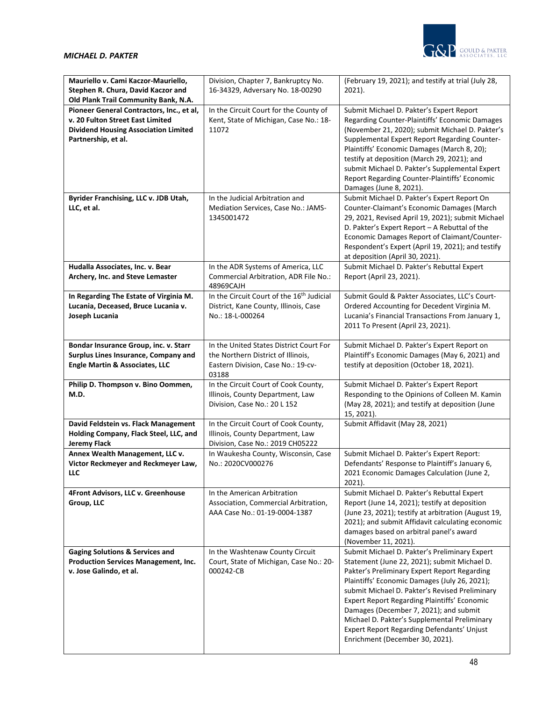

| Mauriello v. Cami Kaczor-Mauriello,<br>Stephen R. Chura, David Kaczor and<br>Old Plank Trail Community Bank, N.A.                                   | Division, Chapter 7, Bankruptcy No.<br>16-34329, Adversary No. 18-00290                                                      | (February 19, 2021); and testify at trial (July 28,<br>2021).                                                                                                                                                                                                                                                                                                                                                                                                                      |
|-----------------------------------------------------------------------------------------------------------------------------------------------------|------------------------------------------------------------------------------------------------------------------------------|------------------------------------------------------------------------------------------------------------------------------------------------------------------------------------------------------------------------------------------------------------------------------------------------------------------------------------------------------------------------------------------------------------------------------------------------------------------------------------|
| Pioneer General Contractors, Inc., et al,<br>v. 20 Fulton Street East Limited<br><b>Dividend Housing Association Limited</b><br>Partnership, et al. | In the Circuit Court for the County of<br>Kent, State of Michigan, Case No.: 18-<br>11072                                    | Submit Michael D. Pakter's Expert Report<br>Regarding Counter-Plaintiffs' Economic Damages<br>(November 21, 2020); submit Michael D. Pakter's<br>Supplemental Expert Report Regarding Counter-<br>Plaintiffs' Economic Damages (March 8, 20);<br>testify at deposition (March 29, 2021); and<br>submit Michael D. Pakter's Supplemental Expert<br>Report Regarding Counter-Plaintiffs' Economic<br>Damages (June 8, 2021).                                                         |
| Byrider Franchising, LLC v. JDB Utah,<br>LLC, et al.                                                                                                | In the Judicial Arbitration and<br>Mediation Services, Case No.: JAMS-<br>1345001472                                         | Submit Michael D. Pakter's Expert Report On<br>Counter-Claimant's Economic Damages (March<br>29, 2021, Revised April 19, 2021); submit Michael<br>D. Pakter's Expert Report - A Rebuttal of the<br>Economic Damages Report of Claimant/Counter-<br>Respondent's Expert (April 19, 2021); and testify<br>at deposition (April 30, 2021).                                                                                                                                            |
| Hudalla Associates, Inc. v. Bear<br>Archery, Inc. and Steve Lemaster                                                                                | In the ADR Systems of America, LLC<br>Commercial Arbitration, ADR File No.:<br>48969CAJH                                     | Submit Michael D. Pakter's Rebuttal Expert<br>Report (April 23, 2021).                                                                                                                                                                                                                                                                                                                                                                                                             |
| In Regarding The Estate of Virginia M.<br>Lucania, Deceased, Bruce Lucania v.<br>Joseph Lucania                                                     | In the Circuit Court of the 16 <sup>th</sup> Judicial<br>District, Kane County, Illinois, Case<br>No.: 18-L-000264           | Submit Gould & Pakter Associates, LLC's Court-<br>Ordered Accounting for Decedent Virginia M.<br>Lucania's Financial Transactions From January 1,<br>2011 To Present (April 23, 2021).                                                                                                                                                                                                                                                                                             |
| Bondar Insurance Group, inc. v. Starr<br>Surplus Lines Insurance, Company and<br><b>Engle Martin &amp; Associates, LLC</b>                          | In the United States District Court For<br>the Northern District of Illinois,<br>Eastern Division, Case No.: 19-cv-<br>03188 | Submit Michael D. Pakter's Expert Report on<br>Plaintiff's Economic Damages (May 6, 2021) and<br>testify at deposition (October 18, 2021).                                                                                                                                                                                                                                                                                                                                         |
| Philip D. Thompson v. Bino Oommen,<br>M.D.                                                                                                          | In the Circuit Court of Cook County,<br>Illinois, County Department, Law<br>Division, Case No.: 20 L 152                     | Submit Michael D. Pakter's Expert Report<br>Responding to the Opinions of Colleen M. Kamin<br>(May 28, 2021); and testify at deposition (June<br>15, 2021).                                                                                                                                                                                                                                                                                                                        |
| David Feldstein vs. Flack Management<br>Holding Company, Flack Steel, LLC, and<br>Jeremy Flack                                                      | In the Circuit Court of Cook County,<br>Illinois, County Department, Law<br>Division, Case No.: 2019 CH05222                 | Submit Affidavit (May 28, 2021)                                                                                                                                                                                                                                                                                                                                                                                                                                                    |
| Annex Wealth Management, LLC v.<br>Victor Reckmeyer and Reckmeyer Law,<br>LLC                                                                       | In Waukesha County, Wisconsin, Case<br>No.: 2020CV000276                                                                     | Submit Michael D. Pakter's Expert Report:<br>Defendants' Response to Plaintiff's January 6,<br>2021 Economic Damages Calculation (June 2,<br>2021).                                                                                                                                                                                                                                                                                                                                |
| 4Front Advisors, LLC v. Greenhouse<br>Group, LLC                                                                                                    | In the American Arbitration<br>Association, Commercial Arbitration,<br>AAA Case No.: 01-19-0004-1387                         | Submit Michael D. Pakter's Rebuttal Expert<br>Report (June 14, 2021); testify at deposition<br>(June 23, 2021); testify at arbitration (August 19,<br>2021); and submit Affidavit calculating economic<br>damages based on arbitral panel's award<br>(November 11, 2021).                                                                                                                                                                                                          |
| <b>Gaging Solutions &amp; Services and</b><br><b>Production Services Management, Inc.</b><br>v. Jose Galindo, et al.                                | In the Washtenaw County Circuit<br>Court, State of Michigan, Case No.: 20-<br>000242-CB                                      | Submit Michael D. Pakter's Preliminary Expert<br>Statement (June 22, 2021); submit Michael D.<br>Pakter's Preliminary Expert Report Regarding<br>Plaintiffs' Economic Damages (July 26, 2021);<br>submit Michael D. Pakter's Revised Preliminary<br><b>Expert Report Regarding Plaintiffs' Economic</b><br>Damages (December 7, 2021); and submit<br>Michael D. Pakter's Supplemental Preliminary<br>Expert Report Regarding Defendants' Unjust<br>Enrichment (December 30, 2021). |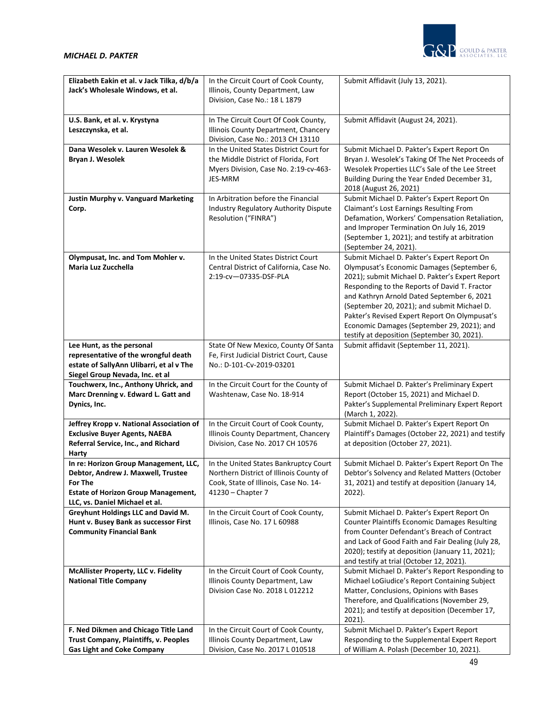

| Elizabeth Eakin et al. v Jack Tilka, d/b/a<br>Jack's Wholesale Windows, et al. | In the Circuit Court of Cook County,<br>Illinois, County Department, Law         | Submit Affidavit (July 13, 2021).                                                                     |
|--------------------------------------------------------------------------------|----------------------------------------------------------------------------------|-------------------------------------------------------------------------------------------------------|
|                                                                                | Division, Case No.: 18 L 1879                                                    |                                                                                                       |
| U.S. Bank, et al. v. Krystyna                                                  | In The Circuit Court Of Cook County,                                             | Submit Affidavit (August 24, 2021).                                                                   |
| Leszczynska, et al.                                                            | Illinois County Department, Chancery<br>Division, Case No.: 2013 CH 13110        |                                                                                                       |
| Dana Wesolek v. Lauren Wesolek &                                               | In the United States District Court for                                          | Submit Michael D. Pakter's Expert Report On                                                           |
| Bryan J. Wesolek                                                               | the Middle District of Florida, Fort                                             | Bryan J. Wesolek's Taking Of The Net Proceeds of                                                      |
|                                                                                | Myers Division, Case No. 2:19-cv-463-                                            | Wesolek Properties LLC's Sale of the Lee Street                                                       |
|                                                                                | JES-MRM                                                                          | Building During the Year Ended December 31,<br>2018 (August 26, 2021)                                 |
| <b>Justin Murphy v. Vanguard Marketing</b>                                     | In Arbitration before the Financial                                              | Submit Michael D. Pakter's Expert Report On                                                           |
| Corp.                                                                          | Industry Regulatory Authority Dispute                                            | Claimant's Lost Earnings Resulting From                                                               |
|                                                                                | Resolution ("FINRA")                                                             | Defamation, Workers' Compensation Retaliation,                                                        |
|                                                                                |                                                                                  | and Improper Termination On July 16, 2019                                                             |
|                                                                                |                                                                                  | (September 1, 2021); and testify at arbitration                                                       |
|                                                                                |                                                                                  | (September 24, 2021).                                                                                 |
| Olympusat, Inc. and Tom Mohler v.<br>Maria Luz Zucchella                       | In the United States District Court<br>Central District of California, Case No.  | Submit Michael D. Pakter's Expert Report On<br>Olympusat's Economic Damages (September 6,             |
|                                                                                | 2:19-cv-07335-DSF-PLA                                                            | 2021); submit Michael D. Pakter's Expert Report                                                       |
|                                                                                |                                                                                  | Responding to the Reports of David T. Fractor                                                         |
|                                                                                |                                                                                  | and Kathryn Arnold Dated September 6, 2021                                                            |
|                                                                                |                                                                                  | (September 20, 2021); and submit Michael D.                                                           |
|                                                                                |                                                                                  | Pakter's Revised Expert Report On Olympusat's                                                         |
|                                                                                |                                                                                  | Economic Damages (September 29, 2021); and                                                            |
| Lee Hunt, as the personal                                                      | State Of New Mexico, County Of Santa                                             | testify at deposition (September 30, 2021).<br>Submit affidavit (September 11, 2021).                 |
| representative of the wrongful death                                           | Fe, First Judicial District Court, Cause                                         |                                                                                                       |
| estate of SallyAnn Ulibarri, et al v The                                       | No.: D-101-Cv-2019-03201                                                         |                                                                                                       |
| Siegel Group Nevada, Inc. et al                                                |                                                                                  |                                                                                                       |
| Touchwerx, Inc., Anthony Uhrick, and                                           | In the Circuit Court for the County of                                           | Submit Michael D. Pakter's Preliminary Expert                                                         |
| Marc Drenning v. Edward L. Gatt and                                            | Washtenaw, Case No. 18-914                                                       | Report (October 15, 2021) and Michael D.                                                              |
| Dynics, Inc.                                                                   |                                                                                  | Pakter's Supplemental Preliminary Expert Report<br>(March 1, 2022).                                   |
| Jeffrey Kropp v. National Association of                                       | In the Circuit Court of Cook County,                                             | Submit Michael D. Pakter's Expert Report On                                                           |
| <b>Exclusive Buyer Agents, NAEBA</b>                                           | Illinois County Department, Chancery                                             | Plaintiff's Damages (October 22, 2021) and testify                                                    |
| Referral Service, Inc., and Richard                                            | Division, Case No. 2017 CH 10576                                                 | at deposition (October 27, 2021).                                                                     |
| Harty                                                                          |                                                                                  |                                                                                                       |
| In re: Horizon Group Management, LLC,                                          | In the United States Bankruptcy Court                                            | Submit Michael D. Pakter's Expert Report On The                                                       |
| Debtor, Andrew J. Maxwell, Trustee<br>For The                                  | Northern District of Illinois County of<br>Cook, State of Illinois, Case No. 14- | Debtor's Solvency and Related Matters (October<br>31, 2021) and testify at deposition (January 14,    |
| <b>Estate of Horizon Group Management,</b>                                     | 41230 - Chapter 7                                                                | 2022).                                                                                                |
| LLC, vs. Daniel Michael et al.                                                 |                                                                                  |                                                                                                       |
| Greyhunt Holdings LLC and David M.                                             | In the Circuit Court of Cook County,                                             | Submit Michael D. Pakter's Expert Report On                                                           |
| Hunt v. Busey Bank as successor First                                          | Illinois, Case No. 17 L 60988                                                    | <b>Counter Plaintiffs Economic Damages Resulting</b>                                                  |
| <b>Community Financial Bank</b>                                                |                                                                                  | from Counter Defendant's Breach of Contract                                                           |
|                                                                                |                                                                                  | and Lack of Good Faith and Fair Dealing (July 28,<br>2020); testify at deposition (January 11, 2021); |
|                                                                                |                                                                                  | and testify at trial (October 12, 2021).                                                              |
| McAllister Property, LLC v. Fidelity                                           | In the Circuit Court of Cook County,                                             | Submit Michael D. Pakter's Report Responding to                                                       |
| <b>National Title Company</b>                                                  | Illinois County Department, Law                                                  | Michael LoGiudice's Report Containing Subject                                                         |
|                                                                                | Division Case No. 2018 L 012212                                                  | Matter, Conclusions, Opinions with Bases                                                              |
|                                                                                |                                                                                  | Therefore, and Qualifications (November 29,                                                           |
|                                                                                |                                                                                  | 2021); and testify at deposition (December 17,                                                        |
| F. Ned Dikmen and Chicago Title Land                                           | In the Circuit Court of Cook County,                                             | $2021$ ).<br>Submit Michael D. Pakter's Expert Report                                                 |
| Trust Company, Plaintiffs, v. Peoples                                          | Illinois County Department, Law                                                  | Responding to the Supplemental Expert Report                                                          |
| <b>Gas Light and Coke Company</b>                                              | Division, Case No. 2017 L 010518                                                 | of William A. Polash (December 10, 2021).                                                             |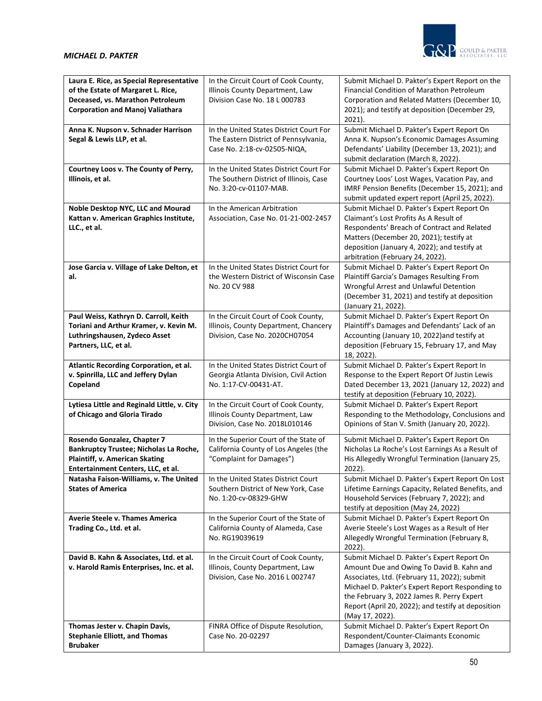

| Laura E. Rice, as Special Representative<br>of the Estate of Margaret L. Rice,  | In the Circuit Court of Cook County,<br>Illinois County Department, Law            | Submit Michael D. Pakter's Expert Report on the<br>Financial Condition of Marathon Petroleum                                        |
|---------------------------------------------------------------------------------|------------------------------------------------------------------------------------|-------------------------------------------------------------------------------------------------------------------------------------|
| Deceased, vs. Marathon Petroleum<br><b>Corporation and Manoj Valiathara</b>     | Division Case No. 18 L 000783                                                      | Corporation and Related Matters (December 10,<br>2021); and testify at deposition (December 29,<br>$2021$ ).                        |
| Anna K. Nupson v. Schnader Harrison                                             | In the United States District Court For                                            | Submit Michael D. Pakter's Expert Report On                                                                                         |
| Segal & Lewis LLP, et al.                                                       | The Eastern District of Pennsylvania,<br>Case No. 2:18-cv-02505-NIQA,              | Anna K. Nupson's Economic Damages Assuming<br>Defendants' Liability (December 13, 2021); and<br>submit declaration (March 8, 2022). |
| Courtney Loos v. The County of Perry,<br>Illinois, et al.                       | In the United States District Court For<br>The Southern District of Illinois, Case | Submit Michael D. Pakter's Expert Report On<br>Courtney Loos' Lost Wages, Vacation Pay, and                                         |
|                                                                                 | No. 3:20-cv-01107-MAB.                                                             | IMRF Pension Benefits (December 15, 2021); and<br>submit updated expert report (April 25, 2022).                                    |
| Noble Desktop NYC, LLC and Mourad<br>Kattan v. American Graphics Institute,     | In the American Arbitration<br>Association, Case No. 01-21-002-2457                | Submit Michael D. Pakter's Expert Report On<br>Claimant's Lost Profits As A Result of                                               |
| LLC., et al.                                                                    |                                                                                    | Respondents' Breach of Contract and Related                                                                                         |
|                                                                                 |                                                                                    | Matters (December 20, 2021); testify at                                                                                             |
|                                                                                 |                                                                                    | deposition (January 4, 2022); and testify at<br>arbitration (February 24, 2022).                                                    |
| Jose Garcia v. Village of Lake Delton, et                                       | In the United States District Court for                                            | Submit Michael D. Pakter's Expert Report On                                                                                         |
| al.                                                                             | the Western District of Wisconsin Case<br>No. 20 CV 988                            | Plaintiff Garcia's Damages Resulting From<br>Wrongful Arrest and Unlawful Detention                                                 |
|                                                                                 |                                                                                    | (December 31, 2021) and testify at deposition                                                                                       |
|                                                                                 |                                                                                    | (January 21, 2022).                                                                                                                 |
| Paul Weiss, Kathryn D. Carroll, Keith<br>Toriani and Arthur Kramer, v. Kevin M. | In the Circuit Court of Cook County,<br>Illinois, County Department, Chancery      | Submit Michael D. Pakter's Expert Report On<br>Plaintiff's Damages and Defendants' Lack of an                                       |
| Luthringshausen, Zydeco Asset                                                   | Division, Case No. 2020CH07054                                                     | Accounting (January 10, 2022) and testify at                                                                                        |
| Partners, LLC, et al.                                                           |                                                                                    | deposition (February 15, February 17, and May                                                                                       |
| Atlantic Recording Corporation, et al.                                          | In the United States District Court of                                             | 18, 2022).<br>Submit Michael D. Pakter's Expert Report In                                                                           |
| v. Spinrilla, LLC and Jeffery Dylan                                             | Georgia Atlanta Division, Civil Action                                             | Response to the Expert Report Of Justin Lewis                                                                                       |
| Copeland                                                                        | No. 1:17-CV-00431-AT.                                                              | Dated December 13, 2021 (January 12, 2022) and                                                                                      |
| Lytiesa Little and Reginald Little, v. City                                     | In the Circuit Court of Cook County,                                               | testify at deposition (February 10, 2022).<br>Submit Michael D. Pakter's Expert Report                                              |
| of Chicago and Gloria Tirado                                                    | Illinois County Department, Law                                                    | Responding to the Methodology, Conclusions and                                                                                      |
|                                                                                 | Division, Case No. 2018L010146                                                     | Opinions of Stan V. Smith (January 20, 2022).                                                                                       |
| Rosendo Gonzalez, Chapter 7<br>Bankruptcy Trustee; Nicholas La Roche,           | In the Superior Court of the State of<br>California County of Los Angeles (the     | Submit Michael D. Pakter's Expert Report On<br>Nicholas La Roche's Lost Earnings As a Result of                                     |
| Plaintiff, v. American Skating                                                  | "Complaint for Damages")                                                           | His Allegedly Wrongful Termination (January 25,                                                                                     |
| Entertainment Centers, LLC, et al.                                              |                                                                                    | $2022$ ).                                                                                                                           |
| Natasha Faison-Williams, v. The United<br><b>States of America</b>              | In the United States District Court<br>Southern District of New York, Case         | Submit Michael D. Pakter's Expert Report On Lost<br>Lifetime Earnings Capacity, Related Benefits, and                               |
|                                                                                 | No. 1:20-cv-08329-GHW                                                              | Household Services (February 7, 2022); and                                                                                          |
| <b>Averie Steele v. Thames America</b>                                          | In the Superior Court of the State of                                              | testify at deposition (May 24, 2022)<br>Submit Michael D. Pakter's Expert Report On                                                 |
| Trading Co., Ltd. et al.                                                        | California County of Alameda, Case                                                 | Averie Steele's Lost Wages as a Result of Her                                                                                       |
|                                                                                 | No. RG19039619                                                                     | Allegedly Wrongful Termination (February 8,<br>2022).                                                                               |
| David B. Kahn & Associates, Ltd. et al.                                         | In the Circuit Court of Cook County,                                               | Submit Michael D. Pakter's Expert Report On                                                                                         |
| v. Harold Ramis Enterprises, Inc. et al.                                        | Illinois, County Department, Law<br>Division, Case No. 2016 L 002747               | Amount Due and Owing To David B. Kahn and<br>Associates, Ltd. (February 11, 2022); submit                                           |
|                                                                                 |                                                                                    | Michael D. Pakter's Expert Report Responding to                                                                                     |
|                                                                                 |                                                                                    | the February 3, 2022 James R. Perry Expert                                                                                          |
|                                                                                 |                                                                                    | Report (April 20, 2022); and testify at deposition<br>(May 17, 2022).                                                               |
| Thomas Jester v. Chapin Davis,                                                  | FINRA Office of Dispute Resolution,                                                | Submit Michael D. Pakter's Expert Report On                                                                                         |
| <b>Stephanie Elliott, and Thomas</b>                                            | Case No. 20-02297                                                                  | Respondent/Counter-Claimants Economic                                                                                               |
| <b>Brubaker</b>                                                                 |                                                                                    | Damages (January 3, 2022).                                                                                                          |